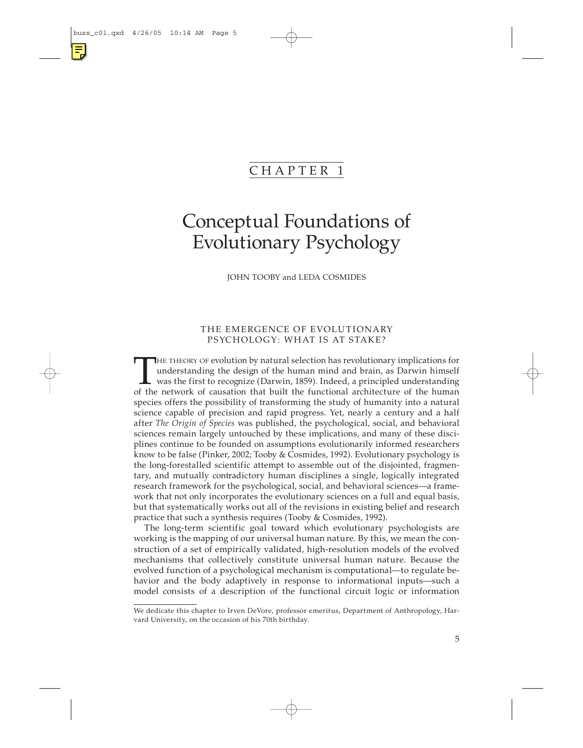# CHAP TER 1

# Conceptual Foundations of Evolutionary Psychology

JOHN TOOBY and LEDA COSMIDES

# THE EMERGENCE OF EVOLUTIONARY PSYCHOLOGY: WHAT IS AT STAKE?

THE THEORY OF evolution by natural selection has revolutionary implications for understanding the design of the human mind and brain, as Darwin himself was the first to recognize (Darwin, 1859). Indeed, a principled unders understanding the design of the human mind and brain, as Darwin himself was the first to recognize (Darwin, 1859). Indeed, a principled understanding of the network of causation that built the functional architecture of the human species offers the possibility of transforming the study of humanity into a natural science capable of precision and rapid progress. Yet, nearly a century and a half after *The Origin of Species* was published, the psychological, social, and behavioral sciences remain largely untouched by these implications, and many of these disciplines continue to be founded on assumptions evolutionarily informed researchers know to be false (Pinker, 2002; Tooby & Cosmides, 1992). Evolutionary psychology is the long-forestalled scientific attempt to assemble out of the disjointed, fragmentary, and mutually contradictory human disciplines a single, logically integrated research framework for the psychological, social, and behavioral sciences—a framework that not only incorporates the evolutionary sciences on a full and equal basis, but that systematically works out all of the revisions in existing belief and research practice that such a synthesis requires (Tooby & Cosmides, 1992).

The long-term scientific goal toward which evolutionary psychologists are working is the mapping of our universal human nature. By this, we mean the construction of a set of empirically validated, high-resolution models of the evolved mechanisms that collectively constitute universal human nature. Because the evolved function of a psychological mechanism is computational—to regulate behavior and the body adaptively in response to informational inputs—such a model consists of a description of the functional circuit logic or information

We dedicate this chapter to Irven DeVore, professor emeritus, Department of Anthropology, Harvard University, on the occasion of his 70th birthday.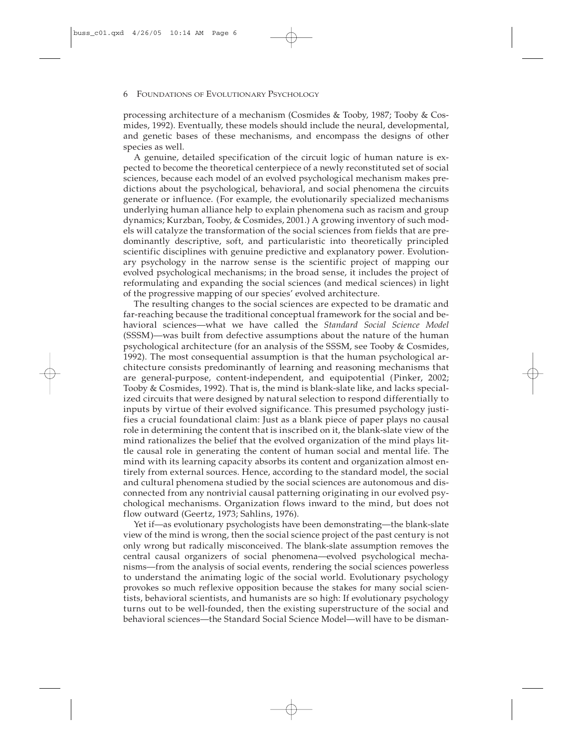processing architecture of a mechanism (Cosmides & Tooby, 1987; Tooby & Cosmides, 1992). Eventually, these models should include the neural, developmental, and genetic bases of these mechanisms, and encompass the designs of other species as well.

A genuine, detailed specification of the circuit logic of human nature is expected to become the theoretical centerpiece of a newly reconstituted set of social sciences, because each model of an evolved psychological mechanism makes predictions about the psychological, behavioral, and social phenomena the circuits generate or influence. (For example, the evolutionarily specialized mechanisms underlying human alliance help to explain phenomena such as racism and group dynamics; Kurzban, Tooby, & Cosmides, 2001.) A growing inventory of such models will catalyze the transformation of the social sciences from fields that are predominantly descriptive, soft, and particularistic into theoretically principled scientific disciplines with genuine predictive and explanatory power. Evolutionary psychology in the narrow sense is the scientific project of mapping our evolved psychological mechanisms; in the broad sense, it includes the project of reformulating and expanding the social sciences (and medical sciences) in light of the progressive mapping of our species' evolved architecture.

The resulting changes to the social sciences are expected to be dramatic and far-reaching because the traditional conceptual framework for the social and behavioral sciences—what we have called the *Standard Social Science Model* (SSSM)—was built from defective assumptions about the nature of the human psychological architecture (for an analysis of the SSSM, see Tooby & Cosmides, 1992). The most consequential assumption is that the human psychological architecture consists predominantly of learning and reasoning mechanisms that are general-purpose, content-independent, and equipotential (Pinker, 2002; Tooby & Cosmides, 1992). That is, the mind is blank-slate like, and lacks specialized circuits that were designed by natural selection to respond differentially to inputs by virtue of their evolved significance. This presumed psychology justifies a crucial foundational claim: Just as a blank piece of paper plays no causal role in determining the content that is inscribed on it, the blank-slate view of the mind rationalizes the belief that the evolved organization of the mind plays little causal role in generating the content of human social and mental life. The mind with its learning capacity absorbs its content and organization almost entirely from external sources. Hence, according to the standard model, the social and cultural phenomena studied by the social sciences are autonomous and disconnected from any nontrivial causal patterning originating in our evolved psychological mechanisms. Organization flows inward to the mind, but does not flow outward (Geertz, 1973; Sahlins, 1976).

Yet if—as evolutionary psychologists have been demonstrating—the blank-slate view of the mind is wrong, then the social science project of the past century is not only wrong but radically misconceived. The blank-slate assumption removes the central causal organizers of social phenomena—evolved psychological mechanisms—from the analysis of social events, rendering the social sciences powerless to understand the animating logic of the social world. Evolutionary psychology provokes so much reflexive opposition because the stakes for many social scientists, behavioral scientists, and humanists are so high: If evolutionary psychology turns out to be well-founded, then the existing superstructure of the social and behavioral sciences—the Standard Social Science Model—will have to be disman-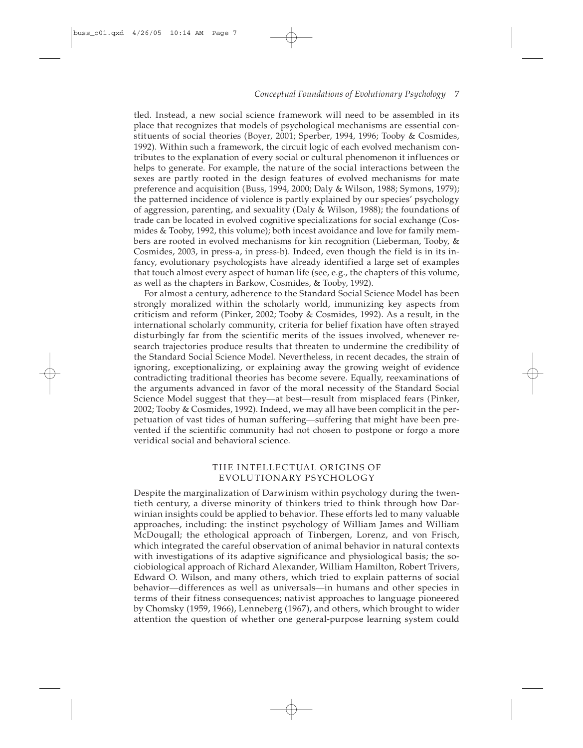tled. Instead, a new social science framework will need to be assembled in its place that recognizes that models of psychological mechanisms are essential constituents of social theories (Boyer, 2001; Sperber, 1994, 1996; Tooby & Cosmides, 1992). Within such a framework, the circuit logic of each evolved mechanism contributes to the explanation of every social or cultural phenomenon it influences or helps to generate. For example, the nature of the social interactions between the sexes are partly rooted in the design features of evolved mechanisms for mate preference and acquisition (Buss, 1994, 2000; Daly & Wilson, 1988; Symons, 1979); the patterned incidence of violence is partly explained by our species' psychology of aggression, parenting, and sexuality (Daly & Wilson, 1988); the foundations of trade can be located in evolved cognitive specializations for social exchange (Cosmides&Tooby, 1992, this volume); both incest avoidance and love for family members are rooted in evolved mechanisms for kin recognition (Lieberman, Tooby, & Cosmides, 2003, in press-a, in press-b). Indeed, even though the field is in its infancy, evolutionary psychologists have already identified a large set of examples that touch almost every aspect of human life (see, e.g., the chapters of this volume, as well as the chapters in Barkow, Cosmides, & Tooby, 1992).

For almost a century, adherence to the Standard Social Science Model has been strongly moralized within the scholarly world, immunizing key aspects from criticism and reform (Pinker, 2002; Tooby & Cosmides, 1992). As a result, in the international scholarly community, criteria for belief fixation have often strayed disturbingly far from the scientific merits of the issues involved, whenever research trajectories produce results that threaten to undermine the credibility of the Standard Social Science Model. Nevertheless, in recent decades, the strain of ignoring, exceptionalizing, or explaining away the growing weight of evidence contradicting traditional theories has become severe. Equally, reexaminations of the arguments advanced in favor of the moral necessity of the Standard Social Science Model suggest that they—at best—result from misplaced fears (Pinker, 2002; Tooby & Cosmides, 1992). Indeed, we may all have been complicit in the perpetuation of vast tides of human suffering—suffering that might have been prevented if the scientific community had not chosen to postpone or forgo a more veridical social and behavioral science.

# THE INTELLECTUAL ORIGINS OF E VOLUTIONARY PSYCHOLOGY

Despite the marginalization of Darwinism within psychology during the twentieth century, a diverse minority of thinkers tried to think through how Darwinian insights could be applied to behavior. These efforts led to many valuable approaches, including: the instinct psychology of William James and William McDougall; the ethological approach of Tinbergen, Lorenz, and von Frisch, which integrated the careful observation of animal behavior in natural contexts with investigations of its adaptive significance and physiological basis; the sociobiological approach of Richard Alexander, William Hamilton, Robert Trivers, Edward O. Wilson, and many others, which tried to explain patterns of social behavior—differences as well as universals—in humans and other species in terms of their fitness consequences; nativist approaches to language pioneered by Chomsky (1959, 1966), Lenneberg (1967), and others, which brought to wider attention the question of whether one general-purpose learning system could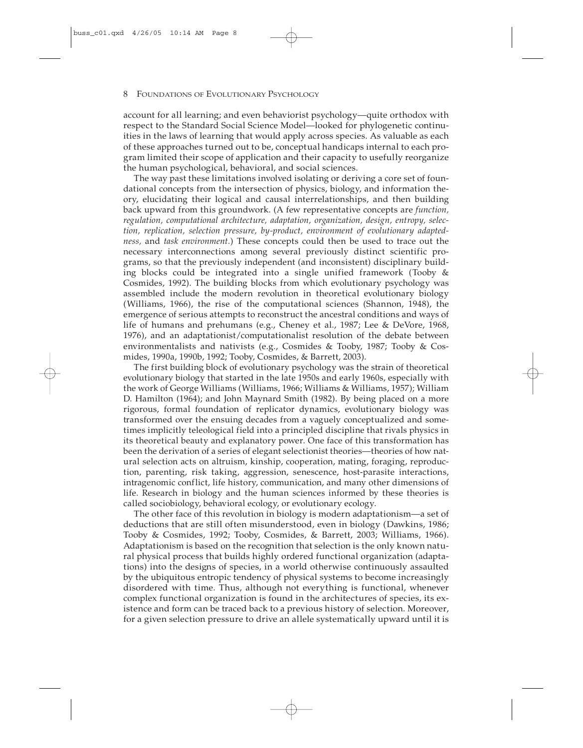account for all learning; and even behaviorist psychology—quite orthodox with respect to the Standard Social Science Model—looked for phylogenetic continuities in the laws of learning that would apply across species. As valuable as each of these approaches turned out to be, conceptual handicaps internal to each program limited their scope of application and their capacity to usefully reorganize the human psychological, behavioral, and social sciences.

The way past these limitations involved isolating or deriving a core set of foundational concepts from the intersection of physics, biology, and information theory, elucidating their logical and causal interrelationships, and then building back upward from this groundwork. (A few representative concepts are *function, regulation, computational architecture, adaptation, organization, design, entropy, selection, replication, selection pressure, by-product, environment of evolutionary adaptedness,* and *task environment.*) These concepts could then be used to trace out the necessary interconnections among several previously distinct scientific programs, so that the previously independent (and inconsistent) disciplinary building blocks could be integrated into a single unified framework (Tooby & Cosmides, 1992). The building blocks from which evolutionary psychology was assembled include the modern revolution in theoretical evolutionary biology (Williams, 1966), the rise of the computational sciences (Shannon, 1948), the emergence of serious attempts to reconstruct the ancestral conditions and ways of life of humans and prehumans (e.g., Cheney et al., 1987; Lee & DeVore, 1968, 1976), and an adaptationist/computationalist resolution of the debate between environmentalists and nativists (e.g., Cosmides & Tooby, 1987; Tooby & Cosmides, 1990a, 1990b, 1992; Tooby, Cosmides, & Barrett, 2003).

The first building block of evolutionary psychology was the strain of theoretical evolutionary biology that started in the late 1950s and early 1960s, especially with the work of George Williams (Williams, 1966; Williams & Williams, 1957); William D. Hamilton (1964); and John Maynard Smith (1982). By being placed on a more rigorous, formal foundation of replicator dynamics, evolutionary biology was transformed over the ensuing decades from a vaguely conceptualized and sometimes implicitly teleological field into a principled discipline that rivals physics in its theoretical beauty and explanatory power. One face of this transformation has been the derivation of a series of elegant selectionist theories—theories of how natural selection acts on altruism, kinship, cooperation, mating, foraging, reproduction, parenting, risk taking, aggression, senescence, host-parasite interactions, intragenomic conflict, life history, communication, and many other dimensions of life. Research in biology and the human sciences informed by these theories is called sociobiology, behavioral ecology, or evolutionary ecology.

The other face of this revolution in biology is modern adaptationism—a set of deductions that are still often misunderstood, even in biology (Dawkins, 1986; Tooby & Cosmides, 1992; Tooby, Cosmides, & Barrett, 2003; Williams, 1966). Adaptationism is based on the recognition that selection is the only known natural physical process that builds highly ordered functional organization (adaptations) into the designs of species, in a world otherwise continuously assaulted by the ubiquitous entropic tendency of physical systems to become increasingly disordered with time. Thus, although not everything is functional, whenever complex functional organization is found in the architectures of species, its existence and form can be traced back to a previous history of selection. Moreover, for a given selection pressure to drive an allele systematically upward until it is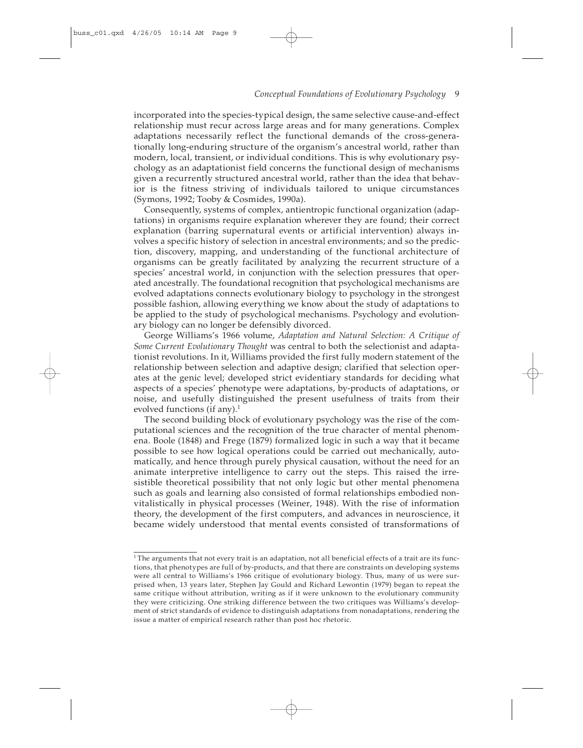incorporated into the species-typical design, the same selective cause-and-effect relationship must recur across large areas and for many generations. Complex adaptations necessarily reflect the functional demands of the cross-generationally long-enduring structure of the organism's ancestral world, rather than modern, local, transient, or individual conditions. This is why evolutionary psychology as an adaptationist field concerns the functional design of mechanisms given a recurrently structured ancestral world, rather than the idea that behavior is the fitness striving of individuals tailored to unique circumstances (Symons, 1992; Tooby & Cosmides, 1990a).

Consequently, systems of complex, antientropic functional organization (adaptations) in organisms require explanation wherever they are found; their correct explanation (barring supernatural events or artificial intervention) always involves a specific history of selection in ancestral environments; and so the prediction, discovery, mapping, and understanding of the functional architecture of organisms can be greatly facilitated by analyzing the recurrent structure of a species' ancestral world, in conjunction with the selection pressures that operated ancestrally. The foundational recognition that psychological mechanisms are evolved adaptations connects evolutionary biology to psychology in the strongest possible fashion, allowing everything we know about the study of adaptations to be applied to the study of psychological mechanisms. Psychology and evolutionary biology can no longer be defensibly divorced.

George Williams's 1966 volume, *Adaptation and Natural Selection: A Critique of Some Current Evolutionary Thought* was central to both the selectionist and adaptationist revolutions. In it, Williams provided the first fully modern statement of the relationship between selection and adaptive design; clarified that selection operates at the genic level; developed strict evidentiary standards for deciding what aspects of a species' phenotype were adaptations, by-products of adaptations, or noise, and usefully distinguished the present usefulness of traits from their evolved functions (if any). $<sup>1</sup>$ </sup>

The second building block of evolutionary psychology was the rise of the computational sciences and the recognition of the true character of mental phenomena. Boole (1848) and Frege (1879) formalized logic in such a way that it became possible to see how logical operations could be carried out mechanically, automatically, and hence through purely physical causation, without the need for an animate interpretive intelligence to carry out the steps. This raised the irresistible theoretical possibility that not only logic but other mental phenomena such as goals and learning also consisted of formal relationships embodied nonvitalistically in physical processes (Weiner, 1948). With the rise of information theory, the development of the first computers, and advances in neuroscience, it became widely understood that mental events consisted of transformations of

 $1$ The arguments that not every trait is an adaptation, not all beneficial effects of a trait are its functions, that phenotypes are full of by-products, and that there are constraints on developing systems were all central to Williams's 1966 critique of evolutionary biology. Thus, many of us were surprised when, 13 years later, Stephen Jay Gould and Richard Lewontin (1979) began to repeat the same critique without attribution, writing as if it were unknown to the evolutionary community they were criticizing. One striking difference between the two critiques was Williams's development of strict standards of evidence to distinguish adaptations from nonadaptations, rendering the issue a matter of empirical research rather than post hoc rhetoric.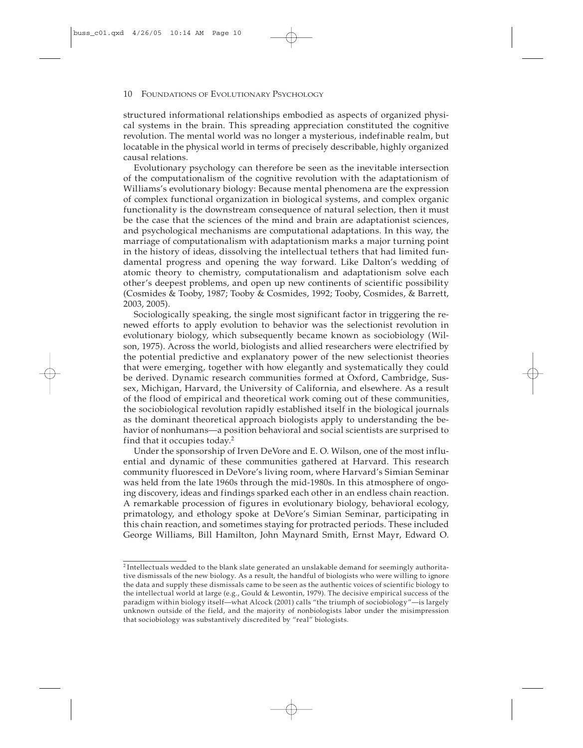structured informational relationships embodied as aspects of organized physical systems in the brain. This spreading appreciation constituted the cognitive revolution. The mental world was no longer a mysterious, indefinable realm, but locatable in the physical world in terms of precisely describable, highly organized causal relations.

Evolutionary psychology can therefore be seen as the inevitable intersection of the computationalism of the cognitive revolution with the adaptationism of Williams's evolutionary biology: Because mental phenomena are the expression of complex functional organization in biological systems, and complex organic functionality is the downstream consequence of natural selection, then it must be the case that the sciences of the mind and brain are adaptationist sciences, and psychological mechanisms are computational adaptations. In this way, the marriage of computationalism with adaptationism marks a major turning point in the history of ideas, dissolving the intellectual tethers that had limited fundamental progress and opening the way forward. Like Dalton's wedding of atomic theory to chemistry, computationalism and adaptationism solve each other's deepest problems, and open up new continents of scientific possibility (Cosmides & Tooby, 1987; Tooby & Cosmides, 1992; Tooby, Cosmides, & Barrett, 2003, 2005).

Sociologically speaking, the single most significant factor in triggering the renewed efforts to apply evolution to behavior was the selectionist revolution in evolutionary biology, which subsequently became known as sociobiology (Wilson, 1975). Across the world, biologists and allied researchers were electrified by the potential predictive and explanatory power of the new selectionist theories that were emerging, together with how elegantly and systematically they could be derived. Dynamic research communities formed at Oxford, Cambridge, Sussex, Michigan, Harvard, the University of California, and elsewhere. As a result of the flood of empirical and theoretical work coming out of these communities, the sociobiological revolution rapidly established itself in the biological journals as the dominant theoretical approach biologists apply to understanding the behavior of nonhumans—a position behavioral and social scientists are surprised to find that it occupies today.2

Under the sponsorship of Irven DeVore and E. O. Wilson, one of the most influential and dynamic of these communities gathered at Harvard. This research community fluoresced in DeVore's living room, where Harvard's Simian Seminar was held from the late 1960s through the mid-1980s. In this atmosphere of ongoing discovery, ideas and findings sparked each other in an endless chain reaction. A remarkable procession of figures in evolutionary biology, behavioral ecology, primatology, and ethology spoke at DeVore's Simian Seminar, participating in this chain reaction, and sometimes staying for protracted periods. These included George Williams, Bill Hamilton, John Maynard Smith, Ernst Mayr, Edward O.

 $^2$ Intellectuals wedded to the blank slate generated an unslakable demand for seemingly authoritative dismissals of the new biology. As a result, the handful of biologists who were willing to ignore the data and supply these dismissals came to be seen as the authentic voices of scientific biology to the intellectual world at large (e.g., Gould & Lewontin, 1979). The decisive empirical success of the paradigm within biology itself—what Alcock (2001) calls "the triumph of sociobiology"—is largely unknown outside of the field, and the majority of nonbiologists labor under the misimpression that sociobiology was substantively discredited by "real" biologists.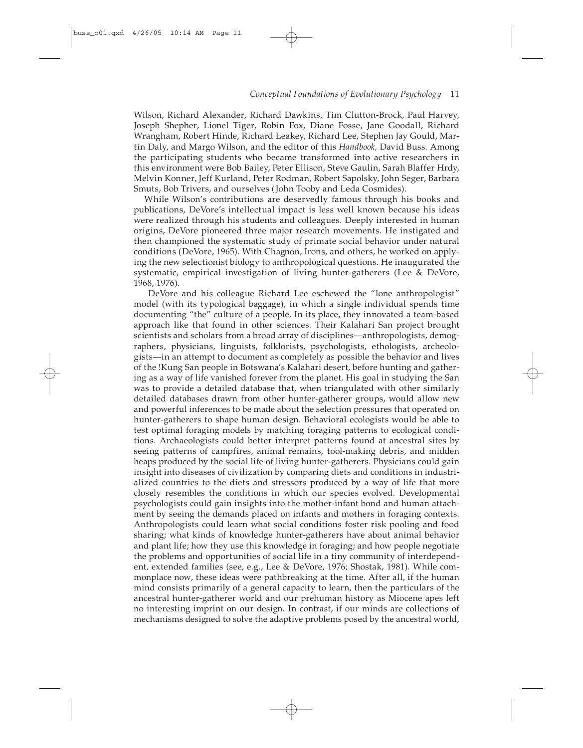Wilson, Richard Alexander, Richard Dawkins, Tim Clutton-Brock, Paul Harvey, Joseph Shepher, Lionel Tiger, Robin Fox, Diane Fosse, Jane Goodall, Richard Wrangham, Robert Hinde, Richard Leakey, Richard Lee, Stephen Jay Gould, Martin Daly, and Margo Wilson, and the editor of this *Handbook,* David Buss. Among the participating students who became transformed into active researchers in this environment were Bob Bailey, Peter Ellison, Steve Gaulin, Sarah Blaffer Hrdy, Melvin Konner, Jeff Kurland, Peter Rodman, Robert Sapolsky, John Seger, Barbara Smuts, Bob Trivers, and ourselves (John Tooby and Leda Cosmides).

While Wilson's contributions are deservedly famous through his books and publications, DeVore's intellectual impact is less well known because his ideas were realized through his students and colleagues. Deeply interested in human origins, DeVore pioneered three major research movements. He instigated and then championed the systematic study of primate social behavior under natural conditions (DeVore, 1965). With Chagnon, Irons, and others, he worked on applying the new selectionist biology to anthropological questions. He inaugurated the systematic, empirical investigation of living hunter-gatherers (Lee & DeVore, 1968, 1976).

DeVore and his colleague Richard Lee eschewed the "lone anthropologist" model (with its typological baggage), in which a single individual spends time documenting "the" culture of a people. In its place, they innovated a team-based approach like that found in other sciences. Their Kalahari San project brought scientists and scholars from a broad array of disciplines—anthropologists, demographers, physicians, linguists, folklorists, psychologists, ethologists, archeologists—in an attempt to document as completely as possible the behavior and lives of the !Kung San people in Botswana's Kalahari desert, before hunting and gathering as a way of life vanished forever from the planet. His goal in studying the San was to provide a detailed database that, when triangulated with other similarly detailed databases drawn from other hunter-gatherer groups, would allow new and powerful inferences to be made about the selection pressures that operated on hunter-gatherers to shape human design. Behavioral ecologists would be able to test optimal foraging models by matching foraging patterns to ecological conditions. Archaeologists could better interpret patterns found at ancestral sites by seeing patterns of campfires, animal remains, tool-making debris, and midden heaps produced by the social life of living hunter-gatherers. Physicians could gain insight into diseases of civilization by comparing diets and conditions in industrialized countries to the diets and stressors produced by a way of life that more closely resembles the conditions in which our species evolved. Developmental psychologists could gain insights into the mother-infant bond and human attachment by seeing the demands placed on infants and mothers in foraging contexts. Anthropologists could learn what social conditions foster risk pooling and food sharing; what kinds of knowledge hunter-gatherers have about animal behavior and plant life; how they use this knowledge in foraging; and how people negotiate the problems and opportunities of social life in a tiny community of interdependent, extended families (see, e.g., Lee & DeVore, 1976; Shostak, 1981). While commonplace now, these ideas were pathbreaking at the time. After all, if the human mind consists primarily of a general capacity to learn, then the particulars of the ancestral hunter-gatherer world and our prehuman history as Miocene apes left no interesting imprint on our design. In contrast, if our minds are collections of mechanisms designed to solve the adaptive problems posed by the ancestral world,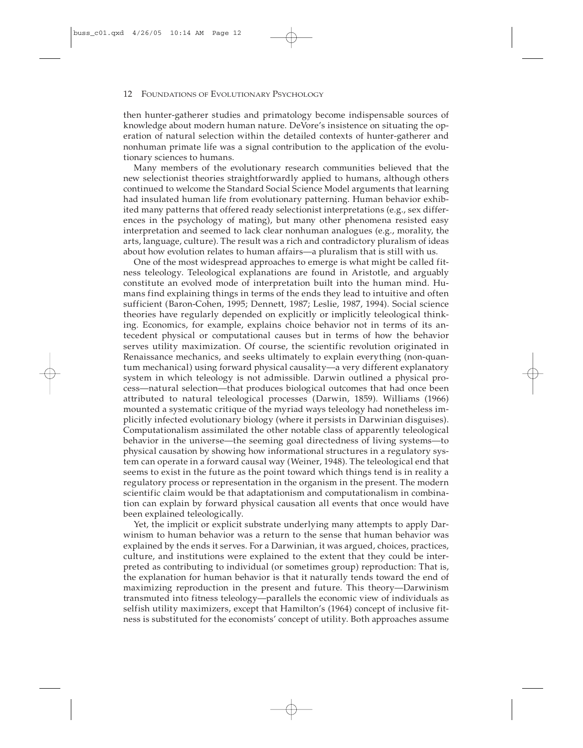then hunter-gatherer studies and primatology become indispensable sources of knowledge about modern human nature. DeVore's insistence on situating the operation of natural selection within the detailed contexts of hunter-gatherer and nonhuman primate life was a signal contribution to the application of the evolutionary sciences to humans.

Many members of the evolutionary research communities believed that the new selectionist theories straightforwardly applied to humans, although others continued to welcome the Standard Social Science Model arguments that learning had insulated human life from evolutionary patterning. Human behavior exhibited many patterns that offered ready selectionist interpretations (e.g., sex differences in the psychology of mating), but many other phenomena resisted easy interpretation and seemed to lack clear nonhuman analogues (e.g., morality, the arts, language, culture). The result was a rich and contradictory pluralism of ideas about how evolution relates to human affairs—a pluralism that is still with us.

One of the most widespread approaches to emerge is what might be called fitness teleology. Teleological explanations are found in Aristotle, and arguably constitute an evolved mode of interpretation built into the human mind. Humans find explaining things in terms of the ends they lead to intuitive and often sufficient (Baron-Cohen, 1995; Dennett, 1987; Leslie, 1987, 1994). Social science theories have regularly depended on explicitly or implicitly teleological thinking. Economics, for example, explains choice behavior not in terms of its antecedent physical or computational causes but in terms of how the behavior serves utility maximization. Of course, the scientific revolution originated in Renaissance mechanics, and seeks ultimately to explain everything (non-quantum mechanical) using forward physical causality—a very different explanatory system in which teleology is not admissible. Darwin outlined a physical process—natural selection—that produces biological outcomes that had once been attributed to natural teleological processes (Darwin, 1859). Williams (1966) mounted a systematic critique of the myriad ways teleology had nonetheless implicitly infected evolutionary biology (where it persists in Darwinian disguises). Computationalism assimilated the other notable class of apparently teleological behavior in the universe—the seeming goal directedness of living systems—to physical causation by showing how informational structures in a regulatory system can operate in a forward causal way (Weiner, 1948). The teleological end that seems to exist in the future as the point toward which things tend is in reality a regulatory process or representation in the organism in the present. The modern scientific claim would be that adaptationism and computationalism in combination can explain by forward physical causation all events that once would have been explained teleologically.

Yet, the implicit or explicit substrate underlying many attempts to apply Darwinism to human behavior was a return to the sense that human behavior was explained by the ends it serves. For a Darwinian, it was argued, choices, practices, culture, and institutions were explained to the extent that they could be interpreted as contributing to individual (or sometimes group) reproduction: That is, the explanation for human behavior is that it naturally tends toward the end of maximizing reproduction in the present and future. This theory—Darwinism transmuted into fitness teleology—parallels the economic view of individuals as selfish utility maximizers, except that Hamilton's (1964) concept of inclusive fitness is substituted for the economists' concept of utility. Both approaches assume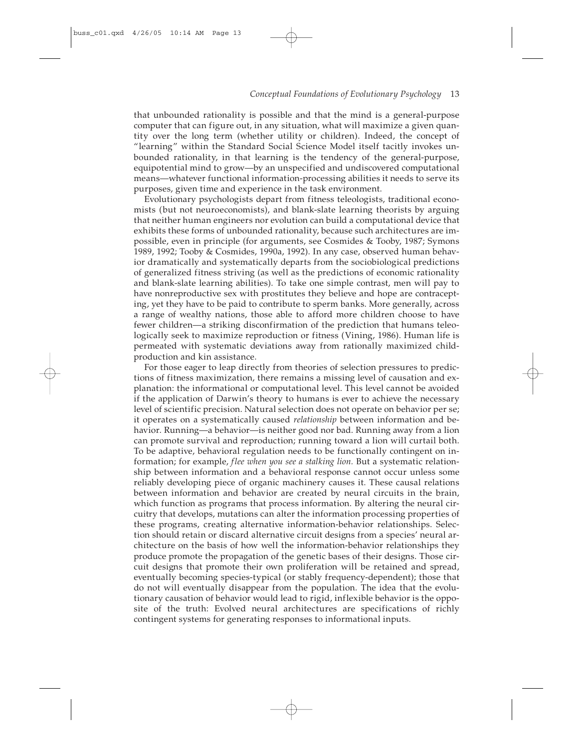that unbounded rationality is possible and that the mind is a general-purpose computer that can figure out, in any situation, what will maximize a given quantity over the long term (whether utility or children). Indeed, the concept of "learning" within the Standard Social Science Model itself tacitly invokes unbounded rationality, in that learning is the tendency of the general-purpose, equipotential mind to grow—by an unspecified and undiscovered computational means—whatever functional information-processing abilities it needs to serve its purposes, given time and experience in the task environment.

Evolutionary psychologists depart from fitness teleologists, traditional economists (but not neuroeconomists), and blank-slate learning theorists by arguing that neither human engineers nor evolution can build a computational device that exhibits these forms of unbounded rationality, because such architectures are impossible, even in principle (for arguments, see Cosmides & Tooby, 1987; Symons 1989, 1992; Tooby & Cosmides, 1990a, 1992). In any case, observed human behavior dramatically and systematically departs from the sociobiological predictions of generalized fitness striving (as well as the predictions of economic rationality and blank-slate learning abilities). To take one simple contrast, men will pay to have nonreproductive sex with prostitutes they believe and hope are contracepting, yet they have to be paid to contribute to sperm banks. More generally, across a range of wealthy nations, those able to afford more children choose to have fewer children—a striking disconfirmation of the prediction that humans teleologically seek to maximize reproduction or fitness (Vining, 1986). Human life is permeated with systematic deviations away from rationally maximized childproduction and kin assistance.

For those eager to leap directly from theories of selection pressures to predictions of fitness maximization, there remains a missing level of causation and explanation: the informational or computational level. This level cannot be avoided if the application of Darwin's theory to humans is ever to achieve the necessary level of scientific precision. Natural selection does not operate on behavior per se; it operates on a systematically caused *relationship* between information and behavior. Running—a behavior—is neither good nor bad. Running away from a lion can promote survival and reproduction; running toward a lion will curtail both. To be adaptive, behavioral regulation needs to be functionally contingent on information; for example, *flee when you see a stalking lion.* But a systematic relationship between information and a behavioral response cannot occur unless some reliably developing piece of organic machinery causes it. These causal relations between information and behavior are created by neural circuits in the brain, which function as programs that process information. By altering the neural circuitry that develops, mutations can alter the information processing properties of these programs, creating alternative information-behavior relationships. Selection should retain or discard alternative circuit designs from a species' neural architecture on the basis of how well the information-behavior relationships they produce promote the propagation of the genetic bases of their designs. Those circuit designs that promote their own proliferation will be retained and spread, eventually becoming species-typical (or stably frequency-dependent); those that do not will eventually disappear from the population. The idea that the evolutionary causation of behavior would lead to rigid, inflexible behavior is the opposite of the truth: Evolved neural architectures are specifications of richly contingent systems for generating responses to informational inputs.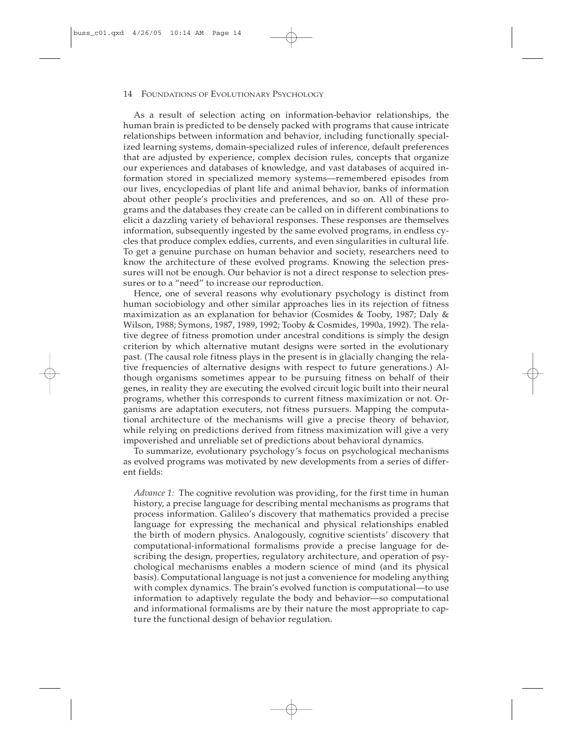As a result of selection acting on information-behavior relationships, the human brain is predicted to be densely packed with programs that cause intricate relationships between information and behavior, including functionally specialized learning systems, domain-specialized rules of inference, default preferences that are adjusted by experience, complex decision rules, concepts that organize our experiences and databases of knowledge, and vast databases of acquired information stored in specialized memory systems—remembered episodes from our lives, encyclopedias of plant life and animal behavior, banks of information about other people's proclivities and preferences, and so on. All of these programs and the databases they create can be called on in different combinations to elicit a dazzling variety of behavioral responses. These responses are themselves information, subsequently ingested by the same evolved programs, in endless cycles that produce complex eddies, currents, and even singularities in cultural life. To get a genuine purchase on human behavior and society, researchers need to know the architecture of these evolved programs. Knowing the selection pressures will not be enough. Our behavior is not a direct response to selection pressures or to a "need" to increase our reproduction.

Hence, one of several reasons why evolutionary psychology is distinct from human sociobiology and other similar approaches lies in its rejection of fitness maximization as an explanation for behavior (Cosmides & Tooby, 1987; Daly & Wilson, 1988; Symons, 1987, 1989, 1992; Tooby & Cosmides, 1990a, 1992). The relative degree of fitness promotion under ancestral conditions is simply the design criterion by which alternative mutant designs were sorted in the evolutionary past. (The causal role fitness plays in the present is in glacially changing the relative frequencies of alternative designs with respect to future generations.) Although organisms sometimes appear to be pursuing fitness on behalf of their genes, in reality they are executing the evolved circuit logic built into their neural programs, whether this corresponds to current fitness maximization or not. Organisms are adaptation executers, not fitness pursuers. Mapping the computational architecture of the mechanisms will give a precise theory of behavior, while relying on predictions derived from fitness maximization will give a very impoverished and unreliable set of predictions about behavioral dynamics.

To summarize, evolutionary psychology's focus on psychological mechanisms as evolved programs was motivated by new developments from a series of different fields:

*Advance 1:* The cognitive revolution was providing, for the first time in human history, a precise language for describing mental mechanisms as programs that process information. Galileo's discovery that mathematics provided a precise language for expressing the mechanical and physical relationships enabled the birth of modern physics. Analogously, cognitive scientists' discovery that computational-informational formalisms provide a precise language for describing the design, properties, regulatory architecture, and operation of psychological mechanisms enables a modern science of mind (and its physical basis). Computational language is not just a convenience for modeling anything with complex dynamics. The brain's evolved function is computational—to use information to adaptively regulate the body and behavior—so computational and informational formalisms are by their nature the most appropriate to capture the functional design of behavior regulation.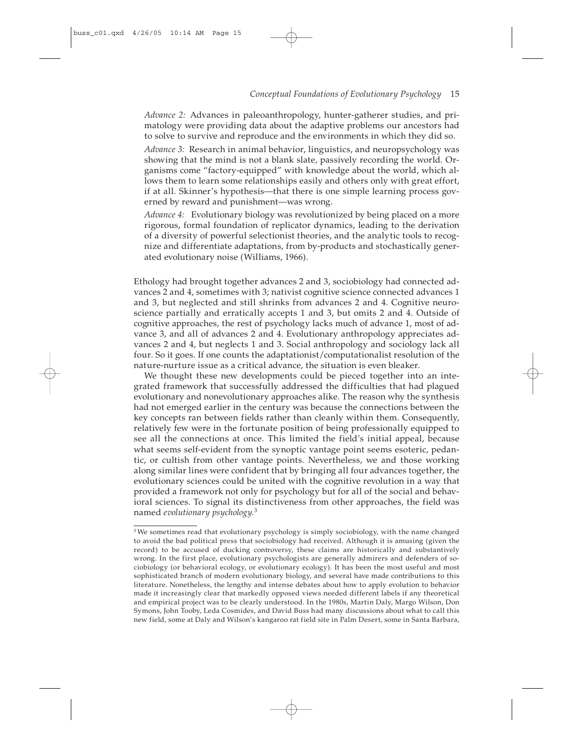*Advance 2:* Advances in paleoanthropology, hunter-gatherer studies, and primatology were providing data about the adaptive problems our ancestors had to solve to survive and reproduce and the environments in which they did so.

*Advance 3:* Research in animal behavior, linguistics, and neuropsychology was showing that the mind is not a blank slate, passively recording the world. Organisms come "factory-equipped" with knowledge about the world, which allows them to learn some relationships easily and others only with great effort, if at all. Skinner's hypothesis—that there is one simple learning process governed by reward and punishment—was wrong.

*Advance 4:* Evolutionary biology was revolutionized by being placed on a more rigorous, formal foundation of replicator dynamics, leading to the derivation of a diversity of powerful selectionist theories, and the analytic tools to recognize and differentiate adaptations, from by-products and stochastically generated evolutionary noise (Williams, 1966).

Ethology had brought together advances 2 and 3, sociobiology had connected advances 2 and 4, sometimes with 3; nativist cognitive science connected advances 1 and 3, but neglected and still shrinks from advances 2 and 4. Cognitive neuroscience partially and erratically accepts 1 and 3, but omits 2 and 4. Outside of cognitive approaches, the rest of psychology lacks much of advance 1, most of advance 3, and all of advances 2 and 4. Evolutionary anthropology appreciates advances 2 and 4, but neglects 1 and 3. Social anthropology and sociology lack all four. So it goes. If one counts the adaptationist/computationalist resolution of the nature-nurture issue as a critical advance, the situation is even bleaker.

We thought these new developments could be pieced together into an integrated framework that successfully addressed the difficulties that had plagued evolutionary and nonevolutionary approaches alike. The reason why the synthesis had not emerged earlier in the century was because the connections between the key concepts ran between fields rather than cleanly within them. Consequently, relatively few were in the fortunate position of being professionally equipped to see all the connections at once. This limited the field's initial appeal, because what seems self-evident from the synoptic vantage point seems esoteric, pedantic, or cultish from other vantage points. Nevertheless, we and those working along similar lines were confident that by bringing all four advances together, the evolutionary sciences could be united with the cognitive revolution in a way that provided a framework not only for psychology but for all of the social and behavioral sciences. To signal its distinctiveness from other approaches, the field was named *evolutionary psychology.*<sup>3</sup>

<sup>&</sup>lt;sup>3</sup>We sometimes read that evolutionary psychology is simply sociobiology, with the name changed to avoid the bad political press that sociobiology had received. Although it is amusing (given the record) to be accused of ducking controversy, these claims are historically and substantively wrong. In the first place, evolutionary psychologists are generally admirers and defenders of sociobiology (or behavioral ecology, or evolutionary ecology). It has been the most useful and most sophisticated branch of modern evolutionary biology, and several have made contributions to this literature. Nonetheless, the lengthy and intense debates about how to apply evolution to behavior made it increasingly clear that markedly opposed views needed different labels if any theoretical and empirical project was to be clearly understood. In the 1980s, Martin Daly, Margo Wilson, Don Symons, John Tooby, Leda Cosmides, and David Buss had many discussions about what to call this new field, some at Daly and Wilson's kangaroo rat field site in Palm Desert, some in Santa Barbara,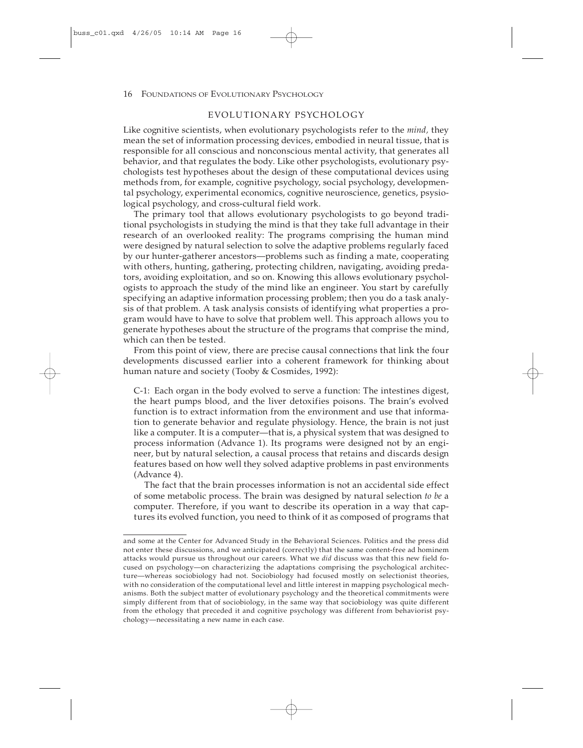#### E VOLUTIONARY PSYCHOLOGY

Like cognitive scientists, when evolutionary psychologists refer to the *mind,* they mean the set of information processing devices, embodied in neural tissue, that is responsible for all conscious and nonconscious mental activity, that generates all behavior, and that regulates the body. Like other psychologists, evolutionary psychologists test hypotheses about the design of these computational devices using methods from, for example, cognitive psychology, social psychology, developmental psychology, experimental economics, cognitive neuroscience, genetics, psysiological psychology, and cross-cultural field work.

The primary tool that allows evolutionary psychologists to go beyond traditional psychologists in studying the mind is that they take full advantage in their research of an overlooked reality: The programs comprising the human mind were designed by natural selection to solve the adaptive problems regularly faced by our hunter-gatherer ancestors—problems such as finding a mate, cooperating with others, hunting, gathering, protecting children, navigating, avoiding predators, avoiding exploitation, and so on. Knowing this allows evolutionary psychologists to approach the study of the mind like an engineer. You start by carefully specifying an adaptive information processing problem; then you do a task analysis of that problem. A task analysis consists of identifying what properties a program would have to have to solve that problem well. This approach allows you to generate hypotheses about the structure of the programs that comprise the mind, which can then be tested.

From this point of view, there are precise causal connections that link the four developments discussed earlier into a coherent framework for thinking about human nature and society (Tooby & Cosmides, 1992):

C-1: Each organ in the body evolved to serve a function: The intestines digest, the heart pumps blood, and the liver detoxifies poisons. The brain's evolved function is to extract information from the environment and use that information to generate behavior and regulate physiology. Hence, the brain is not just like a computer. It is a computer—that is, a physical system that was designed to process information (Advance 1). Its programs were designed not by an engineer, but by natural selection, a causal process that retains and discards design features based on how well they solved adaptive problems in past environments (Advance 4).

The fact that the brain processes information is not an accidental side effect of some metabolic process. The brain was designed by natural selection *to be* a computer. Therefore, if you want to describe its operation in a way that captures its evolved function, you need to think of it as composed of programs that

and some at the Center for Advanced Study in the Behavioral Sciences. Politics and the press did not enter these discussions, and we anticipated (correctly) that the same content-free ad hominem attacks would pursue us throughout our careers. What we *did* discuss was that this new field focused on psychology—on characterizing the adaptations comprising the psychological architecture—whereas sociobiology had not. Sociobiology had focused mostly on selectionist theories, with no consideration of the computational level and little interest in mapping psychological mechanisms. Both the subject matter of evolutionary psychology and the theoretical commitments were simply different from that of sociobiology, in the same way that sociobiology was quite different from the ethology that preceded it and cognitive psychology was different from behaviorist psychology—necessitating a new name in each case.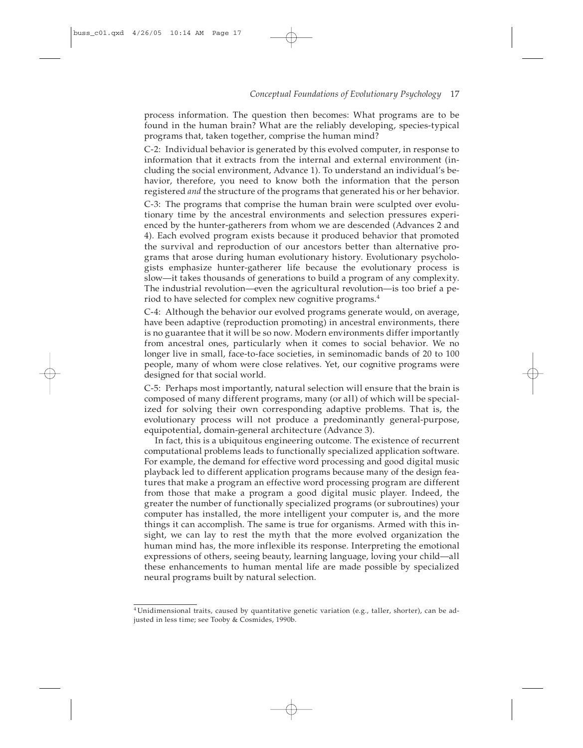process information. The question then becomes: What programs are to be found in the human brain? What are the reliably developing, species-typical programs that, taken together, comprise the human mind?

C-2: Individual behavior is generated by this evolved computer, in response to information that it extracts from the internal and external environment (including the social environment, Advance 1). To understand an individual's behavior, therefore, you need to know both the information that the person registered *and* the structure of the programs that generated his or her behavior.

C-3: The programs that comprise the human brain were sculpted over evolutionary time by the ancestral environments and selection pressures experienced by the hunter-gatherers from whom we are descended (Advances 2 and 4). Each evolved program exists because it produced behavior that promoted the survival and reproduction of our ancestors better than alternative programs that arose during human evolutionary history. Evolutionary psychologists emphasize hunter-gatherer life because the evolutionary process is slow—it takes thousands of generations to build a program of any complexity. The industrial revolution—even the agricultural revolution—is too brief a period to have selected for complex new cognitive programs.<sup>4</sup>

C-4: Although the behavior our evolved programs generate would, on average, have been adaptive (reproduction promoting) in ancestral environments, there is no guarantee that it will be so now. Modern environments differ importantly from ancestral ones, particularly when it comes to social behavior. We no longer live in small, face-to-face societies, in seminomadic bands of 20 to 100 people, many of whom were close relatives. Yet, our cognitive programs were designed for that social world.

C-5: Perhaps most importantly, natural selection will ensure that the brain is composed of many different programs, many (or all) of which will be specialized for solving their own corresponding adaptive problems. That is, the evolutionary process will not produce a predominantly general-purpose, equipotential, domain-general architecture (Advance 3).

In fact, this is a ubiquitous engineering outcome. The existence of recurrent computational problems leads to functionally specialized application software. For example, the demand for effective word processing and good digital music playback led to different application programs because many of the design features that make a program an effective word processing program are different from those that make a program a good digital music player. Indeed, the greater the number of functionally specialized programs (or subroutines) your computer has installed, the more intelligent your computer is, and the more things it can accomplish. The same is true for organisms. Armed with this insight, we can lay to rest the myth that the more evolved organization the human mind has, the more inflexible its response. Interpreting the emotional expressions of others, seeing beauty, learning language, loving your child—all these enhancements to human mental life are made possible by specialized neural programs built by natural selection.

<sup>4</sup> Unidimensional traits, caused by quantitative genetic variation (e.g., taller, shorter), can be adjusted in less time; see Tooby & Cosmides, 1990b.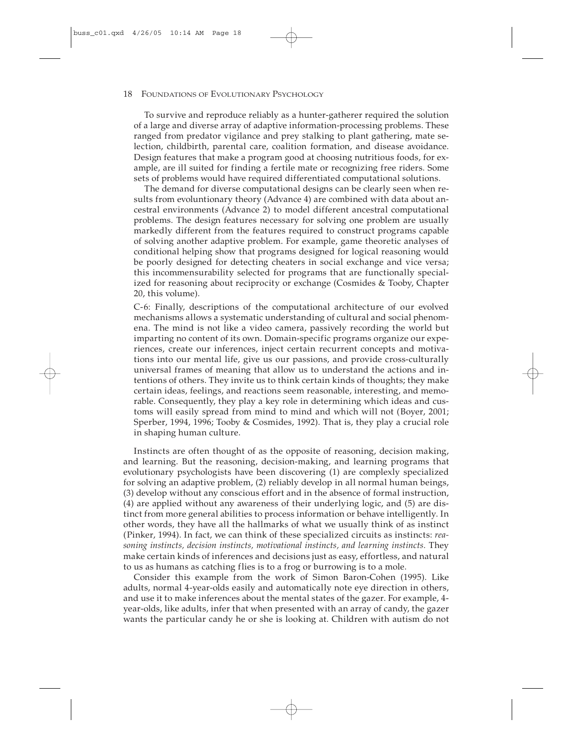To survive and reproduce reliably as a hunter-gatherer required the solution of a large and diverse array of adaptive information-processing problems. These ranged from predator vigilance and prey stalking to plant gathering, mate selection, childbirth, parental care, coalition formation, and disease avoidance. Design features that make a program good at choosing nutritious foods, for example, are ill suited for finding a fertile mate or recognizing free riders. Some sets of problems would have required differentiated computational solutions.

The demand for diverse computational designs can be clearly seen when results from evoluntionary theory (Advance 4) are combined with data about ancestral environments (Advance 2) to model different ancestral computational problems. The design features necessary for solving one problem are usually markedly different from the features required to construct programs capable of solving another adaptive problem. For example, game theoretic analyses of conditional helping show that programs designed for logical reasoning would be poorly designed for detecting cheaters in social exchange and vice versa; this incommensurability selected for programs that are functionally specialized for reasoning about reciprocity or exchange (Cosmides & Tooby, Chapter 20, this volume).

C-6: Finally, descriptions of the computational architecture of our evolved mechanisms allows a systematic understanding of cultural and social phenomena. The mind is not like a video camera, passively recording the world but imparting no content of its own. Domain-specific programs organize our experiences, create our inferences, inject certain recurrent concepts and motivations into our mental life, give us our passions, and provide cross-culturally universal frames of meaning that allow us to understand the actions and intentions of others. They invite us to think certain kinds of thoughts; they make certain ideas, feelings, and reactions seem reasonable, interesting, and memorable. Consequently, they play a key role in determining which ideas and customs will easily spread from mind to mind and which will not (Boyer, 2001; Sperber, 1994, 1996; Tooby & Cosmides, 1992). That is, they play a crucial role in shaping human culture.

Instincts are often thought of as the opposite of reasoning, decision making, and learning. But the reasoning, decision-making, and learning programs that evolutionary psychologists have been discovering (1) are complexly specialized for solving an adaptive problem, (2) reliably develop in all normal human beings, (3) develop without any conscious effort and in the absence of formal instruction, (4) are applied without any awareness of their underlying logic, and (5) are distinct from more general abilities to process information or behave intelligently. In other words, they have all the hallmarks of what we usually think of as instinct (Pinker, 1994). In fact, we can think of these specialized circuits as instincts: *reasoning instincts, decision instincts, motivational instincts, and learning instincts.* They make certain kinds of inferences and decisions just as easy, effortless, and natural to us as humans as catching flies is to a frog or burrowing is to a mole.

Consider this example from the work of Simon Baron-Cohen (1995). Like adults, normal 4-year-olds easily and automatically note eye direction in others, and use it to make inferences about the mental states of the gazer. For example, 4 year-olds, like adults, infer that when presented with an array of candy, the gazer wants the particular candy he or she is looking at. Children with autism do not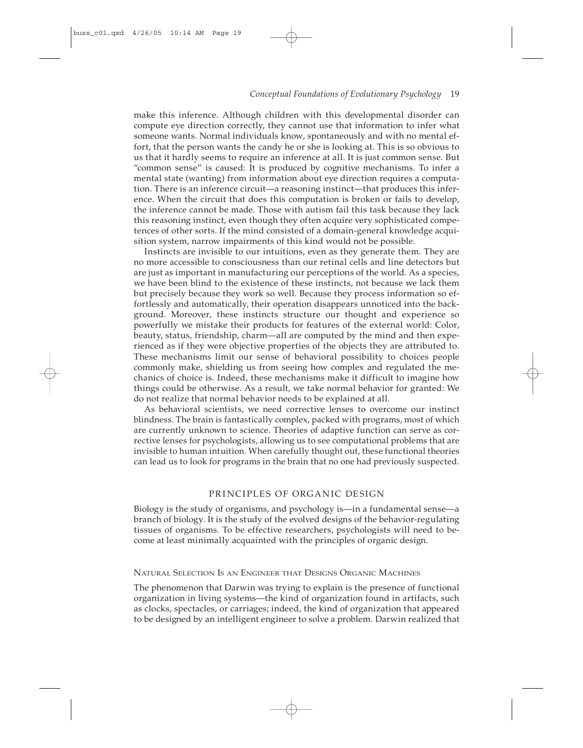make this inference. Although children with this developmental disorder can compute eye direction correctly, they cannot use that information to infer what someone wants. Normal individuals know, spontaneously and with no mental effort, that the person wants the candy he or she is looking at. This is so obvious to us that it hardly seems to require an inference at all. It is just common sense. But "common sense" is caused: It is produced by cognitive mechanisms. To infer a mental state (wanting) from information about eye direction requires a computation. There is an inference circuit—a reasoning instinct—that produces this inference. When the circuit that does this computation is broken or fails to develop, the inference cannot be made. Those with autism fail this task because they lack this reasoning instinct, even though they often acquire very sophisticated competences of other sorts. If the mind consisted of a domain-general knowledge acquisition system, narrow impairments of this kind would not be possible.

Instincts are invisible to our intuitions, even as they generate them. They are no more accessible to consciousness than our retinal cells and line detectors but are just as important in manufacturing our perceptions of the world. As a species, we have been blind to the existence of these instincts, not because we lack them but precisely because they work so well. Because they process information so effortlessly and automatically, their operation disappears unnoticed into the background. Moreover, these instincts structure our thought and experience so powerfully we mistake their products for features of the external world: Color, beauty, status, friendship, charm—all are computed by the mind and then experienced as if they were objective properties of the objects they are attributed to. These mechanisms limit our sense of behavioral possibility to choices people commonly make, shielding us from seeing how complex and regulated the mechanics of choice is. Indeed, these mechanisms make it difficult to imagine how things could be otherwise. As a result, we take normal behavior for granted: We do not realize that normal behavior needs to be explained at all.

As behavioral scientists, we need corrective lenses to overcome our instinct blindness. The brain is fantastically complex, packed with programs, most of which are currently unknown to science. Theories of adaptive function can serve as corrective lenses for psychologists, allowing us to see computational problems that are invisible to human intuition. When carefully thought out, these functional theories can lead us to look for programs in the brain that no one had previously suspected.

# PRINCIPLES OF ORGANIC DESIGN

Biology is the study of organisms, and psychology is—in a fundamental sense—a branch of biology. It is the study of the evolved designs of the behavior-regulating tissues of organisms. To be effective researchers, psychologists will need to become at least minimally acquainted with the principles of organic design.

#### NATURAL SELECTION IS AN ENGINEER THAT DESIGNS ORGANIC MACHINES

The phenomenon that Darwin was trying to explain is the presence of functional organization in living systems—the kind of organization found in artifacts, such as clocks, spectacles, or carriages; indeed, the kind of organization that appeared to be designed by an intelligent engineer to solve a problem. Darwin realized that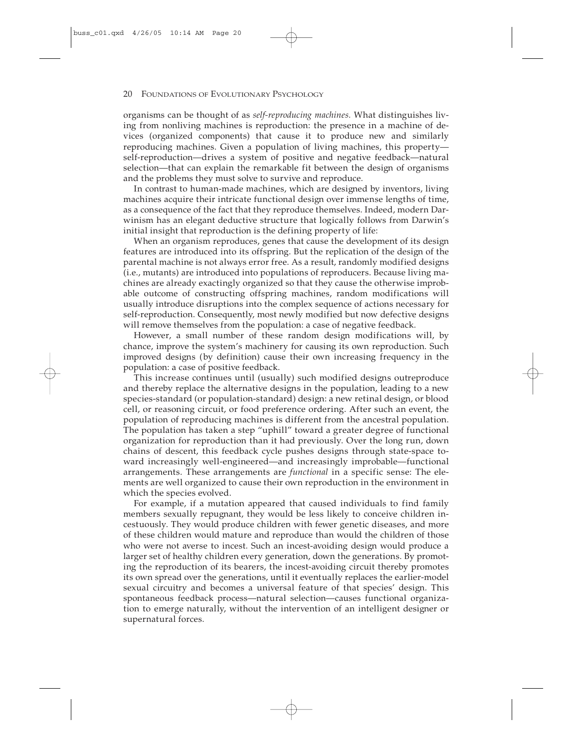organisms can be thought of as *self-reproducing machines.* What distinguishes living from nonliving machines is reproduction: the presence in a machine of devices (organized components) that cause it to produce new and similarly reproducing machines. Given a population of living machines, this property self-reproduction—drives a system of positive and negative feedback—natural selection—that can explain the remarkable fit between the design of organisms and the problems they must solve to survive and reproduce.

In contrast to human-made machines, which are designed by inventors, living machines acquire their intricate functional design over immense lengths of time, as a consequence of the fact that they reproduce themselves. Indeed, modern Darwinism has an elegant deductive structure that logically follows from Darwin's initial insight that reproduction is the defining property of life:

When an organism reproduces, genes that cause the development of its design features are introduced into its offspring. But the replication of the design of the parental machine is not always error free. As a result, randomly modified designs (i.e., mutants) are introduced into populations of reproducers. Because living machines are already exactingly organized so that they cause the otherwise improbable outcome of constructing offspring machines, random modifications will usually introduce disruptions into the complex sequence of actions necessary for self-reproduction. Consequently, most newly modified but now defective designs will remove themselves from the population: a case of negative feedback.

However, a small number of these random design modifications will, by chance, improve the system's machinery for causing its own reproduction. Such improved designs (by definition) cause their own increasing frequency in the population: a case of positive feedback.

This increase continues until (usually) such modified designs outreproduce and thereby replace the alternative designs in the population, leading to a new species-standard (or population-standard) design: a new retinal design, or blood cell, or reasoning circuit, or food preference ordering. After such an event, the population of reproducing machines is different from the ancestral population. The population has taken a step "uphill" toward a greater degree of functional organization for reproduction than it had previously. Over the long run, down chains of descent, this feedback cycle pushes designs through state-space toward increasingly well-engineered—and increasingly improbable—functional arrangements. These arrangements are *functional* in a specific sense: The elements are well organized to cause their own reproduction in the environment in which the species evolved.

For example, if a mutation appeared that caused individuals to find family members sexually repugnant, they would be less likely to conceive children incestuously. They would produce children with fewer genetic diseases, and more of these children would mature and reproduce than would the children of those who were not averse to incest. Such an incest-avoiding design would produce a larger set of healthy children every generation, down the generations. By promoting the reproduction of its bearers, the incest-avoiding circuit thereby promotes its own spread over the generations, until it eventually replaces the earlier-model sexual circuitry and becomes a universal feature of that species' design. This spontaneous feedback process—natural selection—causes functional organization to emerge naturally, without the intervention of an intelligent designer or supernatural forces.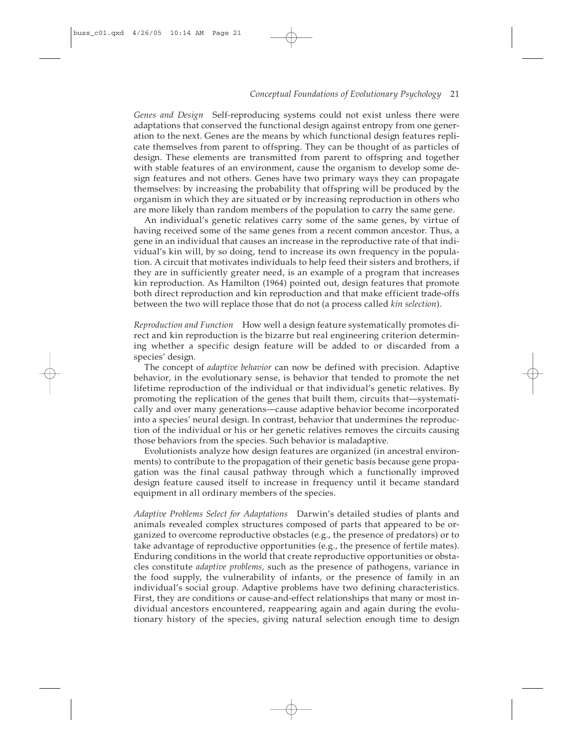*Genes and Design* Self-reproducing systems could not exist unless there were adaptations that conserved the functional design against entropy from one generation to the next. Genes are the means by which functional design features replicate themselves from parent to offspring. They can be thought of as particles of design. These elements are transmitted from parent to offspring and together with stable features of an environment, cause the organism to develop some design features and not others. Genes have two primary ways they can propagate themselves: by increasing the probability that offspring will be produced by the organism in which they are situated or by increasing reproduction in others who are more likely than random members of the population to carry the same gene.

An individual's genetic relatives carry some of the same genes, by virtue of having received some of the same genes from a recent common ancestor. Thus, a gene in an individual that causes an increase in the reproductive rate of that individual's kin will, by so doing, tend to increase its own frequency in the population. A circuit that motivates individuals to help feed their sisters and brothers, if they are in sufficiently greater need, is an example of a program that increases kin reproduction. As Hamilton (1964) pointed out, design features that promote both direct reproduction and kin reproduction and that make efficient trade-offs between the two will replace those that do not (a process called *kin selection*).

*Reproduction and Function* How well a design feature systematically promotes direct and kin reproduction is the bizarre but real engineering criterion determining whether a specific design feature will be added to or discarded from a species' design.

The concept of *adaptive behavior* can now be defined with precision. Adaptive behavior, in the evolutionary sense, is behavior that tended to promote the net lifetime reproduction of the individual or that individual's genetic relatives. By promoting the replication of the genes that built them, circuits that—systematically and over many generations—cause adaptive behavior become incorporated into a species' neural design. In contrast, behavior that undermines the reproduction of the individual or his or her genetic relatives removes the circuits causing those behaviors from the species. Such behavior is maladaptive.

Evolutionists analyze how design features are organized (in ancestral environments) to contribute to the propagation of their genetic basis because gene propagation was the final causal pathway through which a functionally improved design feature caused itself to increase in frequency until it became standard equipment in all ordinary members of the species.

*Adaptive Problems Select for Adaptations* Darwin's detailed studies of plants and animals revealed complex structures composed of parts that appeared to be organized to overcome reproductive obstacles (e.g., the presence of predators) or to take advantage of reproductive opportunities (e.g., the presence of fertile mates). Enduring conditions in the world that create reproductive opportunities or obstacles constitute *adaptive problems,* such as the presence of pathogens, variance in the food supply, the vulnerability of infants, or the presence of family in an individual's social group. Adaptive problems have two defining characteristics. First, they are conditions or cause-and-effect relationships that many or most individual ancestors encountered, reappearing again and again during the evolutionary history of the species, giving natural selection enough time to design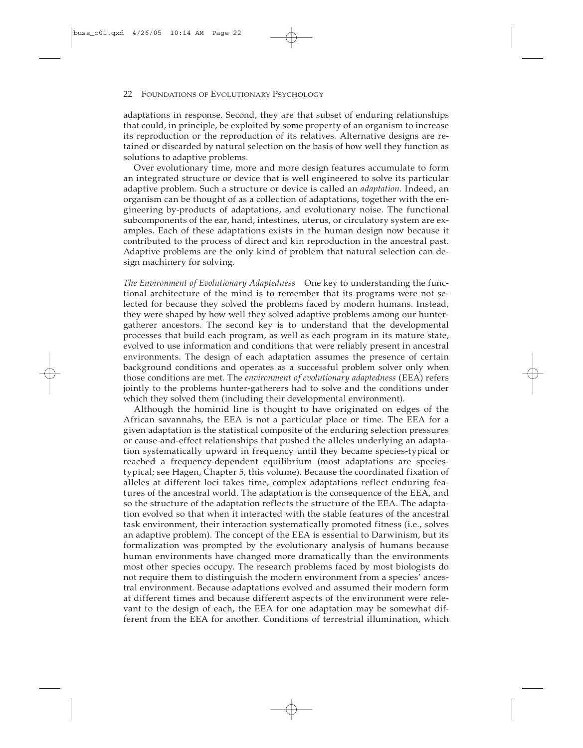adaptations in response. Second, they are that subset of enduring relationships that could, in principle, be exploited by some property of an organism to increase its reproduction or the reproduction of its relatives. Alternative designs are retained or discarded by natural selection on the basis of how well they function as solutions to adaptive problems.

Over evolutionary time, more and more design features accumulate to form an integrated structure or device that is well engineered to solve its particular adaptive problem. Such a structure or device is called an *adaptation.* Indeed, an organism can be thought of as a collection of adaptations, together with the engineering by-products of adaptations, and evolutionary noise. The functional subcomponents of the ear, hand, intestines, uterus, or circulatory system are examples. Each of these adaptations exists in the human design now because it contributed to the process of direct and kin reproduction in the ancestral past. Adaptive problems are the only kind of problem that natural selection can design machinery for solving.

*The Environment of Evolutionary Adaptedness* One key to understanding the functional architecture of the mind is to remember that its programs were not selected for because they solved the problems faced by modern humans. Instead, they were shaped by how well they solved adaptive problems among our huntergatherer ancestors. The second key is to understand that the developmental processes that build each program, as well as each program in its mature state, evolved to use information and conditions that were reliably present in ancestral environments. The design of each adaptation assumes the presence of certain background conditions and operates as a successful problem solver only when those conditions are met. The *environment of evolutionary adaptedness* (EEA) refers jointly to the problems hunter-gatherers had to solve and the conditions under which they solved them (including their developmental environment).

Although the hominid line is thought to have originated on edges of the African savannahs, the EEA is not a particular place or time. The EEA for a given adaptation is the statistical composite of the enduring selection pressures or cause-and-effect relationships that pushed the alleles underlying an adaptation systematically upward in frequency until they became species-typical or reached a frequency-dependent equilibrium (most adaptations are speciestypical; see Hagen, Chapter 5, this volume). Because the coordinated fixation of alleles at different loci takes time, complex adaptations reflect enduring features of the ancestral world. The adaptation is the consequence of the EEA, and so the structure of the adaptation reflects the structure of the EEA. The adaptation evolved so that when it interacted with the stable features of the ancestral task environment, their interaction systematically promoted fitness (i.e., solves an adaptive problem). The concept of the EEA is essential to Darwinism, but its formalization was prompted by the evolutionary analysis of humans because human environments have changed more dramatically than the environments most other species occupy. The research problems faced by most biologists do not require them to distinguish the modern environment from a species' ancestral environment. Because adaptations evolved and assumed their modern form at different times and because different aspects of the environment were relevant to the design of each, the EEA for one adaptation may be somewhat different from the EEA for another. Conditions of terrestrial illumination, which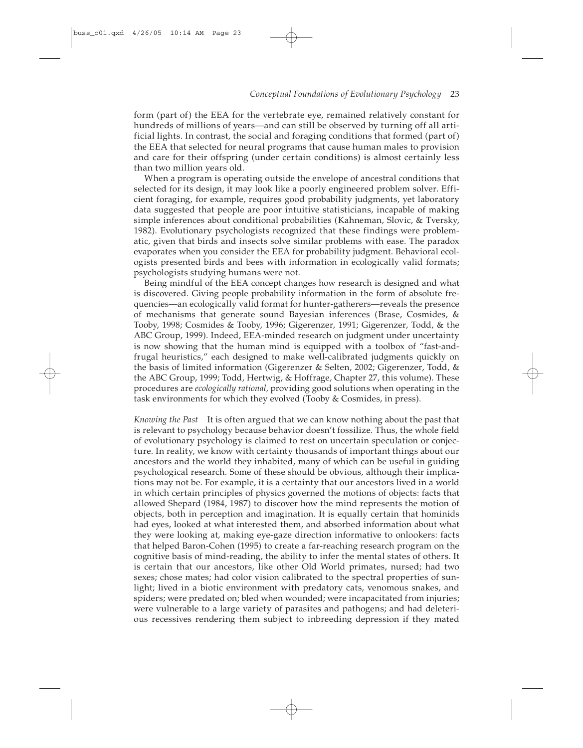form (part of) the EEA for the vertebrate eye, remained relatively constant for hundreds of millions of years—and can still be observed by turning off all artificial lights. In contrast, the social and foraging conditions that formed (part of) the EEA that selected for neural programs that cause human males to provision and care for their offspring (under certain conditions) is almost certainly less than two million years old.

When a program is operating outside the envelope of ancestral conditions that selected for its design, it may look like a poorly engineered problem solver. Efficient foraging, for example, requires good probability judgments, yet laboratory data suggested that people are poor intuitive statisticians, incapable of making simple inferences about conditional probabilities (Kahneman, Slovic, & Tversky, 1982). Evolutionary psychologists recognized that these findings were problematic, given that birds and insects solve similar problems with ease. The paradox evaporates when you consider the EEA for probability judgment. Behavioral ecologists presented birds and bees with information in ecologically valid formats; psychologists studying humans were not.

Being mindful of the EEA concept changes how research is designed and what is discovered. Giving people probability information in the form of absolute frequencies—an ecologically valid format for hunter-gatherers—reveals the presence of mechanisms that generate sound Bayesian inferences (Brase, Cosmides, & Tooby, 1998; Cosmides & Tooby, 1996; Gigerenzer, 1991; Gigerenzer, Todd, & the ABC Group, 1999). Indeed, EEA-minded research on judgment under uncertainty is now showing that the human mind is equipped with a toolbox of "fast-andfrugal heuristics," each designed to make well-calibrated judgments quickly on the basis of limited information (Gigerenzer & Selten, 2002; Gigerenzer, Todd, & the ABC Group, 1999; Todd, Hertwig, & Hoffrage, Chapter 27, this volume). These procedures are *ecologically rational,* providing good solutions when operating in the task environments for which they evolved (Tooby & Cosmides, in press).

*Knowing the Past* It is often argued that we can know nothing about the past that is relevant to psychology because behavior doesn't fossilize. Thus, the whole field of evolutionary psychology is claimed to rest on uncertain speculation or conjecture. In reality, we know with certainty thousands of important things about our ancestors and the world they inhabited, many of which can be useful in guiding psychological research. Some of these should be obvious, although their implications may not be. For example, it is a certainty that our ancestors lived in a world in which certain principles of physics governed the motions of objects: facts that allowed Shepard (1984, 1987) to discover how the mind represents the motion of objects, both in perception and imagination. It is equally certain that hominids had eyes, looked at what interested them, and absorbed information about what they were looking at, making eye-gaze direction informative to onlookers: facts that helped Baron-Cohen (1995) to create a far-reaching research program on the cognitive basis of mind-reading, the ability to infer the mental states of others. It is certain that our ancestors, like other Old World primates, nursed; had two sexes; chose mates; had color vision calibrated to the spectral properties of sunlight; lived in a biotic environment with predatory cats, venomous snakes, and spiders; were predated on; bled when wounded; were incapacitated from injuries; were vulnerable to a large variety of parasites and pathogens; and had deleterious recessives rendering them subject to inbreeding depression if they mated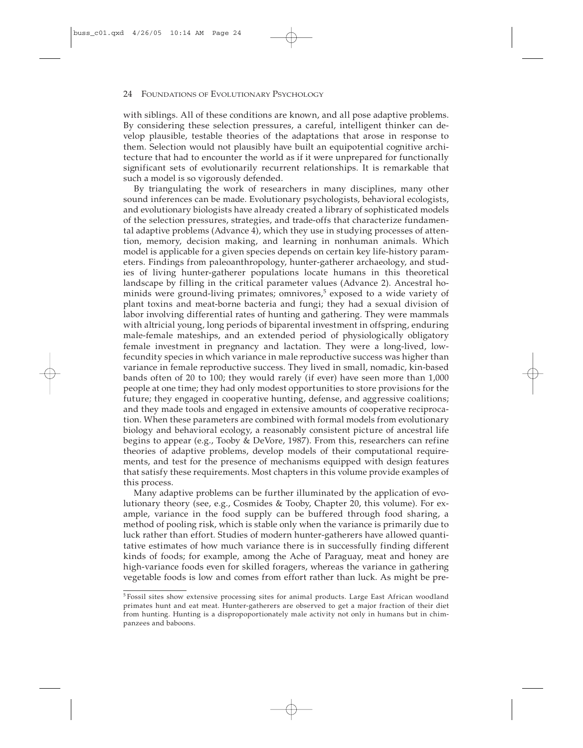with siblings. All of these conditions are known, and all pose adaptive problems. By considering these selection pressures, a careful, intelligent thinker can develop plausible, testable theories of the adaptations that arose in response to them. Selection would not plausibly have built an equipotential cognitive architecture that had to encounter the world as if it were unprepared for functionally significant sets of evolutionarily recurrent relationships. It is remarkable that such a model is so vigorously defended.

By triangulating the work of researchers in many disciplines, many other sound inferences can be made. Evolutionary psychologists, behavioral ecologists, and evolutionary biologists have already created a library of sophisticated models of the selection pressures, strategies, and trade-offs that characterize fundamental adaptive problems (Advance 4), which they use in studying processes of attention, memory, decision making, and learning in nonhuman animals. Which model is applicable for a given species depends on certain key life-history parameters. Findings from paleoanthropology, hunter-gatherer archaeology, and studies of living hunter-gatherer populations locate humans in this theoretical landscape by filling in the critical parameter values (Advance 2). Ancestral hominids were ground-living primates; omnivores,<sup>5</sup> exposed to a wide variety of plant toxins and meat-borne bacteria and fungi; they had a sexual division of labor involving differential rates of hunting and gathering. They were mammals with altricial young, long periods of biparental investment in offspring, enduring male-female mateships, and an extended period of physiologically obligatory female investment in pregnancy and lactation. They were a long-lived, lowfecundity species in which variance in male reproductive success was higher than variance in female reproductive success. They lived in small, nomadic, kin-based bands often of 20 to 100; they would rarely (if ever) have seen more than 1,000 people at one time; they had only modest opportunities to store provisions for the future; they engaged in cooperative hunting, defense, and aggressive coalitions; and they made tools and engaged in extensive amounts of cooperative reciprocation. When these parameters are combined with formal models from evolutionary biology and behavioral ecology, a reasonably consistent picture of ancestral life begins to appear (e.g., Tooby & DeVore, 1987). From this, researchers can refine theories of adaptive problems, develop models of their computational requirements, and test for the presence of mechanisms equipped with design features that satisfy these requirements. Most chapters in this volume provide examples of this process.

Many adaptive problems can be further illuminated by the application of evolutionary theory (see, e.g., Cosmides & Tooby, Chapter 20, this volume). For example, variance in the food supply can be buffered through food sharing, a method of pooling risk, which is stable only when the variance is primarily due to luck rather than effort. Studies of modern hunter-gatherers have allowed quantitative estimates of how much variance there is in successfully finding different kinds of foods; for example, among the Ache of Paraguay, meat and honey are high-variance foods even for skilled foragers, whereas the variance in gathering vegetable foods is low and comes from effort rather than luck. As might be pre-

<sup>5</sup> Fossil sites show extensive processing sites for animal products. Large East African woodland primates hunt and eat meat. Hunter-gatherers are observed to get a major fraction of their diet from hunting. Hunting is a dispropoportionately male activity not only in humans but in chimpanzees and baboons.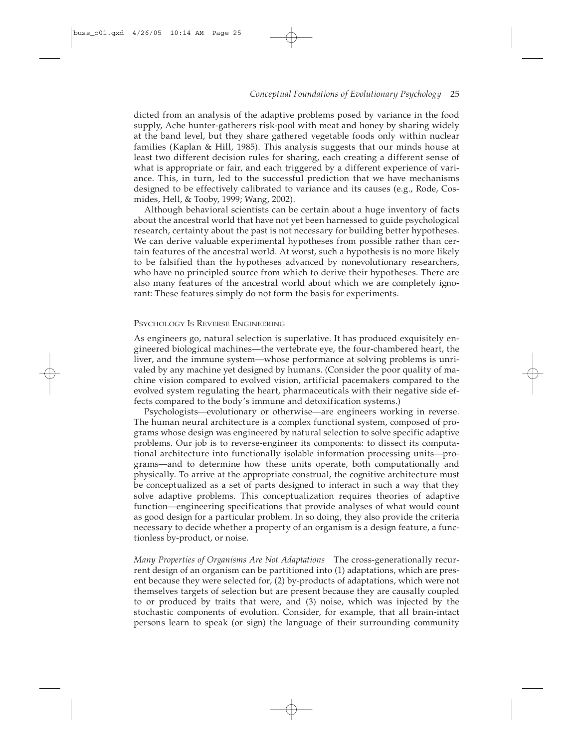dicted from an analysis of the adaptive problems posed by variance in the food supply, Ache hunter-gatherers risk-pool with meat and honey by sharing widely at the band level, but they share gathered vegetable foods only within nuclear families (Kaplan & Hill, 1985). This analysis suggests that our minds house at least two different decision rules for sharing, each creating a different sense of what is appropriate or fair, and each triggered by a different experience of variance. This, in turn, led to the successful prediction that we have mechanisms designed to be effectively calibrated to variance and its causes (e.g., Rode, Cosmides, Hell, & Tooby, 1999; Wang, 2002).

Although behavioral scientists can be certain about a huge inventory of facts about the ancestral world that have not yet been harnessed to guide psychological research, certainty about the past is not necessary for building better hypotheses. We can derive valuable experimental hypotheses from possible rather than certain features of the ancestral world. At worst, such a hypothesis is no more likely to be falsified than the hypotheses advanced by nonevolutionary researchers, who have no principled source from which to derive their hypotheses. There are also many features of the ancestral world about which we are completely ignorant: These features simply do not form the basis for experiments.

#### PSYCHOLOGY IS REVERSE ENGINEERING

As engineers go, natural selection is superlative. It has produced exquisitely engineered biological machines—the vertebrate eye, the four-chambered heart, the liver, and the immune system—whose performance at solving problems is unrivaled by any machine yet designed by humans. (Consider the poor quality of machine vision compared to evolved vision, artificial pacemakers compared to the evolved system regulating the heart, pharmaceuticals with their negative side effects compared to the body's immune and detoxification systems.)

Psychologists—evolutionary or otherwise—are engineers working in reverse. The human neural architecture is a complex functional system, composed of programs whose design was engineered by natural selection to solve specific adaptive problems. Our job is to reverse-engineer its components: to dissect its computational architecture into functionally isolable information processing units—programs—and to determine how these units operate, both computationally and physically. To arrive at the appropriate construal, the cognitive architecture must be conceptualized as a set of parts designed to interact in such a way that they solve adaptive problems. This conceptualization requires theories of adaptive function—engineering specifications that provide analyses of what would count as good design for a particular problem. In so doing, they also provide the criteria necessary to decide whether a property of an organism is a design feature, a functionless by-product, or noise.

*Many Properties of Organisms Are Not Adaptations* The cross-generationally recurrent design of an organism can be partitioned into (1) adaptations, which are present because they were selected for, (2) by-products of adaptations, which were not themselves targets of selection but are present because they are causally coupled to or produced by traits that were, and (3) noise, which was injected by the stochastic components of evolution. Consider, for example, that all brain-intact persons learn to speak (or sign) the language of their surrounding community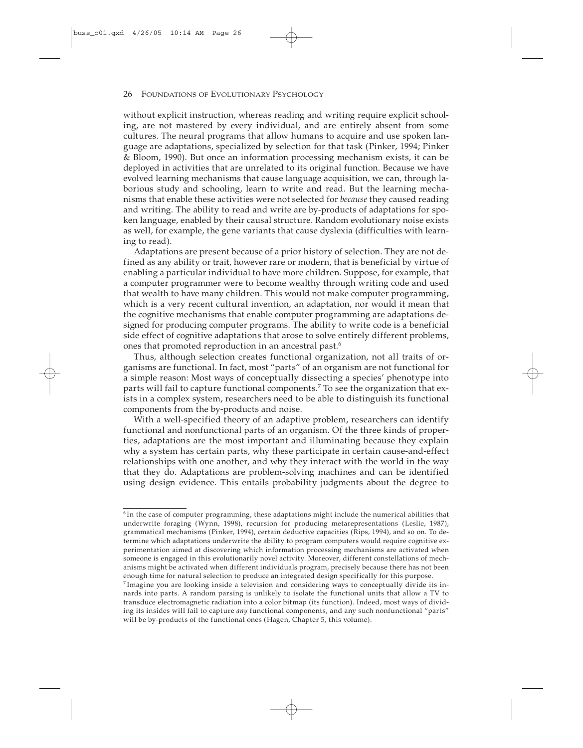without explicit instruction, whereas reading and writing require explicit schooling, are not mastered by every individual, and are entirely absent from some cultures. The neural programs that allow humans to acquire and use spoken language are adaptations, specialized by selection for that task (Pinker, 1994; Pinker & Bloom, 1990). But once an information processing mechanism exists, it can be deployed in activities that are unrelated to its original function. Because we have evolved learning mechanisms that cause language acquisition, we can, through laborious study and schooling, learn to write and read. But the learning mechanisms that enable these activities were not selected for *because* they caused reading and writing. The ability to read and write are by-products of adaptations for spoken language, enabled by their causal structure. Random evolutionary noise exists as well, for example, the gene variants that cause dyslexia (difficulties with learning to read).

Adaptations are present because of a prior history of selection. They are not defined as any ability or trait, however rare or modern, that is beneficial by virtue of enabling a particular individual to have more children. Suppose, for example, that a computer programmer were to become wealthy through writing code and used that wealth to have many children. This would not make computer programming, which is a very recent cultural invention, an adaptation, nor would it mean that the cognitive mechanisms that enable computer programming are adaptations designed for producing computer programs. The ability to write code is a beneficial side effect of cognitive adaptations that arose to solve entirely different problems, ones that promoted reproduction in an ancestral past.6

Thus, although selection creates functional organization, not all traits of organisms are functional. In fact, most "parts" of an organism are not functional for a simple reason: Most ways of conceptually dissecting a species' phenotype into parts will fail to capture functional components.<sup>7</sup> To see the organization that exists in a complex system, researchers need to be able to distinguish its functional components from the by-products and noise.

With a well-specified theory of an adaptive problem, researchers can identify functional and nonfunctional parts of an organism. Of the three kinds of properties, adaptations are the most important and illuminating because they explain why a system has certain parts, why these participate in certain cause-and-effect relationships with one another, and why they interact with the world in the way that they do. Adaptations are problem-solving machines and can be identified using design evidence. This entails probability judgments about the degree to

 $6$  In the case of computer programming, these adaptations might include the numerical abilities that underwrite foraging (Wynn, 1998), recursion for producing metarepresentations (Leslie, 1987), grammatical mechanisms (Pinker, 1994), certain deductive capacities (Rips, 1994), and so on. To determine which adaptations underwrite the ability to program computers would require cognitive experimentation aimed at discovering which information processing mechanisms are activated when someone is engaged in this evolutionarily novel activity. Moreover, different constellations of mechanisms might be activated when different individuals program, precisely because there has not been enough time for natural selection to produce an integrated design specifically for this purpose.

<sup>7</sup> Imagine you are looking inside a television and considering ways to conceptually divide its innards into parts. A random parsing is unlikely to isolate the functional units that allow a TV to transduce electromagnetic radiation into a color bitmap (its function). Indeed, most ways of dividing its insides will fail to capture *any* functional components, and any such nonfunctional "parts" will be by-products of the functional ones (Hagen, Chapter 5, this volume).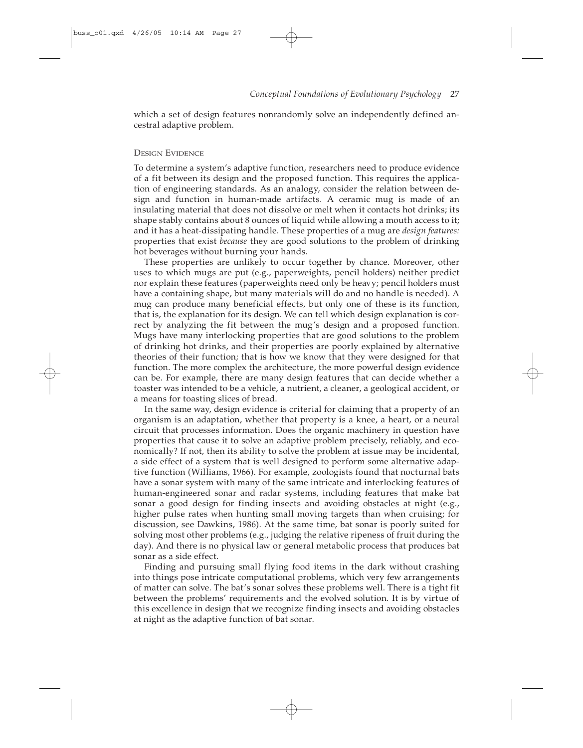which a set of design features nonrandomly solve an independently defined ancestral adaptive problem.

#### DESIGN EVIDENCE

To determine a system's adaptive function, researchers need to produce evidence of a fit between its design and the proposed function. This requires the application of engineering standards. As an analogy, consider the relation between design and function in human-made artifacts. A ceramic mug is made of an insulating material that does not dissolve or melt when it contacts hot drinks; its shape stably contains about 8 ounces of liquid while allowing a mouth access to it; and it has a heat-dissipating handle. These properties of a mug are *design features:* properties that exist *because* they are good solutions to the problem of drinking hot beverages without burning your hands.

These properties are unlikely to occur together by chance. Moreover, other uses to which mugs are put (e.g., paperweights, pencil holders) neither predict nor explain these features (paperweights need only be heavy; pencil holders must have a containing shape, but many materials will do and no handle is needed). A mug can produce many beneficial effects, but only one of these is its function, that is, the explanation for its design. We can tell which design explanation is correct by analyzing the fit between the mug's design and a proposed function. Mugs have many interlocking properties that are good solutions to the problem of drinking hot drinks, and their properties are poorly explained by alternative theories of their function; that is how we know that they were designed for that function. The more complex the architecture, the more powerful design evidence can be. For example, there are many design features that can decide whether a toaster was intended to be a vehicle, a nutrient, a cleaner, a geological accident, or a means for toasting slices of bread.

In the same way, design evidence is criterial for claiming that a property of an organism is an adaptation, whether that property is a knee, a heart, or a neural circuit that processes information. Does the organic machinery in question have properties that cause it to solve an adaptive problem precisely, reliably, and economically? If not, then its ability to solve the problem at issue may be incidental, a side effect of a system that is well designed to perform some alternative adaptive function (Williams, 1966). For example, zoologists found that nocturnal bats have a sonar system with many of the same intricate and interlocking features of human-engineered sonar and radar systems, including features that make bat sonar a good design for finding insects and avoiding obstacles at night (e.g., higher pulse rates when hunting small moving targets than when cruising; for discussion, see Dawkins, 1986). At the same time, bat sonar is poorly suited for solving most other problems (e.g., judging the relative ripeness of fruit during the day). And there is no physical law or general metabolic process that produces bat sonar as a side effect.

Finding and pursuing small flying food items in the dark without crashing into things pose intricate computational problems, which very few arrangements of matter can solve. The bat's sonar solves these problems well. There is a tight fit between the problems' requirements and the evolved solution. It is by virtue of this excellence in design that we recognize finding insects and avoiding obstacles at night as the adaptive function of bat sonar.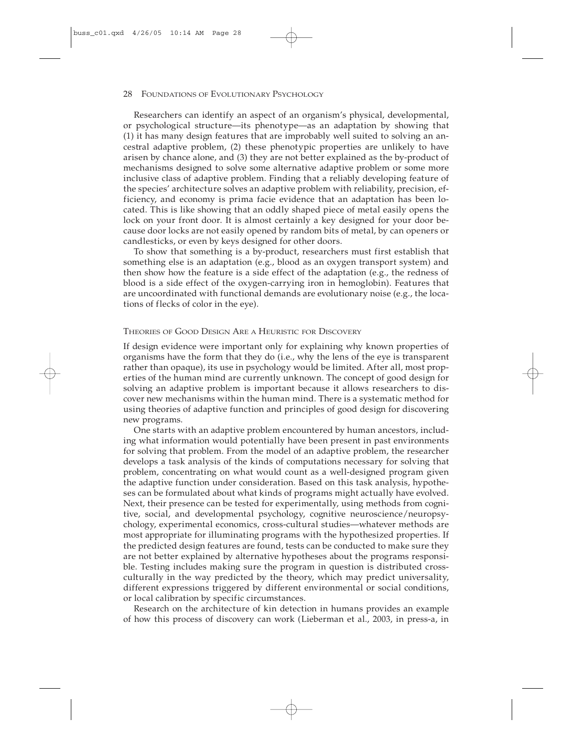Researchers can identify an aspect of an organism's physical, developmental, or psychological structure—its phenotype—as an adaptation by showing that (1) it has many design features that are improbably well suited to solving an ancestral adaptive problem, (2) these phenotypic properties are unlikely to have arisen by chance alone, and (3) they are not better explained as the by-product of mechanisms designed to solve some alternative adaptive problem or some more inclusive class of adaptive problem. Finding that a reliably developing feature of the species' architecture solves an adaptive problem with reliability, precision, efficiency, and economy is prima facie evidence that an adaptation has been located. This is like showing that an oddly shaped piece of metal easily opens the lock on your front door. It is almost certainly a key designed for your door because door locks are not easily opened by random bits of metal, by can openers or candlesticks, or even by keys designed for other doors.

To show that something is a by-product, researchers must first establish that something else is an adaptation (e.g., blood as an oxygen transport system) and then show how the feature is a side effect of the adaptation (e.g., the redness of blood is a side effect of the oxygen-carrying iron in hemoglobin). Features that are uncoordinated with functional demands are evolutionary noise (e.g., the locations of flecks of color in the eye).

#### THEORIES OF GOOD DESIGN ARE A HEURISTIC FOR DISCOVERY

If design evidence were important only for explaining why known properties of organisms have the form that they do (i.e., why the lens of the eye is transparent rather than opaque), its use in psychology would be limited. After all, most properties of the human mind are currently unknown. The concept of good design for solving an adaptive problem is important because it allows researchers to discover new mechanisms within the human mind. There is a systematic method for using theories of adaptive function and principles of good design for discovering new programs.

One starts with an adaptive problem encountered by human ancestors, including what information would potentially have been present in past environments for solving that problem. From the model of an adaptive problem, the researcher develops a task analysis of the kinds of computations necessary for solving that problem, concentrating on what would count as a well-designed program given the adaptive function under consideration. Based on this task analysis, hypotheses can be formulated about what kinds of programs might actually have evolved. Next, their presence can be tested for experimentally, using methods from cognitive, social, and developmental psychology, cognitive neuroscience/neuropsychology, experimental economics, cross-cultural studies—whatever methods are most appropriate for illuminating programs with the hypothesized properties. If the predicted design features are found, tests can be conducted to make sure they are not better explained by alternative hypotheses about the programs responsible. Testing includes making sure the program in question is distributed crossculturally in the way predicted by the theory, which may predict universality, different expressions triggered by different environmental or social conditions, or local calibration by specific circumstances.

Research on the architecture of kin detection in humans provides an example of how this process of discovery can work (Lieberman et al., 2003, in press-a, in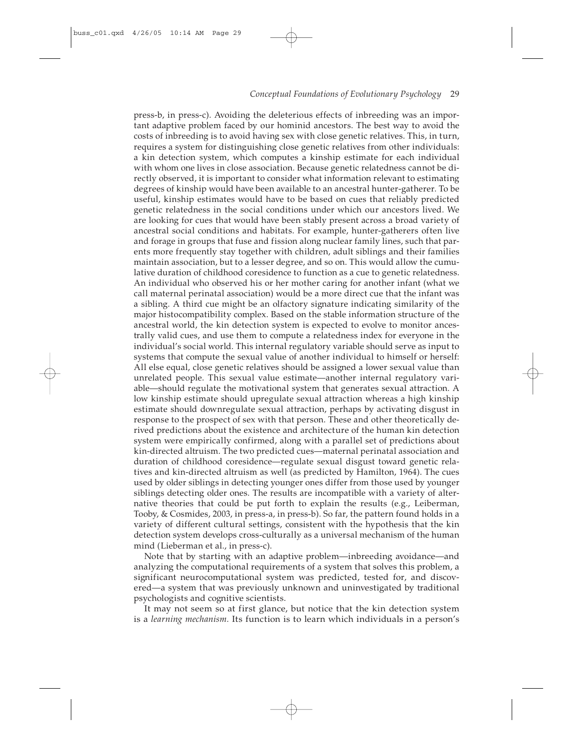press-b, in press-c). Avoiding the deleterious effects of inbreeding was an important adaptive problem faced by our hominid ancestors. The best way to avoid the costs of inbreeding is to avoid having sex with close genetic relatives. This, in turn, requires a system for distinguishing close genetic relatives from other individuals: a kin detection system, which computes a kinship estimate for each individual with whom one lives in close association. Because genetic relatedness cannot be directly observed, it is important to consider what information relevant to estimating degrees of kinship would have been available to an ancestral hunter-gatherer. To be useful, kinship estimates would have to be based on cues that reliably predicted genetic relatedness in the social conditions under which our ancestors lived. We are looking for cues that would have been stably present across a broad variety of ancestral social conditions and habitats. For example, hunter-gatherers often live and forage in groups that fuse and fission along nuclear family lines, such that parents more frequently stay together with children, adult siblings and their families maintain association, but to a lesser degree, and so on. This would allow the cumulative duration of childhood coresidence to function as a cue to genetic relatedness. An individual who observed his or her mother caring for another infant (what we call maternal perinatal association) would be a more direct cue that the infant was a sibling. A third cue might be an olfactory signature indicating similarity of the major histocompatibility complex. Based on the stable information structure of the ancestral world, the kin detection system is expected to evolve to monitor ancestrally valid cues, and use them to compute a relatedness index for everyone in the individual's social world. This internal regulatory variable should serve as input to systems that compute the sexual value of another individual to himself or herself: All else equal, close genetic relatives should be assigned a lower sexual value than unrelated people. This sexual value estimate—another internal regulatory variable—should regulate the motivational system that generates sexual attraction. A low kinship estimate should upregulate sexual attraction whereas a high kinship estimate should downregulate sexual attraction, perhaps by activating disgust in response to the prospect of sex with that person. These and other theoretically derived predictions about the existence and architecture of the human kin detection system were empirically confirmed, along with a parallel set of predictions about kin-directed altruism. The two predicted cues—maternal perinatal association and duration of childhood coresidence—regulate sexual disgust toward genetic relatives and kin-directed altruism as well (as predicted by Hamilton, 1964). The cues used by older siblings in detecting younger ones differ from those used by younger siblings detecting older ones. The results are incompatible with a variety of alternative theories that could be put forth to explain the results (e.g., Leiberman, Tooby, & Cosmides, 2003, in press-a, in press-b). So far, the pattern found holds in a variety of different cultural settings, consistent with the hypothesis that the kin detection system develops cross-culturally as a universal mechanism of the human mind (Lieberman et al., in press-c).

Note that by starting with an adaptive problem—inbreeding avoidance—and analyzing the computational requirements of a system that solves this problem, a significant neurocomputational system was predicted, tested for, and discovered—a system that was previously unknown and uninvestigated by traditional psychologists and cognitive scientists.

It may not seem so at first glance, but notice that the kin detection system is a *learning mechanism.* Its function is to learn which individuals in a person's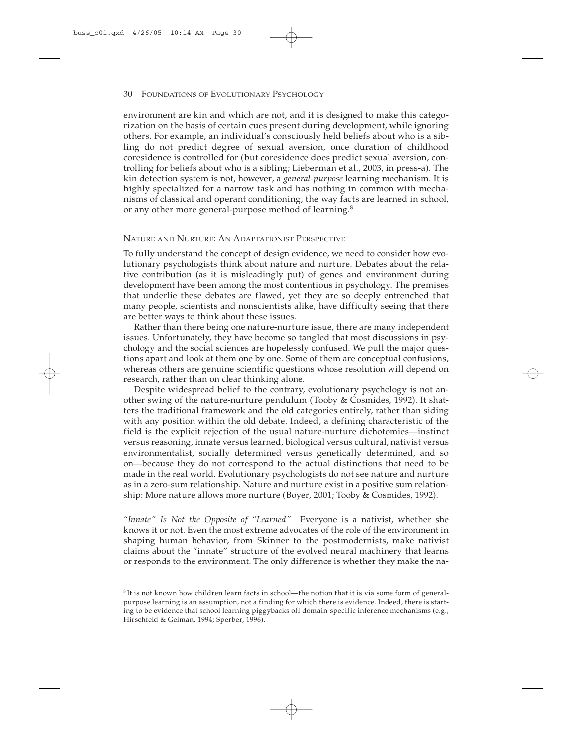environment are kin and which are not, and it is designed to make this categorization on the basis of certain cues present during development, while ignoring others. For example, an individual's consciously held beliefs about who is a sibling do not predict degree of sexual aversion, once duration of childhood coresidence is controlled for (but coresidence does predict sexual aversion, controlling for beliefs about who is a sibling; Lieberman et al., 2003, in press-a). The kin detection system is not, however, a *general-purpose* learning mechanism. It is highly specialized for a narrow task and has nothing in common with mechanisms of classical and operant conditioning, the way facts are learned in school, or any other more general-purpose method of learning.<sup>8</sup>

#### NATURE AND NURTURE: AN ADAPTATIONIST PERSPECTIVE

To fully understand the concept of design evidence, we need to consider how evolutionary psychologists think about nature and nurture. Debates about the relative contribution (as it is misleadingly put) of genes and environment during development have been among the most contentious in psychology. The premises that underlie these debates are flawed, yet they are so deeply entrenched that many people, scientists and nonscientists alike, have difficulty seeing that there are better ways to think about these issues.

Rather than there being one nature-nurture issue, there are many independent issues. Unfortunately, they have become so tangled that most discussions in psychology and the social sciences are hopelessly confused. We pull the major questions apart and look at them one by one. Some of them are conceptual confusions, whereas others are genuine scientific questions whose resolution will depend on research, rather than on clear thinking alone.

Despite widespread belief to the contrary, evolutionary psychology is not another swing of the nature-nurture pendulum (Tooby & Cosmides, 1992). It shatters the traditional framework and the old categories entirely, rather than siding with any position within the old debate. Indeed, a defining characteristic of the field is the explicit rejection of the usual nature-nurture dichotomies—instinct versus reasoning, innate versus learned, biological versus cultural, nativist versus environmentalist, socially determined versus genetically determined, and so on—because they do not correspond to the actual distinctions that need to be made in the real world. Evolutionary psychologists do not see nature and nurture as in a zero-sum relationship. Nature and nurture exist in a positive sum relationship: More nature allows more nurture (Boyer, 2001; Tooby & Cosmides, 1992).

*"Innate" Is Not the Opposite of "Learned"* Everyone is a nativist, whether she knows it or not. Even the most extreme advocates of the role of the environment in shaping human behavior, from Skinner to the postmodernists, make nativist claims about the "innate" structure of the evolved neural machinery that learns or responds to the environment. The only difference is whether they make the na-

<sup>8</sup> It is not known how children learn facts in school—the notion that it is via some form of generalpurpose learning is an assumption, not a finding for which there is evidence. Indeed, there is starting to be evidence that school learning piggybacks off domain-specific inference mechanisms (e.g., Hirschfeld & Gelman, 1994; Sperber, 1996).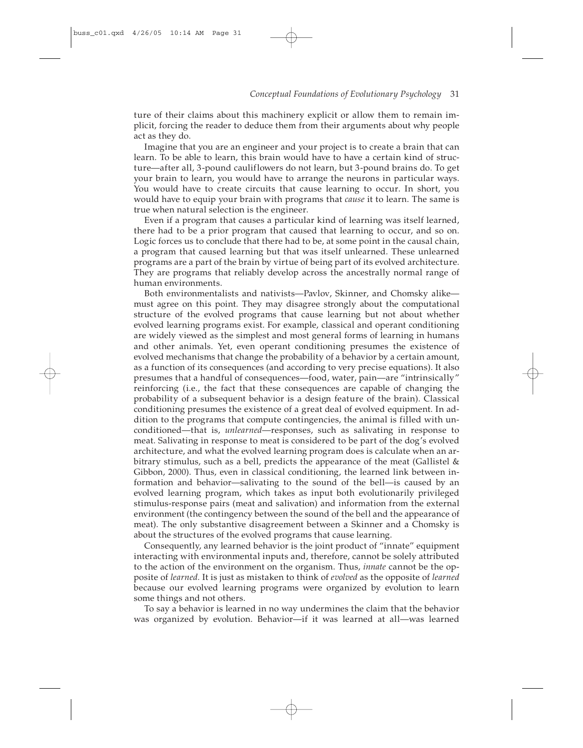ture of their claims about this machinery explicit or allow them to remain implicit, forcing the reader to deduce them from their arguments about why people act as they do.

Imagine that you are an engineer and your project is to create a brain that can learn. To be able to learn, this brain would have to have a certain kind of structure—after all, 3-pound cauliflowers do not learn, but 3-pound brains do. To get your brain to learn, you would have to arrange the neurons in particular ways. You would have to create circuits that cause learning to occur. In short, you would have to equip your brain with programs that *cause* it to learn. The same is true when natural selection is the engineer.

Even if a program that causes a particular kind of learning was itself learned, there had to be a prior program that caused that learning to occur, and so on. Logic forces us to conclude that there had to be, at some point in the causal chain, a program that caused learning but that was itself unlearned. These unlearned programs are a part of the brain by virtue of being part of its evolved architecture. They are programs that reliably develop across the ancestrally normal range of human environments.

Both environmentalists and nativists—Pavlov, Skinner, and Chomsky alike must agree on this point. They may disagree strongly about the computational structure of the evolved programs that cause learning but not about whether evolved learning programs exist. For example, classical and operant conditioning are widely viewed as the simplest and most general forms of learning in humans and other animals. Yet, even operant conditioning presumes the existence of evolved mechanisms that change the probability of a behavior by a certain amount, as a function of its consequences (and according to very precise equations). It also presumes that a handful of consequences—food, water, pain—are "intrinsically" reinforcing (i.e., the fact that these consequences are capable of changing the probability of a subsequent behavior is a design feature of the brain). Classical conditioning presumes the existence of a great deal of evolved equipment. In addition to the programs that compute contingencies, the animal is filled with unconditioned—that is, *unlearned*—responses, such as salivating in response to meat. Salivating in response to meat is considered to be part of the dog's evolved architecture, and what the evolved learning program does is calculate when an arbitrary stimulus, such as a bell, predicts the appearance of the meat (Gallistel  $\&$ Gibbon, 2000). Thus, even in classical conditioning, the learned link between information and behavior—salivating to the sound of the bell—is caused by an evolved learning program, which takes as input both evolutionarily privileged stimulus-response pairs (meat and salivation) and information from the external environment (the contingency between the sound of the bell and the appearance of meat). The only substantive disagreement between a Skinner and a Chomsky is about the structures of the evolved programs that cause learning.

Consequently, any learned behavior is the joint product of "innate" equipment interacting with environmental inputs and, therefore, cannot be solely attributed to the action of the environment on the organism. Thus, *innate* cannot be the opposite of *learned.* It is just as mistaken to think of *evolved* as the opposite of *learned* because our evolved learning programs were organized by evolution to learn some things and not others.

To say a behavior is learned in no way undermines the claim that the behavior was organized by evolution. Behavior—if it was learned at all—was learned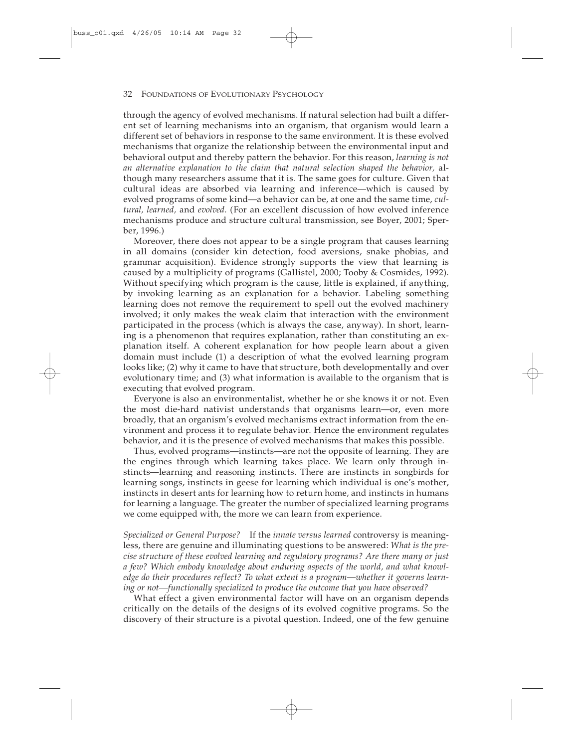through the agency of evolved mechanisms. If natural selection had built a different set of learning mechanisms into an organism, that organism would learn a different set of behaviors in response to the same environment. It is these evolved mechanisms that organize the relationship between the environmental input and behavioral output and thereby pattern the behavior. For this reason, *learning is not an alternative explanation to the claim that natural selection shaped the behavior,* although many researchers assume that it is. The same goes for culture. Given that cultural ideas are absorbed via learning and inference—which is caused by evolved programs of some kind—a behavior can be, at one and the same time, *cultural, learned,* and *evolved.* (For an excellent discussion of how evolved inference mechanisms produce and structure cultural transmission, see Boyer, 2001; Sperber, 1996.)

Moreover, there does not appear to be a single program that causes learning in all domains (consider kin detection, food aversions, snake phobias, and grammar acquisition). Evidence strongly supports the view that learning is caused by a multiplicity of programs (Gallistel, 2000; Tooby & Cosmides, 1992). Without specifying which program is the cause, little is explained, if anything, by invoking learning as an explanation for a behavior. Labeling something learning does not remove the requirement to spell out the evolved machinery involved; it only makes the weak claim that interaction with the environment participated in the process (which is always the case, anyway). In short, learning is a phenomenon that requires explanation, rather than constituting an explanation itself. A coherent explanation for how people learn about a given domain must include (1) a description of what the evolved learning program looks like; (2) why it came to have that structure, both developmentally and over evolutionary time; and (3) what information is available to the organism that is executing that evolved program.

Everyone is also an environmentalist, whether he or she knows it or not. Even the most die-hard nativist understands that organisms learn—or, even more broadly, that an organism's evolved mechanisms extract information from the environment and process it to regulate behavior. Hence the environment regulates behavior, and it is the presence of evolved mechanisms that makes this possible.

Thus, evolved programs—instincts—are not the opposite of learning. They are the engines through which learning takes place. We learn only through instincts—learning and reasoning instincts. There are instincts in songbirds for learning songs, instincts in geese for learning which individual is one's mother, instincts in desert ants for learning how to return home, and instincts in humans for learning a language. The greater the number of specialized learning programs we come equipped with, the more we can learn from experience.

*Specialized or General Purpose?* If the *innate versus learned* controversy is meaningless, there are genuine and illuminating questions to be answered: *What is the precise structure of these evolved learning and regulatory programs? Are there many or just a few? Which embody knowledge about enduring aspects of the world, and what knowledge do their procedures reflect? To what extent is a program—whether it governs learning or not—functionally specialized to produce the outcome that you have observed?*

What effect a given environmental factor will have on an organism depends critically on the details of the designs of its evolved cognitive programs. So the discovery of their structure is a pivotal question. Indeed, one of the few genuine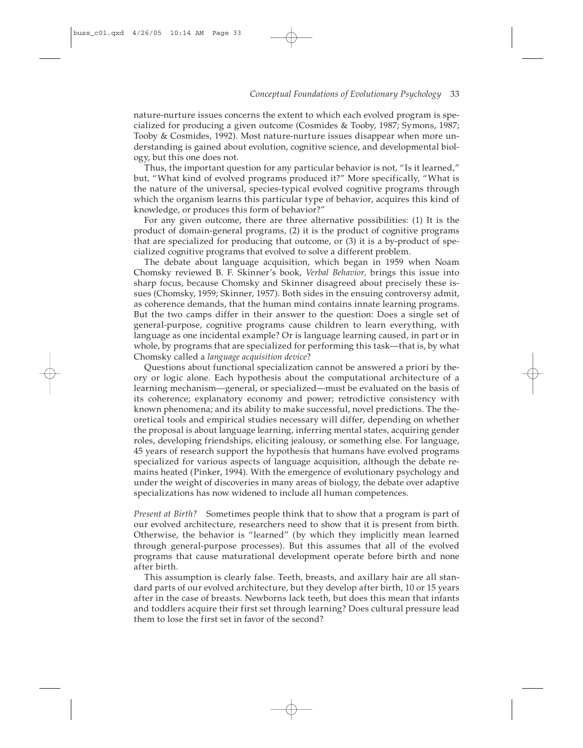nature-nurture issues concerns the extent to which each evolved program is specialized for producing a given outcome (Cosmides & Tooby, 1987; Symons, 1987; Tooby & Cosmides, 1992). Most nature-nurture issues disappear when more understanding is gained about evolution, cognitive science, and developmental biology, but this one does not.

Thus, the important question for any particular behavior is not, "Is it learned," but, "What kind of evolved programs produced it?" More specifically, "What is the nature of the universal, species-typical evolved cognitive programs through which the organism learns this particular type of behavior, acquires this kind of knowledge, or produces this form of behavior?"

For any given outcome, there are three alternative possibilities: (1) It is the product of domain-general programs, (2) it is the product of cognitive programs that are specialized for producing that outcome, or (3) it is a by-product of specialized cognitive programs that evolved to solve a different problem.

The debate about language acquisition, which began in 1959 when Noam Chomsky reviewed B. F. Skinner's book, *Verbal Behavior,* brings this issue into sharp focus, because Chomsky and Skinner disagreed about precisely these issues (Chomsky, 1959; Skinner, 1957). Both sides in the ensuing controversy admit, as coherence demands, that the human mind contains innate learning programs. But the two camps differ in their answer to the question: Does a single set of general-purpose, cognitive programs cause children to learn everything, with language as one incidental example? Or is language learning caused, in part or in whole, by programs that are specialized for performing this task—that is, by what Chomsky called a *language acquisition device*?

Questions about functional specialization cannot be answered a priori by theory or logic alone. Each hypothesis about the computational architecture of a learning mechanism—general, or specialized—must be evaluated on the basis of its coherence; explanatory economy and power; retrodictive consistency with known phenomena; and its ability to make successful, novel predictions. The theoretical tools and empirical studies necessary will differ, depending on whether the proposal is about language learning, inferring mental states, acquiring gender roles, developing friendships, eliciting jealousy, or something else. For language, 45 years of research support the hypothesis that humans have evolved programs specialized for various aspects of language acquisition, although the debate remains heated (Pinker, 1994). With the emergence of evolutionary psychology and under the weight of discoveries in many areas of biology, the debate over adaptive specializations has now widened to include all human competences.

*Present at Birth?* Sometimes people think that to show that a program is part of our evolved architecture, researchers need to show that it is present from birth. Otherwise, the behavior is "learned" (by which they implicitly mean learned through general-purpose processes). But this assumes that all of the evolved programs that cause maturational development operate before birth and none after birth.

This assumption is clearly false. Teeth, breasts, and axillary hair are all standard parts of our evolved architecture, but they develop after birth, 10 or 15 years after in the case of breasts. Newborns lack teeth, but does this mean that infants and toddlers acquire their first set through learning? Does cultural pressure lead them to lose the first set in favor of the second?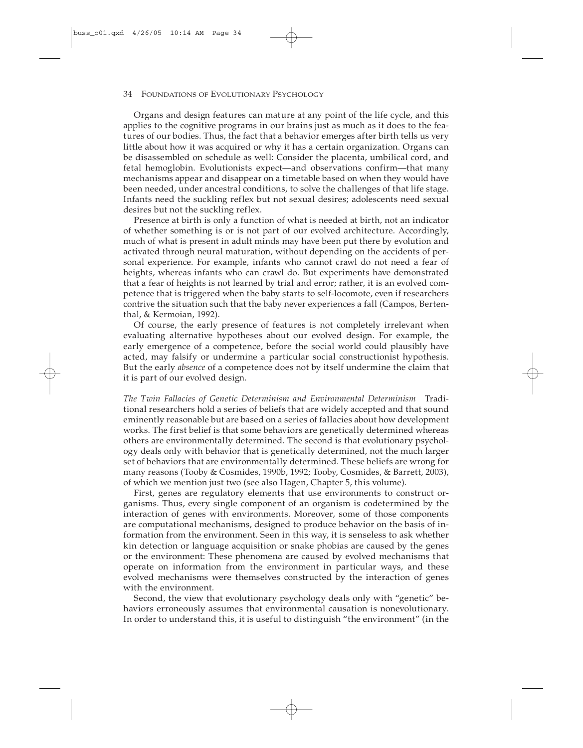Organs and design features can mature at any point of the life cycle, and this applies to the cognitive programs in our brains just as much as it does to the features of our bodies. Thus, the fact that a behavior emerges after birth tells us very little about how it was acquired or why it has a certain organization. Organs can be disassembled on schedule as well: Consider the placenta, umbilical cord, and fetal hemoglobin. Evolutionists expect—and observations confirm—that many mechanisms appear and disappear on a timetable based on when they would have been needed, under ancestral conditions, to solve the challenges of that life stage. Infants need the suckling reflex but not sexual desires; adolescents need sexual desires but not the suckling reflex.

Presence at birth is only a function of what is needed at birth, not an indicator of whether something is or is not part of our evolved architecture. Accordingly, much of what is present in adult minds may have been put there by evolution and activated through neural maturation, without depending on the accidents of personal experience. For example, infants who cannot crawl do not need a fear of heights, whereas infants who can crawl do. But experiments have demonstrated that a fear of heights is not learned by trial and error; rather, it is an evolved competence that is triggered when the baby starts to self-locomote, even if researchers contrive the situation such that the baby never experiences a fall (Campos, Bertenthal, & Kermoian, 1992).

Of course, the early presence of features is not completely irrelevant when evaluating alternative hypotheses about our evolved design. For example, the early emergence of a competence, before the social world could plausibly have acted, may falsify or undermine a particular social constructionist hypothesis. But the early *absence* of a competence does not by itself undermine the claim that it is part of our evolved design.

*The Twin Fallacies of Genetic Determinism and Environmental Determinism* Traditional researchers hold a series of beliefs that are widely accepted and that sound eminently reasonable but are based on a series of fallacies about how development works. The first belief is that some behaviors are genetically determined whereas others are environmentally determined. The second is that evolutionary psychology deals only with behavior that is genetically determined, not the much larger set of behaviors that are environmentally determined. These beliefs are wrong for many reasons (Tooby & Cosmides, 1990b, 1992; Tooby, Cosmides, & Barrett, 2003), of which we mention just two (see also Hagen, Chapter 5, this volume).

First, genes are regulatory elements that use environments to construct organisms. Thus, every single component of an organism is codetermined by the interaction of genes with environments. Moreover, some of those components are computational mechanisms, designed to produce behavior on the basis of information from the environment. Seen in this way, it is senseless to ask whether kin detection or language acquisition or snake phobias are caused by the genes or the environment: These phenomena are caused by evolved mechanisms that operate on information from the environment in particular ways, and these evolved mechanisms were themselves constructed by the interaction of genes with the environment.

Second, the view that evolutionary psychology deals only with "genetic" behaviors erroneously assumes that environmental causation is nonevolutionary. In order to understand this, it is useful to distinguish "the environment" (in the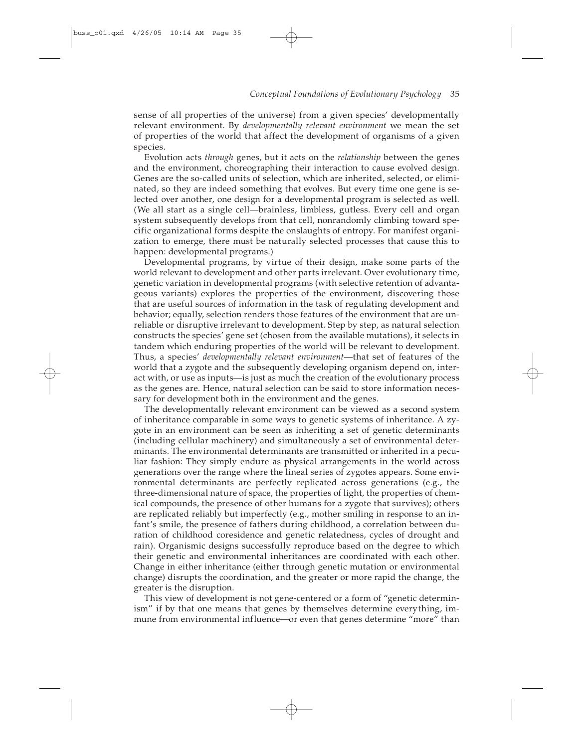sense of all properties of the universe) from a given species' developmentally relevant environment. By *developmentally relevant environment* we mean the set of properties of the world that affect the development of organisms of a given species.

Evolution acts *through* genes, but it acts on the *relationship* between the genes and the environment, choreographing their interaction to cause evolved design. Genes are the so-called units of selection, which are inherited, selected, or eliminated, so they are indeed something that evolves. But every time one gene is selected over another, one design for a developmental program is selected as well. (We all start as a single cell—brainless, limbless, gutless. Every cell and organ system subsequently develops from that cell, nonrandomly climbing toward specific organizational forms despite the onslaughts of entropy. For manifest organization to emerge, there must be naturally selected processes that cause this to happen: developmental programs.)

Developmental programs, by virtue of their design, make some parts of the world relevant to development and other parts irrelevant. Over evolutionary time, genetic variation in developmental programs (with selective retention of advantageous variants) explores the properties of the environment, discovering those that are useful sources of information in the task of regulating development and behavior; equally, selection renders those features of the environment that are unreliable or disruptive irrelevant to development. Step by step, as natural selection constructs the species' gene set (chosen from the available mutations), it selects in tandem which enduring properties of the world will be relevant to development. Thus, a species' *developmentally relevant environment*—that set of features of the world that a zygote and the subsequently developing organism depend on, interact with, or use as inputs—is just as much the creation of the evolutionary process as the genes are. Hence, natural selection can be said to store information necessary for development both in the environment and the genes.

The developmentally relevant environment can be viewed as a second system of inheritance comparable in some ways to genetic systems of inheritance. A zygote in an environment can be seen as inheriting a set of genetic determinants (including cellular machinery) and simultaneously a set of environmental determinants. The environmental determinants are transmitted or inherited in a peculiar fashion: They simply endure as physical arrangements in the world across generations over the range where the lineal series of zygotes appears. Some environmental determinants are perfectly replicated across generations (e.g., the three-dimensional nature of space, the properties of light, the properties of chemical compounds, the presence of other humans for a zygote that survives); others are replicated reliably but imperfectly (e.g., mother smiling in response to an infant's smile, the presence of fathers during childhood, a correlation between duration of childhood coresidence and genetic relatedness, cycles of drought and rain). Organismic designs successfully reproduce based on the degree to which their genetic and environmental inheritances are coordinated with each other. Change in either inheritance (either through genetic mutation or environmental change) disrupts the coordination, and the greater or more rapid the change, the greater is the disruption.

This view of development is not gene-centered or a form of "genetic determinism" if by that one means that genes by themselves determine everything, immune from environmental influence—or even that genes determine "more" than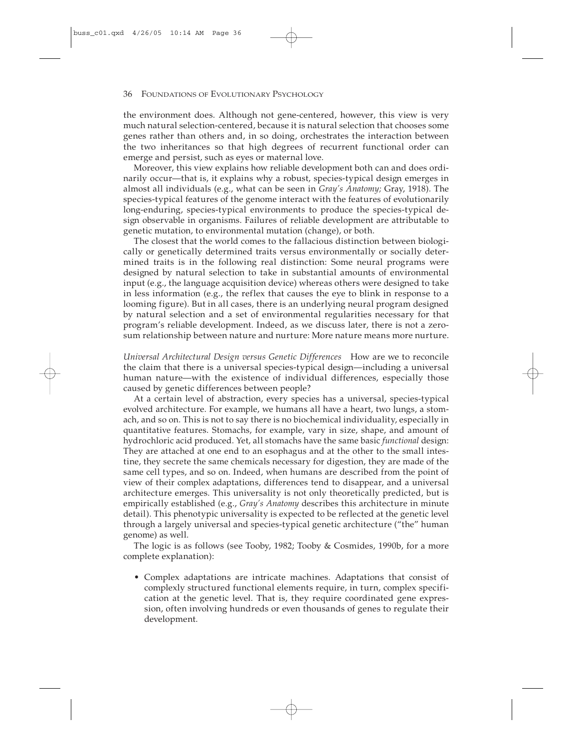the environment does. Although not gene-centered, however, this view is very much natural selection-centered, because it is natural selection that chooses some genes rather than others and, in so doing, orchestrates the interaction between the two inheritances so that high degrees of recurrent functional order can emerge and persist, such as eyes or maternal love.

Moreover, this view explains how reliable development both can and does ordinarily occur—that is, it explains why a robust, species-typical design emerges in almost all individuals (e.g., what can be seen in *Gray's Anatomy;* Gray, 1918). The species-typical features of the genome interact with the features of evolutionarily long-enduring, species-typical environments to produce the species-typical design observable in organisms. Failures of reliable development are attributable to genetic mutation, to environmental mutation (change), or both.

The closest that the world comes to the fallacious distinction between biologically or genetically determined traits versus environmentally or socially determined traits is in the following real distinction: Some neural programs were designed by natural selection to take in substantial amounts of environmental input (e.g., the language acquisition device) whereas others were designed to take in less information (e.g., the reflex that causes the eye to blink in response to a looming figure). But in all cases, there is an underlying neural program designed by natural selection and a set of environmental regularities necessary for that program's reliable development. Indeed, as we discuss later, there is not a zerosum relationship between nature and nurture: More nature means more nurture.

*Universal Architectural Design versus Genetic Differences* How are we to reconcile the claim that there is a universal species-typical design—including a universal human nature—with the existence of individual differences, especially those caused by genetic differences between people?

At a certain level of abstraction, every species has a universal, species-typical evolved architecture. For example, we humans all have a heart, two lungs, a stomach, and so on. This is not to say there is no biochemical individuality, especially in quantitative features. Stomachs, for example, vary in size, shape, and amount of hydrochloric acid produced. Yet, all stomachs have the same basic *functional* design: They are attached at one end to an esophagus and at the other to the small intestine, they secrete the same chemicals necessary for digestion, they are made of the same cell types, and so on. Indeed, when humans are described from the point of view of their complex adaptations, differences tend to disappear, and a universal architecture emerges. This universality is not only theoretically predicted, but is empirically established (e.g., *Gray's Anatomy* describes this architecture in minute detail). This phenotypic universality is expected to be reflected at the genetic level through a largely universal and species-typical genetic architecture ("the" human genome) as well.

The logic is as follows (see Tooby, 1982; Tooby & Cosmides, 1990b, for a more complete explanation):

• Complex adaptations are intricate machines. Adaptations that consist of complexly structured functional elements require, in turn, complex specification at the genetic level. That is, they require coordinated gene expression, often involving hundreds or even thousands of genes to regulate their development.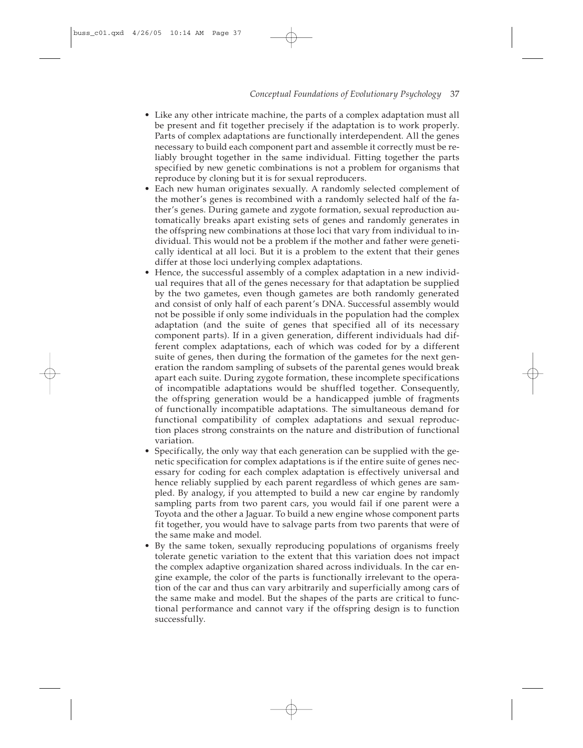- Like any other intricate machine, the parts of a complex adaptation must all be present and fit together precisely if the adaptation is to work properly. Parts of complex adaptations are functionally interdependent. All the genes necessary to build each component part and assemble it correctly must be reliably brought together in the same individual. Fitting together the parts specified by new genetic combinations is not a problem for organisms that reproduce by cloning but it is for sexual reproducers.
- Each new human originates sexually. A randomly selected complement of the mother's genes is recombined with a randomly selected half of the father's genes. During gamete and zygote formation, sexual reproduction automatically breaks apart existing sets of genes and randomly generates in the offspring new combinations at those loci that vary from individual to individual. This would not be a problem if the mother and father were genetically identical at all loci. But it is a problem to the extent that their genes differ at those loci underlying complex adaptations.
- Hence, the successful assembly of a complex adaptation in a new individual requires that all of the genes necessary for that adaptation be supplied by the two gametes, even though gametes are both randomly generated and consist of only half of each parent's DNA. Successful assembly would not be possible if only some individuals in the population had the complex adaptation (and the suite of genes that specified all of its necessary component parts). If in a given generation, different individuals had different complex adaptations, each of which was coded for by a different suite of genes, then during the formation of the gametes for the next generation the random sampling of subsets of the parental genes would break apart each suite. During zygote formation, these incomplete specifications of incompatible adaptations would be shuffled together. Consequently, the offspring generation would be a handicapped jumble of fragments of functionally incompatible adaptations. The simultaneous demand for functional compatibility of complex adaptations and sexual reproduction places strong constraints on the nature and distribution of functional variation.
- Specifically, the only way that each generation can be supplied with the genetic specification for complex adaptations is if the entire suite of genes necessary for coding for each complex adaptation is effectively universal and hence reliably supplied by each parent regardless of which genes are sampled. By analogy, if you attempted to build a new car engine by randomly sampling parts from two parent cars, you would fail if one parent were a Toyota and the other a Jaguar. To build a new engine whose component parts fit together, you would have to salvage parts from two parents that were of the same make and model.
- By the same token, sexually reproducing populations of organisms freely tolerate genetic variation to the extent that this variation does not impact the complex adaptive organization shared across individuals. In the car engine example, the color of the parts is functionally irrelevant to the operation of the car and thus can vary arbitrarily and superficially among cars of the same make and model. But the shapes of the parts are critical to functional performance and cannot vary if the offspring design is to function successfully.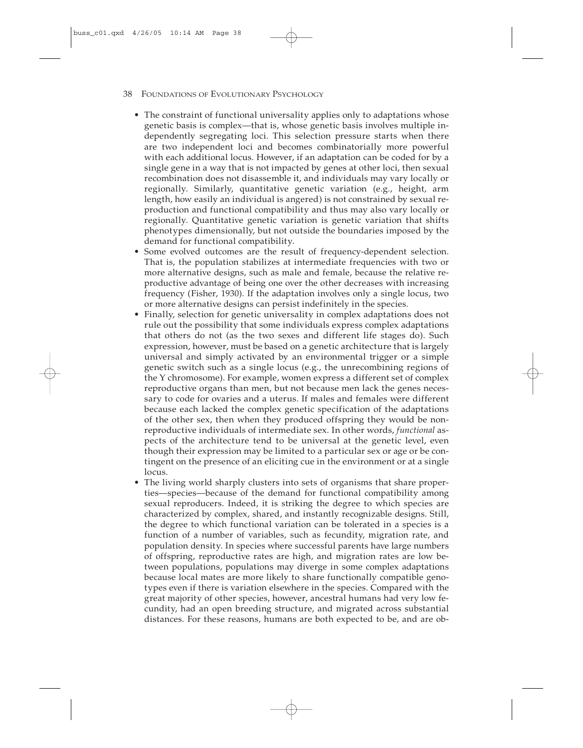- The constraint of functional universality applies only to adaptations whose genetic basis is complex—that is, whose genetic basis involves multiple independently segregating loci. This selection pressure starts when there are two independent loci and becomes combinatorially more powerful with each additional locus. However, if an adaptation can be coded for by a single gene in a way that is not impacted by genes at other loci, then sexual recombination does not disassemble it, and individuals may vary locally or regionally. Similarly, quantitative genetic variation (e.g., height, arm length, how easily an individual is angered) is not constrained by sexual reproduction and functional compatibility and thus may also vary locally or regionally. Quantitative genetic variation is genetic variation that shifts phenotypes dimensionally, but not outside the boundaries imposed by the demand for functional compatibility.
- Some evolved outcomes are the result of frequency-dependent selection. That is, the population stabilizes at intermediate frequencies with two or more alternative designs, such as male and female, because the relative reproductive advantage of being one over the other decreases with increasing frequency (Fisher, 1930). If the adaptation involves only a single locus, two or more alternative designs can persist indefinitely in the species.
- Finally, selection for genetic universality in complex adaptations does not rule out the possibility that some individuals express complex adaptations that others do not (as the two sexes and different life stages do). Such expression, however, must be based on a genetic architecture that is largely universal and simply activated by an environmental trigger or a simple genetic switch such as a single locus (e.g., the unrecombining regions of the Y chromosome). For example, women express a different set of complex reproductive organs than men, but not because men lack the genes necessary to code for ovaries and a uterus. If males and females were different because each lacked the complex genetic specification of the adaptations of the other sex, then when they produced offspring they would be nonreproductive individuals of intermediate sex. In other words, *functional* aspects of the architecture tend to be universal at the genetic level, even though their expression may be limited to a particular sex or age or be contingent on the presence of an eliciting cue in the environment or at a single locus.
- The living world sharply clusters into sets of organisms that share properties—species—because of the demand for functional compatibility among sexual reproducers. Indeed, it is striking the degree to which species are characterized by complex, shared, and instantly recognizable designs. Still, the degree to which functional variation can be tolerated in a species is a function of a number of variables, such as fecundity, migration rate, and population density. In species where successful parents have large numbers of offspring, reproductive rates are high, and migration rates are low between populations, populations may diverge in some complex adaptations because local mates are more likely to share functionally compatible genotypes even if there is variation elsewhere in the species. Compared with the great majority of other species, however, ancestral humans had very low fecundity, had an open breeding structure, and migrated across substantial distances. For these reasons, humans are both expected to be, and are ob-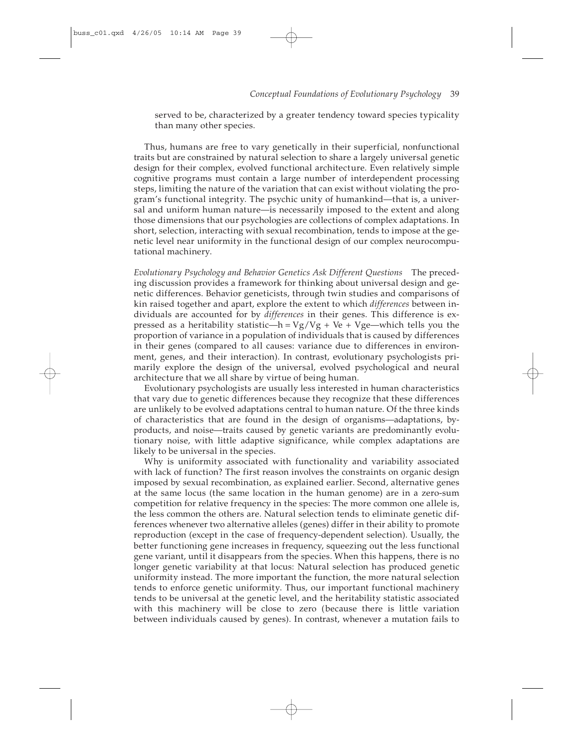served to be, characterized by a greater tendency toward species typicality than many other species.

Thus, humans are free to vary genetically in their superficial, nonfunctional traits but are constrained by natural selection to share a largely universal genetic design for their complex, evolved functional architecture. Even relatively simple cognitive programs must contain a large number of interdependent processing steps, limiting the nature of the variation that can exist without violating the program's functional integrity. The psychic unity of humankind—that is, a universal and uniform human nature—is necessarily imposed to the extent and along those dimensions that our psychologies are collections of complex adaptations. In short, selection, interacting with sexual recombination, tends to impose at the genetic level near uniformity in the functional design of our complex neurocomputational machinery.

*Evolutionary Psychology and Behavior Genetics Ask Different Questions* The preceding discussion provides a framework for thinking about universal design and genetic differences. Behavior geneticists, through twin studies and comparisons of kin raised together and apart, explore the extent to which *differences* between individuals are accounted for by *differences* in their genes. This difference is expressed as a heritability statistic—h =  $Vg/Vg + Ve + Vge$ —which tells you the proportion of variance in a population of individuals that is caused by differences in their genes (compared to all causes: variance due to differences in environment, genes, and their interaction). In contrast, evolutionary psychologists primarily explore the design of the universal, evolved psychological and neural architecture that we all share by virtue of being human.

Evolutionary psychologists are usually less interested in human characteristics that vary due to genetic differences because they recognize that these differences are unlikely to be evolved adaptations central to human nature. Of the three kinds of characteristics that are found in the design of organisms—adaptations, byproducts, and noise—traits caused by genetic variants are predominantly evolutionary noise, with little adaptive significance, while complex adaptations are likely to be universal in the species.

Why is uniformity associated with functionality and variability associated with lack of function? The first reason involves the constraints on organic design imposed by sexual recombination, as explained earlier. Second, alternative genes at the same locus (the same location in the human genome) are in a zero-sum competition for relative frequency in the species: The more common one allele is, the less common the others are. Natural selection tends to eliminate genetic differences whenever two alternative alleles (genes) differ in their ability to promote reproduction (except in the case of frequency-dependent selection). Usually, the better functioning gene increases in frequency, squeezing out the less functional gene variant, until it disappears from the species. When this happens, there is no longer genetic variability at that locus: Natural selection has produced genetic uniformity instead. The more important the function, the more natural selection tends to enforce genetic uniformity. Thus, our important functional machinery tends to be universal at the genetic level, and the heritability statistic associated with this machinery will be close to zero (because there is little variation between individuals caused by genes). In contrast, whenever a mutation fails to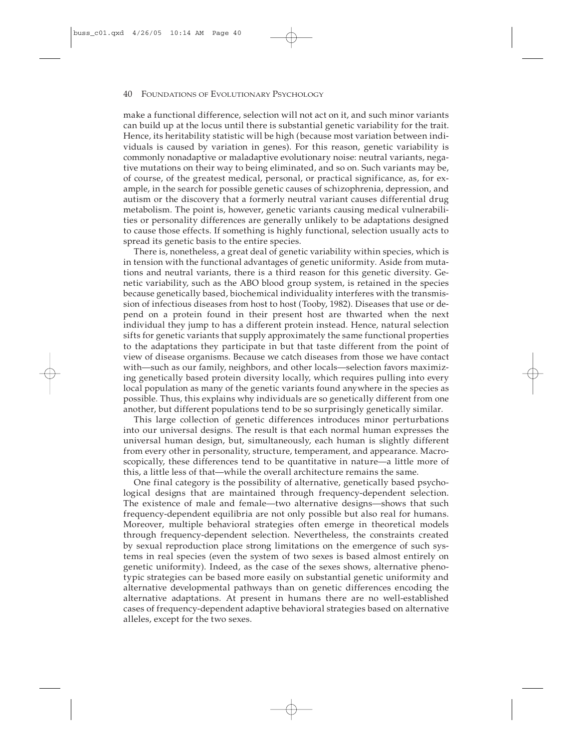make a functional difference, selection will not act on it, and such minor variants can build up at the locus until there is substantial genetic variability for the trait. Hence, its heritability statistic will be high (because most variation between individuals is caused by variation in genes). For this reason, genetic variability is commonly nonadaptive or maladaptive evolutionary noise: neutral variants, negative mutations on their way to being eliminated, and so on. Such variants may be, of course, of the greatest medical, personal, or practical significance, as, for example, in the search for possible genetic causes of schizophrenia, depression, and autism or the discovery that a formerly neutral variant causes differential drug metabolism. The point is, however, genetic variants causing medical vulnerabilities or personality differences are generally unlikely to be adaptations designed to cause those effects. If something is highly functional, selection usually acts to spread its genetic basis to the entire species.

There is, nonetheless, a great deal of genetic variability within species, which is in tension with the functional advantages of genetic uniformity. Aside from mutations and neutral variants, there is a third reason for this genetic diversity. Genetic variability, such as the ABO blood group system, is retained in the species because genetically based, biochemical individuality interferes with the transmission of infectious diseases from host to host (Tooby, 1982). Diseases that use or depend on a protein found in their present host are thwarted when the next individual they jump to has a different protein instead. Hence, natural selection sifts for genetic variants that supply approximately the same functional properties to the adaptations they participate in but that taste different from the point of view of disease organisms. Because we catch diseases from those we have contact with—such as our family, neighbors, and other locals—selection favors maximizing genetically based protein diversity locally, which requires pulling into every local population as many of the genetic variants found anywhere in the species as possible. Thus, this explains why individuals are so genetically different from one another, but different populations tend to be so surprisingly genetically similar.

This large collection of genetic differences introduces minor perturbations into our universal designs. The result is that each normal human expresses the universal human design, but, simultaneously, each human is slightly different from every other in personality, structure, temperament, and appearance. Macroscopically, these differences tend to be quantitative in nature—a little more of this, a little less of that—while the overall architecture remains the same.

One final category is the possibility of alternative, genetically based psychological designs that are maintained through frequency-dependent selection. The existence of male and female—two alternative designs—shows that such frequency-dependent equilibria are not only possible but also real for humans. Moreover, multiple behavioral strategies often emerge in theoretical models through frequency-dependent selection. Nevertheless, the constraints created by sexual reproduction place strong limitations on the emergence of such systems in real species (even the system of two sexes is based almost entirely on genetic uniformity). Indeed, as the case of the sexes shows, alternative phenotypic strategies can be based more easily on substantial genetic uniformity and alternative developmental pathways than on genetic differences encoding the alternative adaptations. At present in humans there are no well-established cases of frequency-dependent adaptive behavioral strategies based on alternative alleles, except for the two sexes.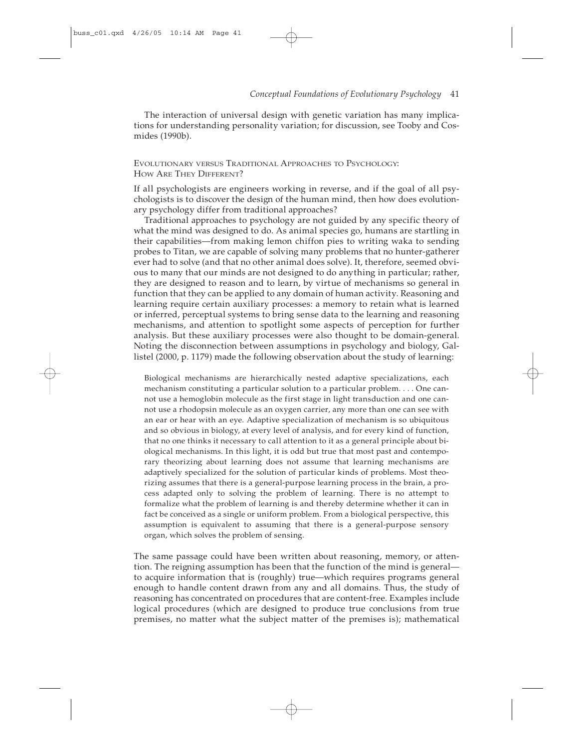The interaction of universal design with genetic variation has many implications for understanding personality variation; for discussion, see Tooby and Cosmides (1990b).

## EVOLUTIONARY VERSUS TRADITIONAL APPROACHES TO PSYCHOLOGY: HOW ARE THEY DIFFERENT?

If all psychologists are engineers working in reverse, and if the goal of all psychologists is to discover the design of the human mind, then how does evolutionary psychology differ from traditional approaches?

Traditional approaches to psychology are not guided by any specific theory of what the mind was designed to do. As animal species go, humans are startling in their capabilities—from making lemon chiffon pies to writing waka to sending probes to Titan, we are capable of solving many problems that no hunter-gatherer ever had to solve (and that no other animal does solve). It, therefore, seemed obvious to many that our minds are not designed to do anything in particular; rather, they are designed to reason and to learn, by virtue of mechanisms so general in function that they can be applied to any domain of human activity. Reasoning and learning require certain auxiliary processes: a memory to retain what is learned or inferred, perceptual systems to bring sense data to the learning and reasoning mechanisms, and attention to spotlight some aspects of perception for further analysis. But these auxiliary processes were also thought to be domain-general. Noting the disconnection between assumptions in psychology and biology, Gallistel (2000, p. 1179) made the following observation about the study of learning:

Biological mechanisms are hierarchically nested adaptive specializations, each mechanism constituting a particular solution to a particular problem. . . . One cannot use a hemoglobin molecule as the first stage in light transduction and one cannot use a rhodopsin molecule as an oxygen carrier, any more than one can see with an ear or hear with an eye. Adaptive specialization of mechanism is so ubiquitous and so obvious in biology, at every level of analysis, and for every kind of function, that no one thinks it necessary to call attention to it as a general principle about biological mechanisms. In this light, it is odd but true that most past and contemporary theorizing about learning does not assume that learning mechanisms are adaptively specialized for the solution of particular kinds of problems. Most theorizing assumes that there is a general-purpose learning process in the brain, a process adapted only to solving the problem of learning. There is no attempt to formalize what the problem of learning is and thereby determine whether it can in fact be conceived as a single or uniform problem. From a biological perspective, this assumption is equivalent to assuming that there is a general-purpose sensory organ, which solves the problem of sensing.

The same passage could have been written about reasoning, memory, or attention. The reigning assumption has been that the function of the mind is general to acquire information that is (roughly) true—which requires programs general enough to handle content drawn from any and all domains. Thus, the study of reasoning has concentrated on procedures that are content-free. Examples include logical procedures (which are designed to produce true conclusions from true premises, no matter what the subject matter of the premises is); mathematical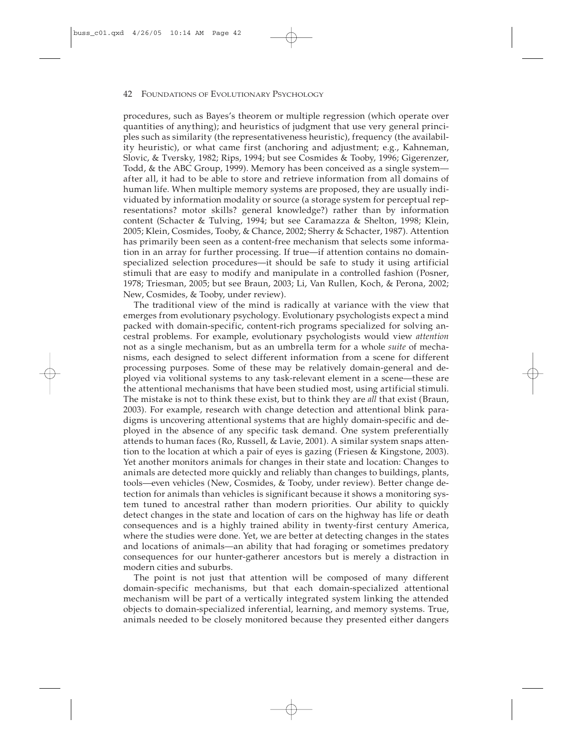procedures, such as Bayes's theorem or multiple regression (which operate over quantities of anything); and heuristics of judgment that use very general principles such as similarity (the representativeness heuristic), frequency (the availability heuristic), or what came first (anchoring and adjustment; e.g., Kahneman, Slovic, & Tversky, 1982; Rips, 1994; but see Cosmides & Tooby, 1996; Gigerenzer, Todd, & the ABC Group, 1999). Memory has been conceived as a single system after all, it had to be able to store and retrieve information from all domains of human life. When multiple memory systems are proposed, they are usually individuated by information modality or source (a storage system for perceptual representations? motor skills? general knowledge?) rather than by information content (Schacter & Tulving, 1994; but see Caramazza & Shelton, 1998; Klein, 2005; Klein, Cosmides, Tooby, & Chance, 2002; Sherry & Schacter, 1987). Attention has primarily been seen as a content-free mechanism that selects some information in an array for further processing. If true—if attention contains no domainspecialized selection procedures—it should be safe to study it using artificial stimuli that are easy to modify and manipulate in a controlled fashion (Posner, 1978; Triesman, 2005; but see Braun, 2003; Li, Van Rullen, Koch, & Perona, 2002; New, Cosmides, & Tooby, under review).

The traditional view of the mind is radically at variance with the view that emerges from evolutionary psychology. Evolutionary psychologists expect a mind packed with domain-specific, content-rich programs specialized for solving ancestral problems. For example, evolutionary psychologists would view *attention* not as a single mechanism, but as an umbrella term for a whole *suite* of mechanisms, each designed to select different information from a scene for different processing purposes. Some of these may be relatively domain-general and deployed via volitional systems to any task-relevant element in a scene—these are the attentional mechanisms that have been studied most, using artificial stimuli. The mistake is not to think these exist, but to think they are *all* that exist (Braun, 2003). For example, research with change detection and attentional blink paradigms is uncovering attentional systems that are highly domain-specific and deployed in the absence of any specific task demand. One system preferentially attends to human faces (Ro, Russell, & Lavie, 2001). A similar system snaps attention to the location at which a pair of eyes is gazing (Friesen & Kingstone, 2003). Yet another monitors animals for changes in their state and location: Changes to animals are detected more quickly and reliably than changes to buildings, plants, tools—even vehicles (New, Cosmides, & Tooby, under review). Better change detection for animals than vehicles is significant because it shows a monitoring system tuned to ancestral rather than modern priorities. Our ability to quickly detect changes in the state and location of cars on the highway has life or death consequences and is a highly trained ability in twenty-first century America, where the studies were done. Yet, we are better at detecting changes in the states and locations of animals—an ability that had foraging or sometimes predatory consequences for our hunter-gatherer ancestors but is merely a distraction in modern cities and suburbs.

The point is not just that attention will be composed of many different domain-specific mechanisms, but that each domain-specialized attentional mechanism will be part of a vertically integrated system linking the attended objects to domain-specialized inferential, learning, and memory systems. True, animals needed to be closely monitored because they presented either dangers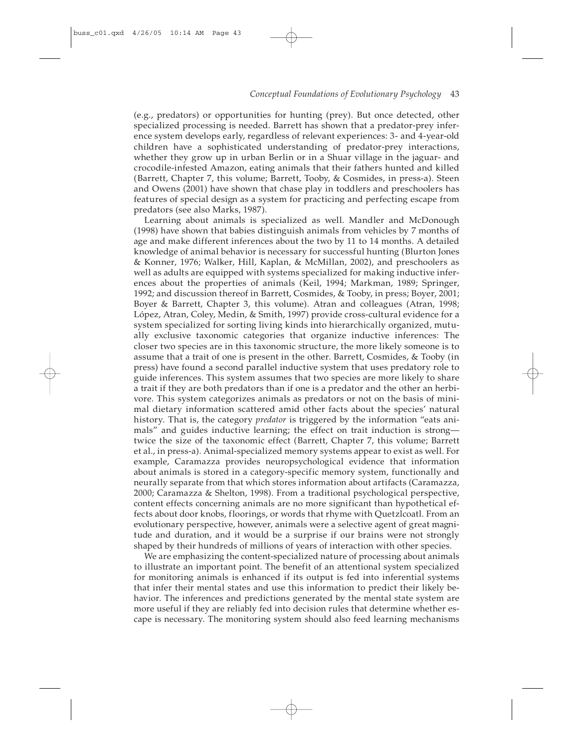(e.g., predators) or opportunities for hunting (prey). But once detected, other specialized processing is needed. Barrett has shown that a predator-prey inference system develops early, regardless of relevant experiences: 3- and 4-year-old children have a sophisticated understanding of predator-prey interactions, whether they grow up in urban Berlin or in a Shuar village in the jaguar- and crocodile-infested Amazon, eating animals that their fathers hunted and killed (Barrett, Chapter 7, this volume; Barrett, Tooby, & Cosmides, in press-a). Steen and Owens (2001) have shown that chase play in toddlers and preschoolers has features of special design as a system for practicing and perfecting escape from predators (see also Marks, 1987).

Learning about animals is specialized as well. Mandler and McDonough (1998) have shown that babies distinguish animals from vehicles by 7 months of age and make different inferences about the two by 11 to 14 months. A detailed knowledge of animal behavior is necessary for successful hunting (Blurton Jones & Konner, 1976; Walker, Hill, Kaplan, & McMillan, 2002), and preschoolers as well as adults are equipped with systems specialized for making inductive inferences about the properties of animals (Keil, 1994; Markman, 1989; Springer, 1992; and discussion thereof in Barrett, Cosmides, & Tooby, in press; Boyer, 2001; Boyer & Barrett, Chapter 3, this volume). Atran and colleagues (Atran, 1998; López, Atran, Coley, Medin, & Smith, 1997) provide cross-cultural evidence for a system specialized for sorting living kinds into hierarchically organized, mutually exclusive taxonomic categories that organize inductive inferences: The closer two species are in this taxonomic structure, the more likely someone is to assume that a trait of one is present in the other. Barrett, Cosmides, & Tooby (in press) have found a second parallel inductive system that uses predatory role to guide inferences. This system assumes that two species are more likely to share a trait if they are both predators than if one is a predator and the other an herbivore. This system categorizes animals as predators or not on the basis of minimal dietary information scattered amid other facts about the species' natural history. That is, the category *predator* is triggered by the information "eats animals" and guides inductive learning; the effect on trait induction is strong twice the size of the taxonomic effect (Barrett, Chapter 7, this volume; Barrett et al., in press-a). Animal-specialized memory systems appear to exist as well. For example, Caramazza provides neuropsychological evidence that information about animals is stored in a category-specific memory system, functionally and neurally separate from that which stores information about artifacts (Caramazza, 2000; Caramazza & Shelton, 1998). From a traditional psychological perspective, content effects concerning animals are no more significant than hypothetical effects about door knobs, floorings, or words that rhyme with Quetzlcoatl. From an evolutionary perspective, however, animals were a selective agent of great magnitude and duration, and it would be a surprise if our brains were not strongly shaped by their hundreds of millions of years of interaction with other species.

We are emphasizing the content-specialized nature of processing about animals to illustrate an important point. The benefit of an attentional system specialized for monitoring animals is enhanced if its output is fed into inferential systems that infer their mental states and use this information to predict their likely behavior. The inferences and predictions generated by the mental state system are more useful if they are reliably fed into decision rules that determine whether escape is necessary. The monitoring system should also feed learning mechanisms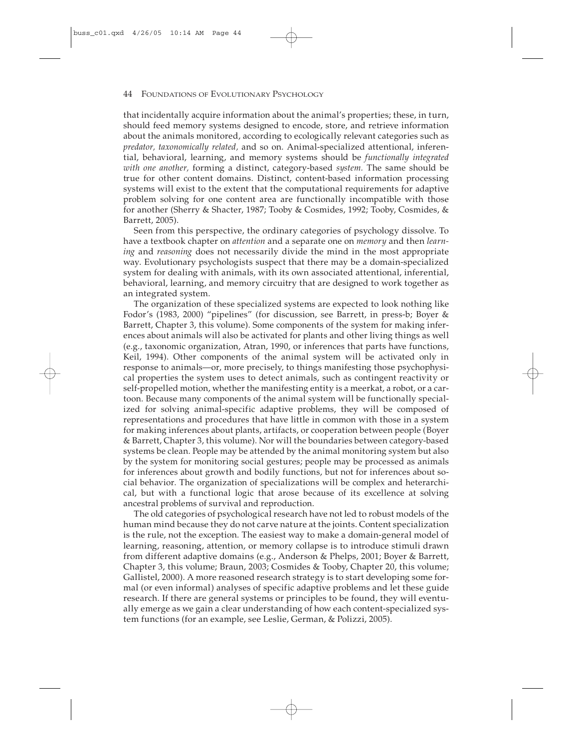that incidentally acquire information about the animal's properties; these, in turn, should feed memory systems designed to encode, store, and retrieve information about the animals monitored, according to ecologically relevant categories such as *predator, taxonomically related,* and so on. Animal-specialized attentional, inferential, behavioral, learning, and memory systems should be *functionally integrated with one another,* forming a distinct, category-based *system.* The same should be true for other content domains. Distinct, content-based information processing systems will exist to the extent that the computational requirements for adaptive problem solving for one content area are functionally incompatible with those for another (Sherry & Shacter, 1987; Tooby & Cosmides, 1992; Tooby, Cosmides, & Barrett, 2005).

Seen from this perspective, the ordinary categories of psychology dissolve. To have a textbook chapter on *attention* and a separate one on *memory* and then *learning* and *reasoning* does not necessarily divide the mind in the most appropriate way. Evolutionary psychologists suspect that there may be a domain-specialized system for dealing with animals, with its own associated attentional, inferential, behavioral, learning, and memory circuitry that are designed to work together as an integrated system.

The organization of these specialized systems are expected to look nothing like Fodor's (1983, 2000) "pipelines" (for discussion, see Barrett, in press-b; Boyer & Barrett, Chapter 3, this volume). Some components of the system for making inferences about animals will also be activated for plants and other living things as well (e.g., taxonomic organization, Atran, 1990, or inferences that parts have functions, Keil, 1994). Other components of the animal system will be activated only in response to animals—or, more precisely, to things manifesting those psychophysical properties the system uses to detect animals, such as contingent reactivity or self-propelled motion, whether the manifesting entity is a meerkat, a robot, or a cartoon. Because many components of the animal system will be functionally specialized for solving animal-specific adaptive problems, they will be composed of representations and procedures that have little in common with those in a system for making inferences about plants, artifacts, or cooperation between people (Boyer & Barrett, Chapter 3, this volume). Nor will the boundaries between category-based systems be clean. People may be attended by the animal monitoring system but also by the system for monitoring social gestures; people may be processed as animals for inferences about growth and bodily functions, but not for inferences about social behavior. The organization of specializations will be complex and heterarchical, but with a functional logic that arose because of its excellence at solving ancestral problems of survival and reproduction.

The old categories of psychological research have not led to robust models of the human mind because they do not carve nature at the joints. Content specialization is the rule, not the exception. The easiest way to make a domain-general model of learning, reasoning, attention, or memory collapse is to introduce stimuli drawn from different adaptive domains (e.g., Anderson & Phelps, 2001; Boyer & Barrett, Chapter 3, this volume; Braun, 2003; Cosmides & Tooby, Chapter 20, this volume; Gallistel, 2000). A more reasoned research strategy is to start developing some formal (or even informal) analyses of specific adaptive problems and let these guide research. If there are general systems or principles to be found, they will eventually emerge as we gain a clear understanding of how each content-specialized system functions (for an example, see Leslie, German, & Polizzi, 2005).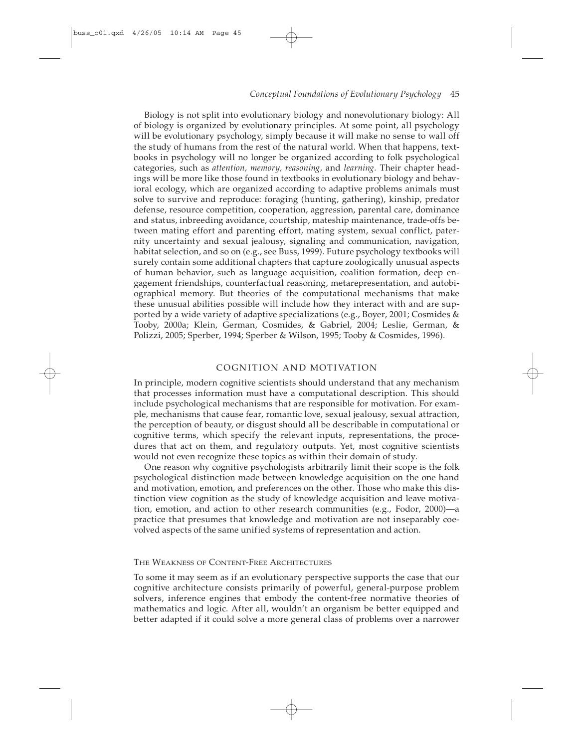Biology is not split into evolutionary biology and nonevolutionary biology: All of biology is organized by evolutionary principles. At some point, all psychology will be evolutionary psychology, simply because it will make no sense to wall off the study of humans from the rest of the natural world. When that happens, textbooks in psychology will no longer be organized according to folk psychological categories, such as *attention, memory, reasoning,* and *learning.* Their chapter headings will be more like those found in textbooks in evolutionary biology and behavioral ecology, which are organized according to adaptive problems animals must solve to survive and reproduce: foraging (hunting, gathering), kinship, predator defense, resource competition, cooperation, aggression, parental care, dominance and status, inbreeding avoidance, courtship, mateship maintenance, trade-offs between mating effort and parenting effort, mating system, sexual conflict, paternity uncertainty and sexual jealousy, signaling and communication, navigation, habitat selection, and so on (e.g., see Buss, 1999). Future psychology textbooks will surely contain some additional chapters that capture zoologically unusual aspects of human behavior, such as language acquisition, coalition formation, deep engagement friendships, counterfactual reasoning, metarepresentation, and autobiographical memory. But theories of the computational mechanisms that make these unusual abilities possible will include how they interact with and are supported by a wide variety of adaptive specializations (e.g., Boyer, 2001; Cosmides & Tooby, 2000a; Klein, German, Cosmides, & Gabriel, 2004; Leslie, German, & Polizzi, 2005; Sperber, 1994; Sperber & Wilson, 1995; Tooby & Cosmides, 1996).

# COGNITION AND MOTIVATION

In principle, modern cognitive scientists should understand that any mechanism that processes information must have a computational description. This should include psychological mechanisms that are responsible for motivation. For example, mechanisms that cause fear, romantic love, sexual jealousy, sexual attraction, the perception of beauty, or disgust should all be describable in computational or cognitive terms, which specify the relevant inputs, representations, the procedures that act on them, and regulatory outputs. Yet, most cognitive scientists would not even recognize these topics as within their domain of study.

One reason why cognitive psychologists arbitrarily limit their scope is the folk psychological distinction made between knowledge acquisition on the one hand and motivation, emotion, and preferences on the other. Those who make this distinction view cognition as the study of knowledge acquisition and leave motivation, emotion, and action to other research communities (e.g., Fodor, 2000)—a practice that presumes that knowledge and motivation are not inseparably coevolved aspects of the same unified systems of representation and action.

#### THE WEAKNESS OF CONTENT-FREE ARCHITECTURES

To some it may seem as if an evolutionary perspective supports the case that our cognitive architecture consists primarily of powerful, general-purpose problem solvers, inference engines that embody the content-free normative theories of mathematics and logic. After all, wouldn't an organism be better equipped and better adapted if it could solve a more general class of problems over a narrower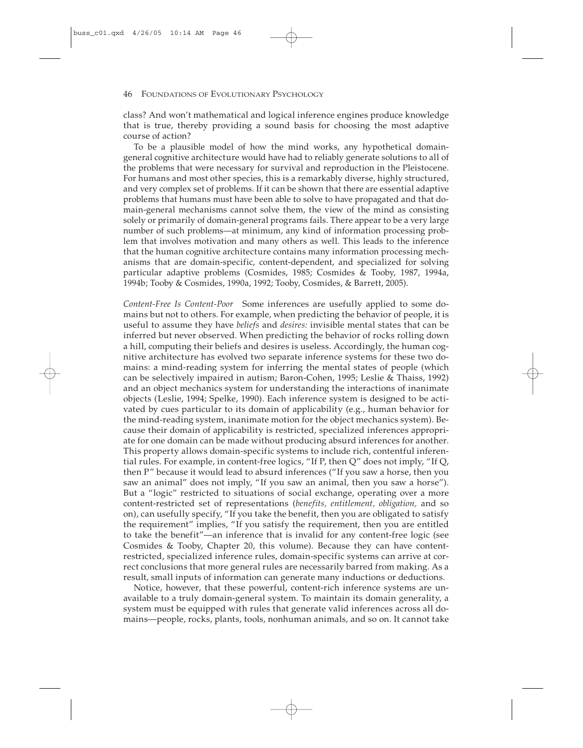class? And won't mathematical and logical inference engines produce knowledge that is true, thereby providing a sound basis for choosing the most adaptive course of action?

To be a plausible model of how the mind works, any hypothetical domaingeneral cognitive architecture would have had to reliably generate solutions to all of the problems that were necessary for survival and reproduction in the Pleistocene. For humans and most other species, this is a remarkably diverse, highly structured, and very complex set of problems. If it can be shown that there are essential adaptive problems that humans must have been able to solve to have propagated and that domain-general mechanisms cannot solve them, the view of the mind as consisting solely or primarily of domain-general programs fails. There appear to be a very large number of such problems—at minimum, any kind of information processing problem that involves motivation and many others as well. This leads to the inference that the human cognitive architecture contains many information processing mechanisms that are domain-specific, content-dependent, and specialized for solving particular adaptive problems (Cosmides, 1985; Cosmides & Tooby, 1987, 1994a, 1994b; Tooby & Cosmides, 1990a, 1992; Tooby, Cosmides, & Barrett, 2005).

*Content-Free Is Content-Poor* Some inferences are usefully applied to some domains but not to others. For example, when predicting the behavior of people, it is useful to assume they have *beliefs* and *desires:* invisible mental states that can be inferred but never observed. When predicting the behavior of rocks rolling down a hill, computing their beliefs and desires is useless. Accordingly, the human cognitive architecture has evolved two separate inference systems for these two domains: a mind-reading system for inferring the mental states of people (which can be selectively impaired in autism; Baron-Cohen, 1995; Leslie & Thaiss, 1992) and an object mechanics system for understanding the interactions of inanimate objects (Leslie, 1994; Spelke, 1990). Each inference system is designed to be activated by cues particular to its domain of applicability (e.g., human behavior for the mind-reading system, inanimate motion for the object mechanics system). Because their domain of applicability is restricted, specialized inferences appropriate for one domain can be made without producing absurd inferences for another. This property allows domain-specific systems to include rich, contentful inferential rules. For example, in content-free logics, "If P, then Q" does not imply, "If Q, then P" because it would lead to absurd inferences ("If you saw a horse, then you saw an animal" does not imply, "If you saw an animal, then you saw a horse"). But a "logic" restricted to situations of social exchange, operating over a more content-restricted set of representations (*benefits, entitlement, obligation,* and so on), can usefully specify, "If you take the benefit, then you are obligated to satisfy the requirement" implies, "If you satisfy the requirement, then you are entitled to take the benefit"—an inference that is invalid for any content-free logic (see Cosmides & Tooby, Chapter 20, this volume). Because they can have contentrestricted, specialized inference rules, domain-specific systems can arrive at correct conclusions that more general rules are necessarily barred from making. As a result, small inputs of information can generate many inductions or deductions.

Notice, however, that these powerful, content-rich inference systems are unavailable to a truly domain-general system. To maintain its domain generality, a system must be equipped with rules that generate valid inferences across all domains—people, rocks, plants, tools, nonhuman animals, and so on. It cannot take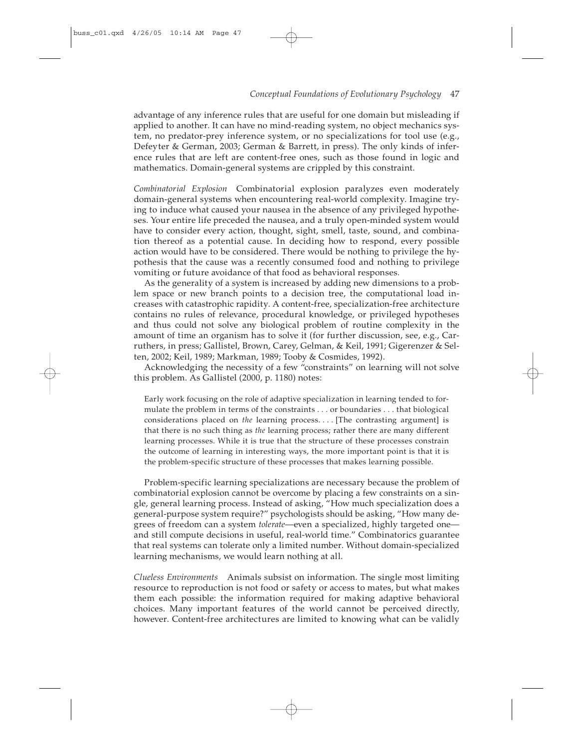advantage of any inference rules that are useful for one domain but misleading if applied to another. It can have no mind-reading system, no object mechanics system, no predator-prey inference system, or no specializations for tool use (e.g., Defeyter & German, 2003; German & Barrett, in press). The only kinds of inference rules that are left are content-free ones, such as those found in logic and mathematics. Domain-general systems are crippled by this constraint.

*Combinatorial Explosion* Combinatorial explosion paralyzes even moderately domain-general systems when encountering real-world complexity. Imagine trying to induce what caused your nausea in the absence of any privileged hypotheses. Your entire life preceded the nausea, and a truly open-minded system would have to consider every action, thought, sight, smell, taste, sound, and combination thereof as a potential cause. In deciding how to respond, every possible action would have to be considered. There would be nothing to privilege the hypothesis that the cause was a recently consumed food and nothing to privilege vomiting or future avoidance of that food as behavioral responses.

As the generality of a system is increased by adding new dimensions to a problem space or new branch points to a decision tree, the computational load increases with catastrophic rapidity. A content-free, specialization-free architecture contains no rules of relevance, procedural knowledge, or privileged hypotheses and thus could not solve any biological problem of routine complexity in the amount of time an organism has to solve it (for further discussion, see, e.g., Carruthers, in press; Gallistel, Brown, Carey, Gelman, & Keil, 1991; Gigerenzer & Selten, 2002; Keil, 1989; Markman, 1989; Tooby & Cosmides, 1992).

Acknowledging the necessity of a few "constraints" on learning will not solve this problem. As Gallistel (2000, p. 1180) notes:

Early work focusing on the role of adaptive specialization in learning tended to formulate the problem in terms of the constraints . . . or boundaries . . . that biological considerations placed on *the* learning process. . . . [The contrasting argument] is that there is no such thing as *the* learning process; rather there are many different learning processes. While it is true that the structure of these processes constrain the outcome of learning in interesting ways, the more important point is that it is the problem-specific structure of these processes that makes learning possible.

Problem-specific learning specializations are necessary because the problem of combinatorial explosion cannot be overcome by placing a few constraints on a single, general learning process. Instead of asking, "How much specialization does a general-purpose system require?" psychologists should be asking, "How many degrees of freedom can a system *tolerate*—even a specialized, highly targeted one and still compute decisions in useful, real-world time." Combinatorics guarantee that real systems can tolerate only a limited number. Without domain-specialized learning mechanisms, we would learn nothing at all.

*Clueless Environments* Animals subsist on information. The single most limiting resource to reproduction is not food or safety or access to mates, but what makes them each possible: the information required for making adaptive behavioral choices. Many important features of the world cannot be perceived directly, however. Content-free architectures are limited to knowing what can be validly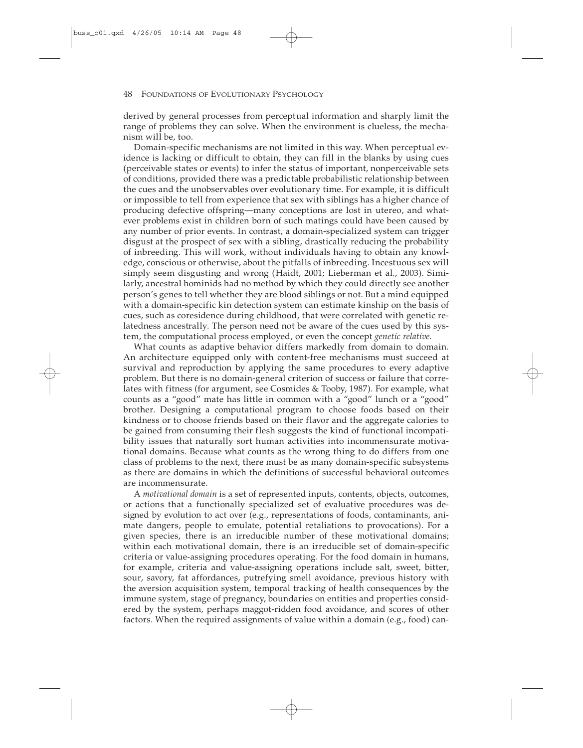derived by general processes from perceptual information and sharply limit the range of problems they can solve. When the environment is clueless, the mechanism will be, too.

Domain-specific mechanisms are not limited in this way. When perceptual evidence is lacking or difficult to obtain, they can fill in the blanks by using cues (perceivable states or events) to infer the status of important, nonperceivable sets of conditions, provided there was a predictable probabilistic relationship between the cues and the unobservables over evolutionary time. For example, it is difficult or impossible to tell from experience that sex with siblings has a higher chance of producing defective offspring—many conceptions are lost in utereo, and whatever problems exist in children born of such matings could have been caused by any number of prior events. In contrast, a domain-specialized system can trigger disgust at the prospect of sex with a sibling, drastically reducing the probability of inbreeding. This will work, without individuals having to obtain any knowledge, conscious or otherwise, about the pitfalls of inbreeding. Incestuous sex will simply seem disgusting and wrong (Haidt, 2001; Lieberman et al., 2003). Similarly, ancestral hominids had no method by which they could directly see another person's genes to tell whether they are blood siblings or not. But a mind equipped with a domain-specific kin detection system can estimate kinship on the basis of cues, such as coresidence during childhood, that were correlated with genetic relatedness ancestrally. The person need not be aware of the cues used by this system, the computational process employed, or even the concept *genetic relative.*

What counts as adaptive behavior differs markedly from domain to domain. An architecture equipped only with content-free mechanisms must succeed at survival and reproduction by applying the same procedures to every adaptive problem. But there is no domain-general criterion of success or failure that correlates with fitness (for argument, see Cosmides & Tooby, 1987). For example, what counts as a "good" mate has little in common with a "good" lunch or a "good" brother. Designing a computational program to choose foods based on their kindness or to choose friends based on their flavor and the aggregate calories to be gained from consuming their flesh suggests the kind of functional incompatibility issues that naturally sort human activities into incommensurate motivational domains. Because what counts as the wrong thing to do differs from one class of problems to the next, there must be as many domain-specific subsystems as there are domains in which the definitions of successful behavioral outcomes are incommensurate.

A *motivational domain* is a set of represented inputs, contents, objects, outcomes, or actions that a functionally specialized set of evaluative procedures was designed by evolution to act over (e.g., representations of foods, contaminants, animate dangers, people to emulate, potential retaliations to provocations). For a given species, there is an irreducible number of these motivational domains; within each motivational domain, there is an irreducible set of domain-specific criteria or value-assigning procedures operating. For the food domain in humans, for example, criteria and value-assigning operations include salt, sweet, bitter, sour, savory, fat affordances, putrefying smell avoidance, previous history with the aversion acquisition system, temporal tracking of health consequences by the immune system, stage of pregnancy, boundaries on entities and properties considered by the system, perhaps maggot-ridden food avoidance, and scores of other factors. When the required assignments of value within a domain (e.g., food) can-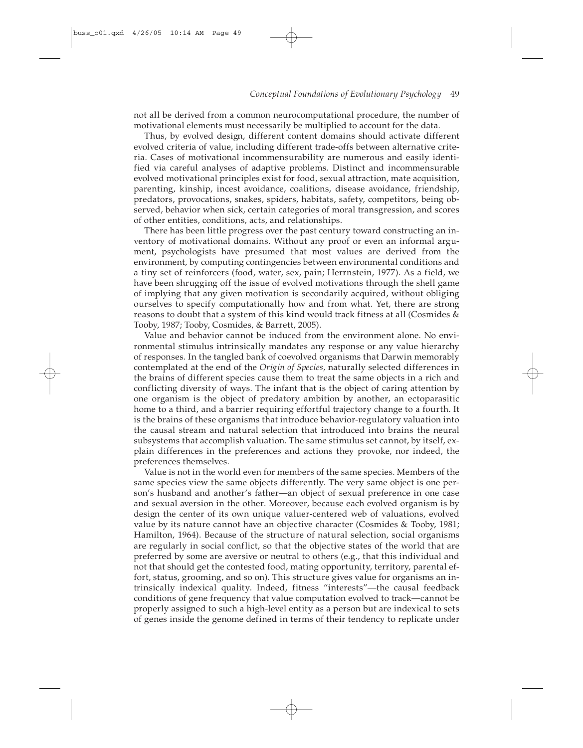not all be derived from a common neurocomputational procedure, the number of motivational elements must necessarily be multiplied to account for the data.

Thus, by evolved design, different content domains should activate different evolved criteria of value, including different trade-offs between alternative criteria. Cases of motivational incommensurability are numerous and easily identified via careful analyses of adaptive problems. Distinct and incommensurable evolved motivational principles exist for food, sexual attraction, mate acquisition, parenting, kinship, incest avoidance, coalitions, disease avoidance, friendship, predators, provocations, snakes, spiders, habitats, safety, competitors, being observed, behavior when sick, certain categories of moral transgression, and scores of other entities, conditions, acts, and relationships.

There has been little progress over the past century toward constructing an inventory of motivational domains. Without any proof or even an informal argument, psychologists have presumed that most values are derived from the environment, by computing contingencies between environmental conditions and a tiny set of reinforcers (food, water, sex, pain; Herrnstein, 1977). As a field, we have been shrugging off the issue of evolved motivations through the shell game of implying that any given motivation is secondarily acquired, without obliging ourselves to specify computationally how and from what. Yet, there are strong reasons to doubt that a system of this kind would track fitness at all (Cosmides  $\&$ Tooby, 1987; Tooby, Cosmides, & Barrett, 2005).

Value and behavior cannot be induced from the environment alone. No environmental stimulus intrinsically mandates any response or any value hierarchy of responses. In the tangled bank of coevolved organisms that Darwin memorably contemplated at the end of the *Origin of Species,* naturally selected differences in the brains of different species cause them to treat the same objects in a rich and conflicting diversity of ways. The infant that is the object of caring attention by one organism is the object of predatory ambition by another, an ectoparasitic home to a third, and a barrier requiring effortful trajectory change to a fourth. It is the brains of these organisms that introduce behavior-regulatory valuation into the causal stream and natural selection that introduced into brains the neural subsystems that accomplish valuation. The same stimulus set cannot, by itself, explain differences in the preferences and actions they provoke, nor indeed, the preferences themselves.

Value is not in the world even for members of the same species. Members of the same species view the same objects differently. The very same object is one person's husband and another's father—an object of sexual preference in one case and sexual aversion in the other. Moreover, because each evolved organism is by design the center of its own unique valuer-centered web of valuations, evolved value by its nature cannot have an objective character (Cosmides & Tooby, 1981; Hamilton, 1964). Because of the structure of natural selection, social organisms are regularly in social conflict, so that the objective states of the world that are preferred by some are aversive or neutral to others (e.g., that this individual and not that should get the contested food, mating opportunity, territory, parental effort, status, grooming, and so on). This structure gives value for organisms an intrinsically indexical quality. Indeed, fitness "interests"—the causal feedback conditions of gene frequency that value computation evolved to track—cannot be properly assigned to such a high-level entity as a person but are indexical to sets of genes inside the genome defined in terms of their tendency to replicate under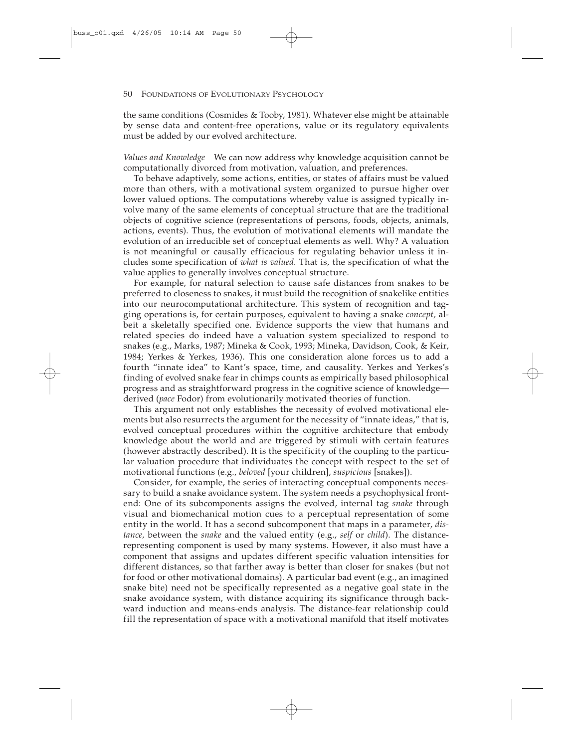the same conditions (Cosmides & Tooby, 1981). Whatever else might be attainable by sense data and content-free operations, value or its regulatory equivalents must be added by our evolved architecture.

*Values and Knowledge* We can now address why knowledge acquisition cannot be computationally divorced from motivation, valuation, and preferences.

To behave adaptively, some actions, entities, or states of affairs must be valued more than others, with a motivational system organized to pursue higher over lower valued options. The computations whereby value is assigned typically involve many of the same elements of conceptual structure that are the traditional objects of cognitive science (representations of persons, foods, objects, animals, actions, events). Thus, the evolution of motivational elements will mandate the evolution of an irreducible set of conceptual elements as well. Why? A valuation is not meaningful or causally efficacious for regulating behavior unless it includes some specification of *what is valued.* That is, the specification of what the value applies to generally involves conceptual structure.

For example, for natural selection to cause safe distances from snakes to be preferred to closeness to snakes, it must build the recognition of snakelike entities into our neurocomputational architecture. This system of recognition and tagging operations is, for certain purposes, equivalent to having a snake *concept,* albeit a skeletally specified one. Evidence supports the view that humans and related species do indeed have a valuation system specialized to respond to snakes (e.g., Marks, 1987; Mineka & Cook, 1993; Mineka, Davidson, Cook, & Keir, 1984; Yerkes & Yerkes, 1936). This one consideration alone forces us to add a fourth "innate idea" to Kant's space, time, and causality. Yerkes and Yerkes's finding of evolved snake fear in chimps counts as empirically based philosophical progress and as straightforward progress in the cognitive science of knowledge derived (*pace* Fodor) from evolutionarily motivated theories of function.

This argument not only establishes the necessity of evolved motivational elements but also resurrects the argument for the necessity of "innate ideas," that is, evolved conceptual procedures within the cognitive architecture that embody knowledge about the world and are triggered by stimuli with certain features (however abstractly described). It is the specificity of the coupling to the particular valuation procedure that individuates the concept with respect to the set of motivational functions (e.g., *beloved* [your children], *suspicious* [snakes]).

Consider, for example, the series of interacting conceptual components necessary to build a snake avoidance system. The system needs a psychophysical frontend: One of its subcomponents assigns the evolved, internal tag *snake* through visual and biomechanical motion cues to a perceptual representation of some entity in the world. It has a second subcomponent that maps in a parameter, *distance,* between the *snake* and the valued entity (e.g., *self* or *child*). The distancerepresenting component is used by many systems. However, it also must have a component that assigns and updates different specific valuation intensities for different distances, so that farther away is better than closer for snakes (but not for food or other motivational domains). A particular bad event (e.g., an imagined snake bite) need not be specifically represented as a negative goal state in the snake avoidance system, with distance acquiring its significance through backward induction and means-ends analysis. The distance-fear relationship could fill the representation of space with a motivational manifold that itself motivates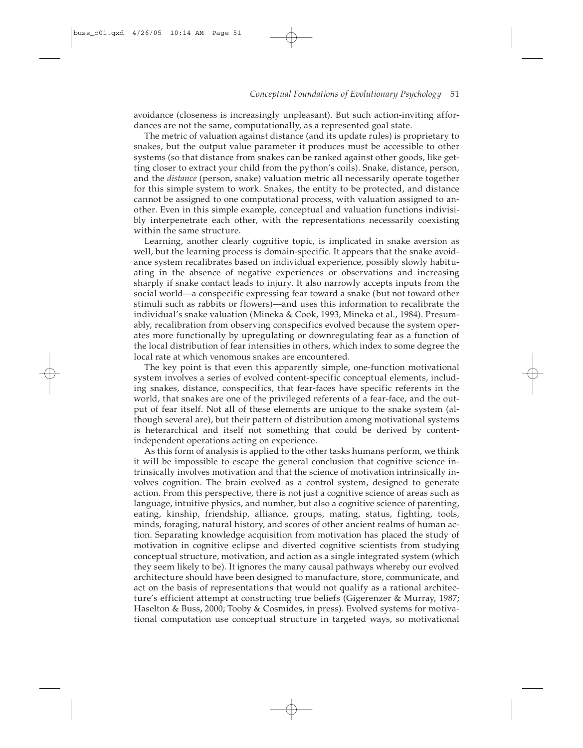avoidance (closeness is increasingly unpleasant). But such action-inviting affordances are not the same, computationally, as a represented goal state.

The metric of valuation against distance (and its update rules) is proprietary to snakes, but the output value parameter it produces must be accessible to other systems (so that distance from snakes can be ranked against other goods, like getting closer to extract your child from the python's coils). Snake, distance, person, and the *distance* (person, snake) valuation metric all necessarily operate together for this simple system to work. Snakes, the entity to be protected, and distance cannot be assigned to one computational process, with valuation assigned to another. Even in this simple example, conceptual and valuation functions indivisibly interpenetrate each other, with the representations necessarily coexisting within the same structure.

Learning, another clearly cognitive topic, is implicated in snake aversion as well, but the learning process is domain-specific. It appears that the snake avoidance system recalibrates based on individual experience, possibly slowly habituating in the absence of negative experiences or observations and increasing sharply if snake contact leads to injury. It also narrowly accepts inputs from the social world—a conspecific expressing fear toward a snake (but not toward other stimuli such as rabbits or flowers)—and uses this information to recalibrate the individual's snake valuation (Mineka & Cook, 1993, Mineka et al., 1984). Presumably, recalibration from observing conspecifics evolved because the system operates more functionally by upregulating or downregulating fear as a function of the local distribution of fear intensities in others, which index to some degree the local rate at which venomous snakes are encountered.

The key point is that even this apparently simple, one-function motivational system involves a series of evolved content-specific conceptual elements, including snakes, distance, conspecifics, that fear-faces have specific referents in the world, that snakes are one of the privileged referents of a fear-face, and the output of fear itself. Not all of these elements are unique to the snake system (although several are), but their pattern of distribution among motivational systems is heterarchical and itself not something that could be derived by contentindependent operations acting on experience.

As this form of analysis is applied to the other tasks humans perform, we think it will be impossible to escape the general conclusion that cognitive science intrinsically involves motivation and that the science of motivation intrinsically involves cognition. The brain evolved as a control system, designed to generate action. From this perspective, there is not just a cognitive science of areas such as language, intuitive physics, and number, but also a cognitive science of parenting, eating, kinship, friendship, alliance, groups, mating, status, fighting, tools, minds, foraging, natural history, and scores of other ancient realms of human action. Separating knowledge acquisition from motivation has placed the study of motivation in cognitive eclipse and diverted cognitive scientists from studying conceptual structure, motivation, and action as a single integrated system (which they seem likely to be). It ignores the many causal pathways whereby our evolved architecture should have been designed to manufacture, store, communicate, and act on the basis of representations that would not qualify as a rational architecture's efficient attempt at constructing true beliefs (Gigerenzer & Murray, 1987; Haselton & Buss, 2000; Tooby & Cosmides, in press). Evolved systems for motivational computation use conceptual structure in targeted ways, so motivational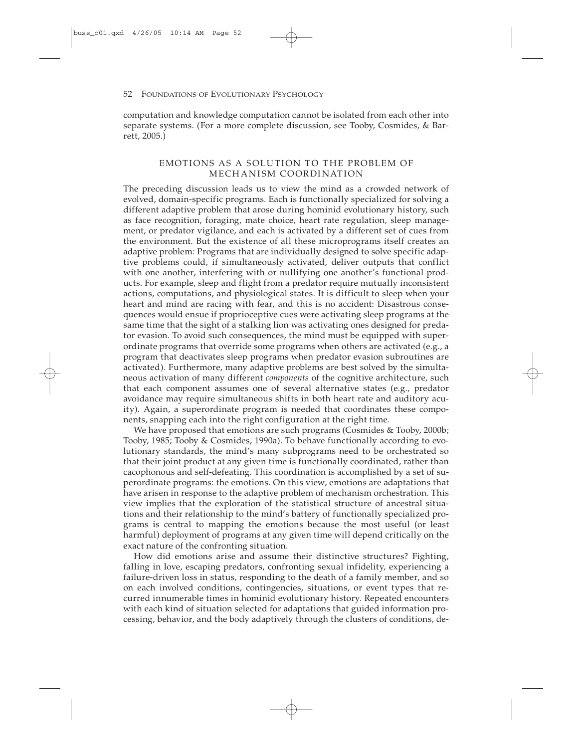computation and knowledge computation cannot be isolated from each other into separate systems. (For a more complete discussion, see Tooby, Cosmides, & Barrett, 2005.)

# EMOTIONS AS A SOLUTION TO THE PROBLEM OF MECHANISM COORDINATION

The preceding discussion leads us to view the mind as a crowded network of evolved, domain-specific programs. Each is functionally specialized for solving a different adaptive problem that arose during hominid evolutionary history, such as face recognition, foraging, mate choice, heart rate regulation, sleep management, or predator vigilance, and each is activated by a different set of cues from the environment. But the existence of all these microprograms itself creates an adaptive problem: Programs that are individually designed to solve specific adaptive problems could, if simultaneously activated, deliver outputs that conflict with one another, interfering with or nullifying one another's functional products. For example, sleep and flight from a predator require mutually inconsistent actions, computations, and physiological states. It is difficult to sleep when your heart and mind are racing with fear, and this is no accident: Disastrous consequences would ensue if proprioceptive cues were activating sleep programs at the same time that the sight of a stalking lion was activating ones designed for predator evasion. To avoid such consequences, the mind must be equipped with superordinate programs that override some programs when others are activated (e.g., a program that deactivates sleep programs when predator evasion subroutines are activated). Furthermore, many adaptive problems are best solved by the simultaneous activation of many different *components* of the cognitive architecture, such that each component assumes one of several alternative states (e.g., predator avoidance may require simultaneous shifts in both heart rate and auditory acuity). Again, a superordinate program is needed that coordinates these components, snapping each into the right configuration at the right time.

We have proposed that emotions are such programs (Cosmides & Tooby, 2000b; Tooby, 1985; Tooby & Cosmides, 1990a). To behave functionally according to evolutionary standards, the mind's many subprograms need to be orchestrated so that their joint product at any given time is functionally coordinated, rather than cacophonous and self-defeating. This coordination is accomplished by a set of superordinate programs: the emotions. On this view, emotions are adaptations that have arisen in response to the adaptive problem of mechanism orchestration. This view implies that the exploration of the statistical structure of ancestral situations and their relationship to the mind's battery of functionally specialized programs is central to mapping the emotions because the most useful (or least harmful) deployment of programs at any given time will depend critically on the exact nature of the confronting situation.

How did emotions arise and assume their distinctive structures? Fighting, falling in love, escaping predators, confronting sexual infidelity, experiencing a failure-driven loss in status, responding to the death of a family member, and so on each involved conditions, contingencies, situations, or event types that recurred innumerable times in hominid evolutionary history. Repeated encounters with each kind of situation selected for adaptations that guided information processing, behavior, and the body adaptively through the clusters of conditions, de-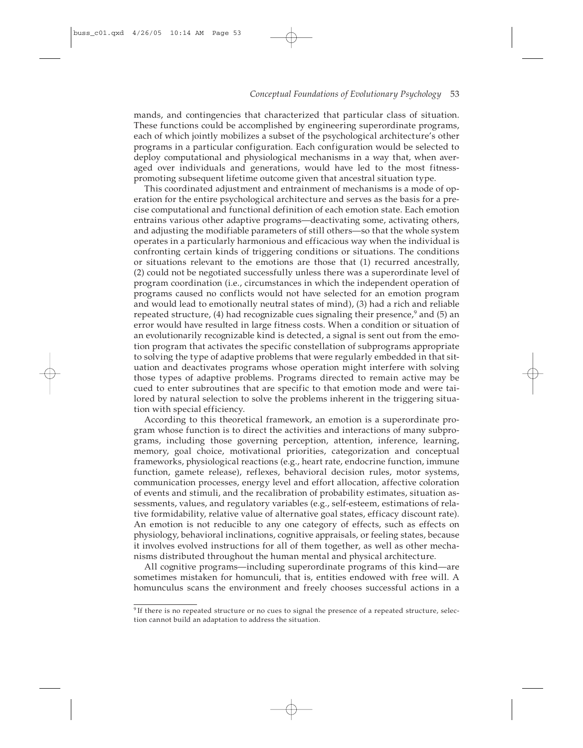mands, and contingencies that characterized that particular class of situation. These functions could be accomplished by engineering superordinate programs, each of which jointly mobilizes a subset of the psychological architecture's other programs in a particular configuration. Each configuration would be selected to deploy computational and physiological mechanisms in a way that, when averaged over individuals and generations, would have led to the most fitnesspromoting subsequent lifetime outcome given that ancestral situation type.

This coordinated adjustment and entrainment of mechanisms is a mode of operation for the entire psychological architecture and serves as the basis for a precise computational and functional definition of each emotion state. Each emotion entrains various other adaptive programs—deactivating some, activating others, and adjusting the modifiable parameters of still others—so that the whole system operates in a particularly harmonious and efficacious way when the individual is confronting certain kinds of triggering conditions or situations. The conditions or situations relevant to the emotions are those that (1) recurred ancestrally, (2) could not be negotiated successfully unless there was a superordinate level of program coordination (i.e., circumstances in which the independent operation of programs caused no conflicts would not have selected for an emotion program and would lead to emotionally neutral states of mind), (3) had a rich and reliable repeated structure,  $(4)$  had recognizable cues signaling their presence, $9$  and  $(5)$  an error would have resulted in large fitness costs. When a condition or situation of an evolutionarily recognizable kind is detected, a signal is sent out from the emotion program that activates the specific constellation of subprograms appropriate to solving the type of adaptive problems that were regularly embedded in that situation and deactivates programs whose operation might interfere with solving those types of adaptive problems. Programs directed to remain active may be cued to enter subroutines that are specific to that emotion mode and were tailored by natural selection to solve the problems inherent in the triggering situation with special efficiency.

According to this theoretical framework, an emotion is a superordinate program whose function is to direct the activities and interactions of many subprograms, including those governing perception, attention, inference, learning, memory, goal choice, motivational priorities, categorization and conceptual frameworks, physiological reactions (e.g., heart rate, endocrine function, immune function, gamete release), reflexes, behavioral decision rules, motor systems, communication processes, energy level and effort allocation, affective coloration of events and stimuli, and the recalibration of probability estimates, situation assessments, values, and regulatory variables (e.g., self-esteem, estimations of relative formidability, relative value of alternative goal states, efficacy discount rate). An emotion is not reducible to any one category of effects, such as effects on physiology, behavioral inclinations, cognitive appraisals, or feeling states, because it involves evolved instructions for all of them together, as well as other mechanisms distributed throughout the human mental and physical architecture.

All cognitive programs—including superordinate programs of this kind—are sometimes mistaken for homunculi, that is, entities endowed with free will. A homunculus scans the environment and freely chooses successful actions in a

<sup>&</sup>lt;sup>9</sup> If there is no repeated structure or no cues to signal the presence of a repeated structure, selection cannot build an adaptation to address the situation.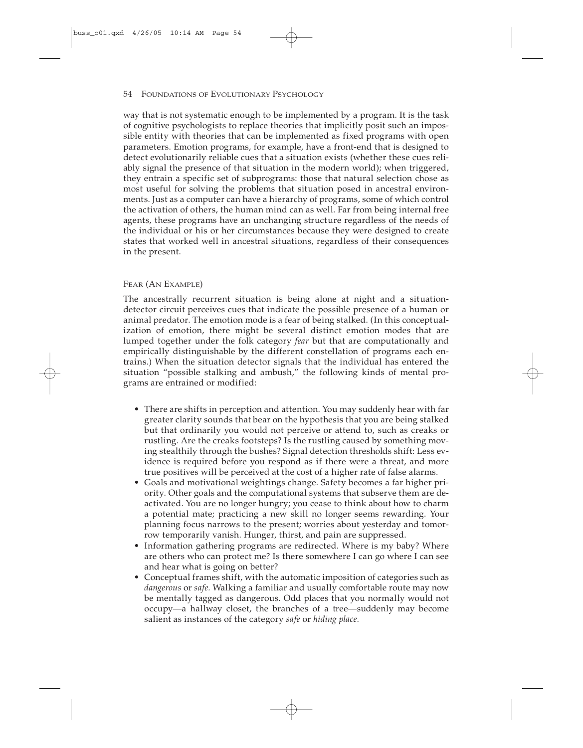way that is not systematic enough to be implemented by a program. It is the task of cognitive psychologists to replace theories that implicitly posit such an impossible entity with theories that can be implemented as fixed programs with open parameters. Emotion programs, for example, have a front-end that is designed to detect evolutionarily reliable cues that a situation exists (whether these cues reliably signal the presence of that situation in the modern world); when triggered, they entrain a specific set of subprograms: those that natural selection chose as most useful for solving the problems that situation posed in ancestral environments. Just as a computer can have a hierarchy of programs, some of which control the activation of others, the human mind can as well. Far from being internal free agents, these programs have an unchanging structure regardless of the needs of the individual or his or her circumstances because they were designed to create states that worked well in ancestral situations, regardless of their consequences in the present.

#### FEAR (AN EXAMPLE)

The ancestrally recurrent situation is being alone at night and a situationdetector circuit perceives cues that indicate the possible presence of a human or animal predator. The emotion mode is a fear of being stalked. (In this conceptualization of emotion, there might be several distinct emotion modes that are lumped together under the folk category *fear* but that are computationally and empirically distinguishable by the different constellation of programs each entrains.) When the situation detector signals that the individual has entered the situation "possible stalking and ambush," the following kinds of mental programs are entrained or modified:

- There are shifts in perception and attention. You may suddenly hear with far greater clarity sounds that bear on the hypothesis that you are being stalked but that ordinarily you would not perceive or attend to, such as creaks or rustling. Are the creaks footsteps? Is the rustling caused by something moving stealthily through the bushes? Signal detection thresholds shift: Less evidence is required before you respond as if there were a threat, and more true positives will be perceived at the cost of a higher rate of false alarms.
- Goals and motivational weightings change. Safety becomes a far higher priority. Other goals and the computational systems that subserve them are deactivated. You are no longer hungry; you cease to think about how to charm a potential mate; practicing a new skill no longer seems rewarding. Your planning focus narrows to the present; worries about yesterday and tomorrow temporarily vanish. Hunger, thirst, and pain are suppressed.
- Information gathering programs are redirected. Where is my baby? Where are others who can protect me? Is there somewhere I can go where I can see and hear what is going on better?
- Conceptual frames shift, with the automatic imposition of categories such as *dangerous* or *safe.* Walking a familiar and usually comfortable route may now be mentally tagged as dangerous. Odd places that you normally would not occupy—a hallway closet, the branches of a tree—suddenly may become salient as instances of the category *safe* or *hiding place.*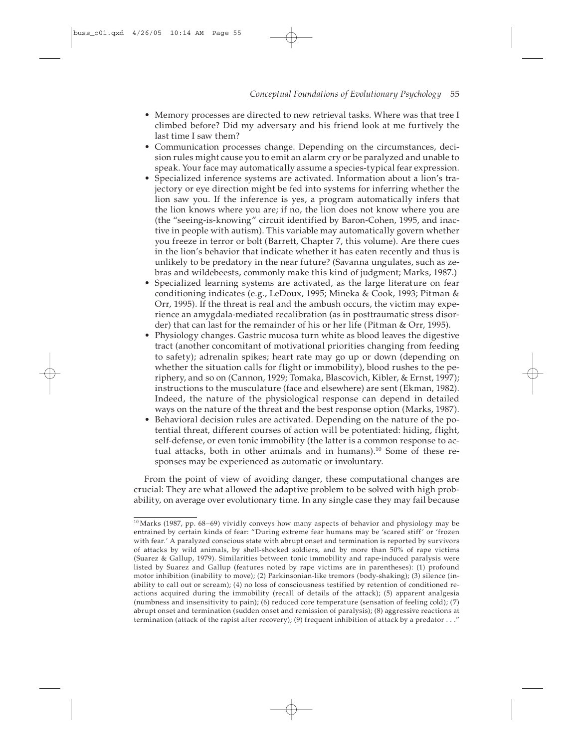- Memory processes are directed to new retrieval tasks. Where was that tree I climbed before? Did my adversary and his friend look at me furtively the last time I saw them?
- Communication processes change. Depending on the circumstances, decision rules might cause you to emit an alarm cry or be paralyzed and unable to speak. Your face may automatically assume a species-typical fear expression.
- Specialized inference systems are activated. Information about a lion's trajectory or eye direction might be fed into systems for inferring whether the lion saw you. If the inference is yes, a program automatically infers that the lion knows where you are; if no, the lion does not know where you are (the "seeing-is-knowing" circuit identified by Baron-Cohen, 1995, and inactive in people with autism). This variable may automatically govern whether you freeze in terror or bolt (Barrett, Chapter 7, this volume). Are there cues in the lion's behavior that indicate whether it has eaten recently and thus is unlikely to be predatory in the near future? (Savanna ungulates, such as zebras and wildebeests, commonly make this kind of judgment; Marks, 1987.)
- Specialized learning systems are activated, as the large literature on fear conditioning indicates (e.g., LeDoux, 1995; Mineka & Cook, 1993; Pitman & Orr, 1995). If the threat is real and the ambush occurs, the victim may experience an amygdala-mediated recalibration (as in posttraumatic stress disorder) that can last for the remainder of his or her life (Pitman & Orr, 1995).
- Physiology changes. Gastric mucosa turn white as blood leaves the digestive tract (another concomitant of motivational priorities changing from feeding to safety); adrenalin spikes; heart rate may go up or down (depending on whether the situation calls for flight or immobility), blood rushes to the periphery, and so on (Cannon, 1929; Tomaka, Blascovich, Kibler, & Ernst, 1997); instructions to the musculature (face and elsewhere) are sent (Ekman, 1982). Indeed, the nature of the physiological response can depend in detailed ways on the nature of the threat and the best response option (Marks, 1987).
- Behavioral decision rules are activated. Depending on the nature of the potential threat, different courses of action will be potentiated: hiding, flight, self-defense, or even tonic immobility (the latter is a common response to actual attacks, both in other animals and in humans).<sup>10</sup> Some of these responses may be experienced as automatic or involuntary.

From the point of view of avoiding danger, these computational changes are crucial: They are what allowed the adaptive problem to be solved with high probability, on average over evolutionary time. In any single case they may fail because

 $10$  Marks (1987, pp. 68–69) vividly conveys how many aspects of behavior and physiology may be entrained by certain kinds of fear: "During extreme fear humans may be 'scared stiff' or 'frozen with fear.' A paralyzed conscious state with abrupt onset and termination is reported by survivors of attacks by wild animals, by shell-shocked soldiers, and by more than 50% of rape victims (Suarez & Gallup, 1979). Similarities between tonic immobility and rape-induced paralysis were listed by Suarez and Gallup (features noted by rape victims are in parentheses): (1) profound motor inhibition (inability to move); (2) Parkinsonian-like tremors (body-shaking); (3) silence (inability to call out or scream); (4) no loss of consciousness testified by retention of conditioned reactions acquired during the immobility (recall of details of the attack); (5) apparent analgesia (numbness and insensitivity to pain); (6) reduced core temperature (sensation of feeling cold); (7) abrupt onset and termination (sudden onset and remission of paralysis); (8) aggressive reactions at termination (attack of the rapist after recovery); (9) frequent inhibition of attack by a predator . . . "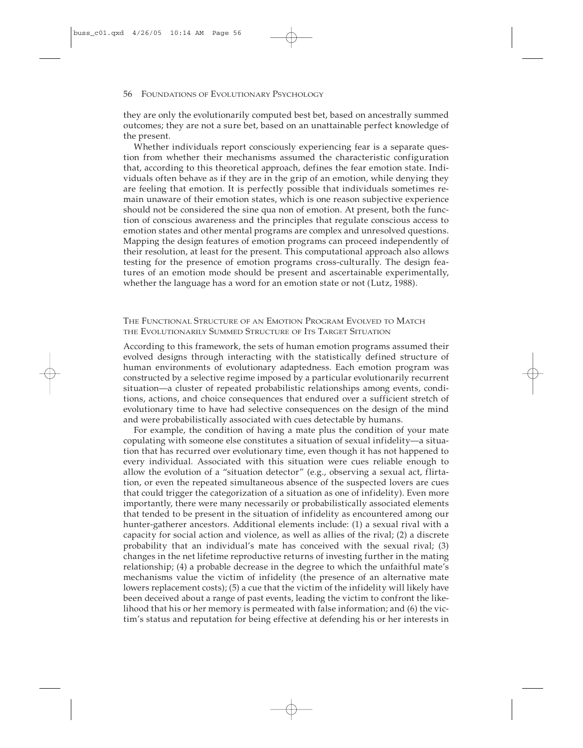they are only the evolutionarily computed best bet, based on ancestrally summed outcomes; they are not a sure bet, based on an unattainable perfect knowledge of the present.

Whether individuals report consciously experiencing fear is a separate question from whether their mechanisms assumed the characteristic configuration that, according to this theoretical approach, defines the fear emotion state. Individuals often behave as if they are in the grip of an emotion, while denying they are feeling that emotion. It is perfectly possible that individuals sometimes remain unaware of their emotion states, which is one reason subjective experience should not be considered the sine qua non of emotion. At present, both the function of conscious awareness and the principles that regulate conscious access to emotion states and other mental programs are complex and unresolved questions. Mapping the design features of emotion programs can proceed independently of their resolution, at least for the present. This computational approach also allows testing for the presence of emotion programs cross-culturally. The design features of an emotion mode should be present and ascertainable experimentally, whether the language has a word for an emotion state or not (Lutz, 1988).

# THE FUNCTIONAL STRUCTURE OF AN EMOTION PROGRAM EVOLVED TO MATCH THE EVOLUTIONARILY SUMMED STRUCTURE OF ITS TARGET SITUATION

According to this framework, the sets of human emotion programs assumed their evolved designs through interacting with the statistically defined structure of human environments of evolutionary adaptedness. Each emotion program was constructed by a selective regime imposed by a particular evolutionarily recurrent situation—a cluster of repeated probabilistic relationships among events, conditions, actions, and choice consequences that endured over a sufficient stretch of evolutionary time to have had selective consequences on the design of the mind and were probabilistically associated with cues detectable by humans.

For example, the condition of having a mate plus the condition of your mate copulating with someone else constitutes a situation of sexual infidelity—a situation that has recurred over evolutionary time, even though it has not happened to every individual. Associated with this situation were cues reliable enough to allow the evolution of a "situation detector" (e.g., observing a sexual act, flirtation, or even the repeated simultaneous absence of the suspected lovers are cues that could trigger the categorization of a situation as one of infidelity). Even more importantly, there were many necessarily or probabilistically associated elements that tended to be present in the situation of infidelity as encountered among our hunter-gatherer ancestors. Additional elements include: (1) a sexual rival with a capacity for social action and violence, as well as allies of the rival; (2) a discrete probability that an individual's mate has conceived with the sexual rival; (3) changes in the net lifetime reproductive returns of investing further in the mating relationship; (4) a probable decrease in the degree to which the unfaithful mate's mechanisms value the victim of infidelity (the presence of an alternative mate lowers replacement costs); (5) a cue that the victim of the infidelity will likely have been deceived about a range of past events, leading the victim to confront the likelihood that his or her memory is permeated with false information; and (6) the victim's status and reputation for being effective at defending his or her interests in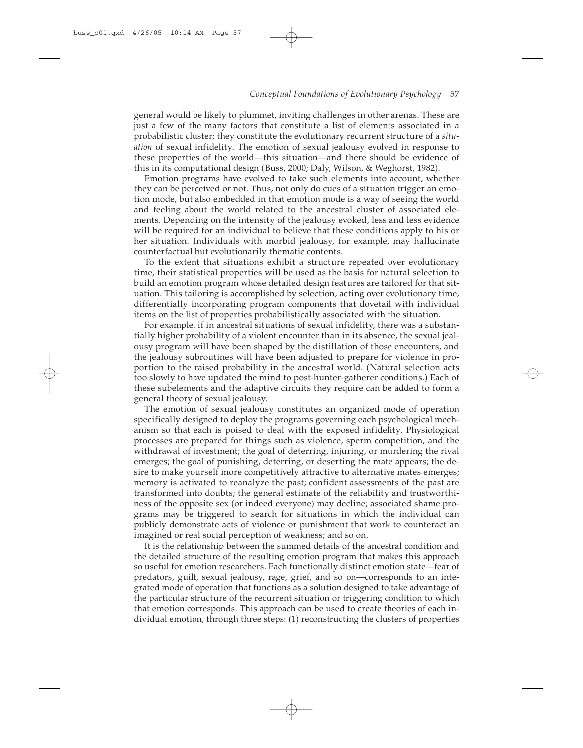general would be likely to plummet, inviting challenges in other arenas. These are just a few of the many factors that constitute a list of elements associated in a probabilistic cluster; they constitute the evolutionary recurrent structure of a *situation* of sexual infidelity. The emotion of sexual jealousy evolved in response to these properties of the world—this situation—and there should be evidence of this in its computational design (Buss, 2000; Daly, Wilson, & Weghorst, 1982).

Emotion programs have evolved to take such elements into account, whether they can be perceived or not. Thus, not only do cues of a situation trigger an emotion mode, but also embedded in that emotion mode is a way of seeing the world and feeling about the world related to the ancestral cluster of associated elements. Depending on the intensity of the jealousy evoked, less and less evidence will be required for an individual to believe that these conditions apply to his or her situation. Individuals with morbid jealousy, for example, may hallucinate counterfactual but evolutionarily thematic contents.

To the extent that situations exhibit a structure repeated over evolutionary time, their statistical properties will be used as the basis for natural selection to build an emotion program whose detailed design features are tailored for that situation. This tailoring is accomplished by selection, acting over evolutionary time, differentially incorporating program components that dovetail with individual items on the list of properties probabilistically associated with the situation.

For example, if in ancestral situations of sexual infidelity, there was a substantially higher probability of a violent encounter than in its absence, the sexual jealousy program will have been shaped by the distillation of those encounters, and the jealousy subroutines will have been adjusted to prepare for violence in proportion to the raised probability in the ancestral world. (Natural selection acts too slowly to have updated the mind to post-hunter-gatherer conditions.) Each of these subelements and the adaptive circuits they require can be added to form a general theory of sexual jealousy.

The emotion of sexual jealousy constitutes an organized mode of operation specifically designed to deploy the programs governing each psychological mechanism so that each is poised to deal with the exposed infidelity. Physiological processes are prepared for things such as violence, sperm competition, and the withdrawal of investment; the goal of deterring, injuring, or murdering the rival emerges; the goal of punishing, deterring, or deserting the mate appears; the desire to make yourself more competitively attractive to alternative mates emerges; memory is activated to reanalyze the past; confident assessments of the past are transformed into doubts; the general estimate of the reliability and trustworthiness of the opposite sex (or indeed everyone) may decline; associated shame programs may be triggered to search for situations in which the individual can publicly demonstrate acts of violence or punishment that work to counteract an imagined or real social perception of weakness; and so on.

It is the relationship between the summed details of the ancestral condition and the detailed structure of the resulting emotion program that makes this approach so useful for emotion researchers. Each functionally distinct emotion state—fear of predators, guilt, sexual jealousy, rage, grief, and so on—corresponds to an integrated mode of operation that functions as a solution designed to take advantage of the particular structure of the recurrent situation or triggering condition to which that emotion corresponds. This approach can be used to create theories of each individual emotion, through three steps: (1) reconstructing the clusters of properties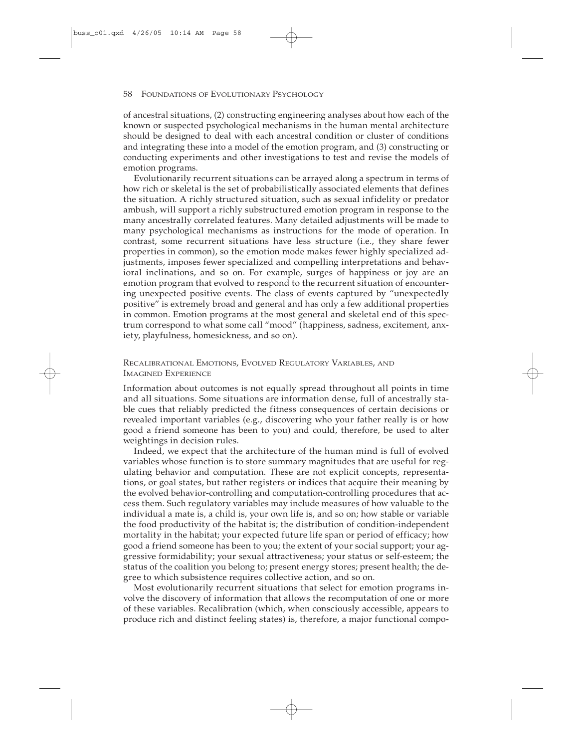of ancestral situations, (2) constructing engineering analyses about how each of the known or suspected psychological mechanisms in the human mental architecture should be designed to deal with each ancestral condition or cluster of conditions and integrating these into a model of the emotion program, and (3) constructing or conducting experiments and other investigations to test and revise the models of emotion programs.

Evolutionarily recurrent situations can be arrayed along a spectrum in terms of how rich or skeletal is the set of probabilistically associated elements that defines the situation. A richly structured situation, such as sexual infidelity or predator ambush, will support a richly substructured emotion program in response to the many ancestrally correlated features. Many detailed adjustments will be made to many psychological mechanisms as instructions for the mode of operation. In contrast, some recurrent situations have less structure (i.e., they share fewer properties in common), so the emotion mode makes fewer highly specialized adjustments, imposes fewer specialized and compelling interpretations and behavioral inclinations, and so on. For example, surges of happiness or joy are an emotion program that evolved to respond to the recurrent situation of encountering unexpected positive events. The class of events captured by "unexpectedly positive" is extremely broad and general and has only a few additional properties in common. Emotion programs at the most general and skeletal end of this spectrum correspond to what some call "mood" (happiness, sadness, excitement, anxiety, playfulness, homesickness, and so on).

## RECALIBRATIONAL EMOTIONS, EVOLVED REGULATORY VARIABLES, AND IMAGINED EXPERIENCE

Information about outcomes is not equally spread throughout all points in time and all situations. Some situations are information dense, full of ancestrally stable cues that reliably predicted the fitness consequences of certain decisions or revealed important variables (e.g., discovering who your father really is or how good a friend someone has been to you) and could, therefore, be used to alter weightings in decision rules.

Indeed, we expect that the architecture of the human mind is full of evolved variables whose function is to store summary magnitudes that are useful for regulating behavior and computation. These are not explicit concepts, representations, or goal states, but rather registers or indices that acquire their meaning by the evolved behavior-controlling and computation-controlling procedures that access them. Such regulatory variables may include measures of how valuable to the individual a mate is, a child is, your own life is, and so on; how stable or variable the food productivity of the habitat is; the distribution of condition-independent mortality in the habitat; your expected future life span or period of efficacy; how good a friend someone has been to you; the extent of your social support; your aggressive formidability; your sexual attractiveness; your status or self-esteem; the status of the coalition you belong to; present energy stores; present health; the degree to which subsistence requires collective action, and so on.

Most evolutionarily recurrent situations that select for emotion programs involve the discovery of information that allows the recomputation of one or more of these variables. Recalibration (which, when consciously accessible, appears to produce rich and distinct feeling states) is, therefore, a major functional compo-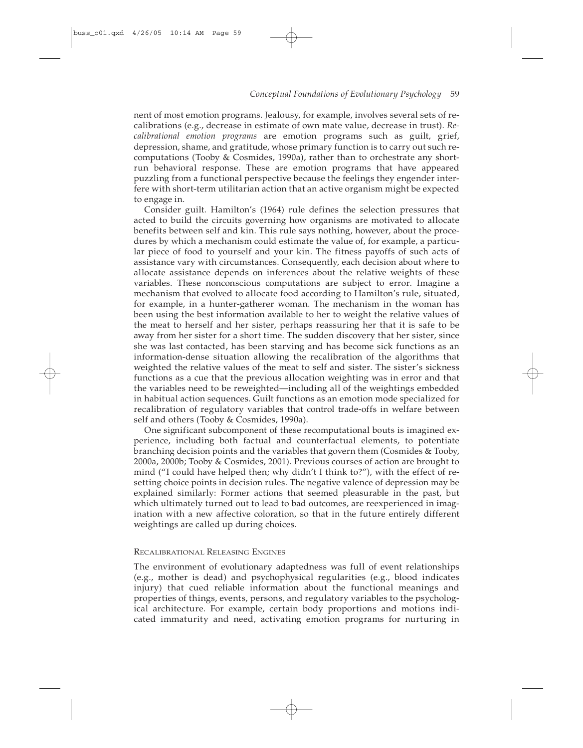nent of most emotion programs. Jealousy, for example, involves several sets of recalibrations (e.g., decrease in estimate of own mate value, decrease in trust). *Recalibrational emotion programs* are emotion programs such as guilt, grief, depression, shame, and gratitude, whose primary function is to carry out such recomputations (Tooby & Cosmides, 1990a), rather than to orchestrate any shortrun behavioral response. These are emotion programs that have appeared puzzling from a functional perspective because the feelings they engender interfere with short-term utilitarian action that an active organism might be expected to engage in.

Consider guilt. Hamilton's (1964) rule defines the selection pressures that acted to build the circuits governing how organisms are motivated to allocate benefits between self and kin. This rule says nothing, however, about the procedures by which a mechanism could estimate the value of, for example, a particular piece of food to yourself and your kin. The fitness payoffs of such acts of assistance vary with circumstances. Consequently, each decision about where to allocate assistance depends on inferences about the relative weights of these variables. These nonconscious computations are subject to error. Imagine a mechanism that evolved to allocate food according to Hamilton's rule, situated, for example, in a hunter-gatherer woman. The mechanism in the woman has been using the best information available to her to weight the relative values of the meat to herself and her sister, perhaps reassuring her that it is safe to be away from her sister for a short time. The sudden discovery that her sister, since she was last contacted, has been starving and has become sick functions as an information-dense situation allowing the recalibration of the algorithms that weighted the relative values of the meat to self and sister. The sister's sickness functions as a cue that the previous allocation weighting was in error and that the variables need to be reweighted—including all of the weightings embedded in habitual action sequences. Guilt functions as an emotion mode specialized for recalibration of regulatory variables that control trade-offs in welfare between self and others (Tooby & Cosmides, 1990a).

One significant subcomponent of these recomputational bouts is imagined experience, including both factual and counterfactual elements, to potentiate branching decision points and the variables that govern them (Cosmides & Tooby, 2000a, 2000b; Tooby & Cosmides, 2001). Previous courses of action are brought to mind ("I could have helped then; why didn't I think to?"), with the effect of resetting choice points in decision rules. The negative valence of depression may be explained similarly: Former actions that seemed pleasurable in the past, but which ultimately turned out to lead to bad outcomes, are reexperienced in imagination with a new affective coloration, so that in the future entirely different weightings are called up during choices.

#### RECALIBRATIONAL RELEASING ENGINES

The environment of evolutionary adaptedness was full of event relationships (e.g., mother is dead) and psychophysical regularities (e.g., blood indicates injury) that cued reliable information about the functional meanings and properties of things, events, persons, and regulatory variables to the psychological architecture. For example, certain body proportions and motions indicated immaturity and need, activating emotion programs for nurturing in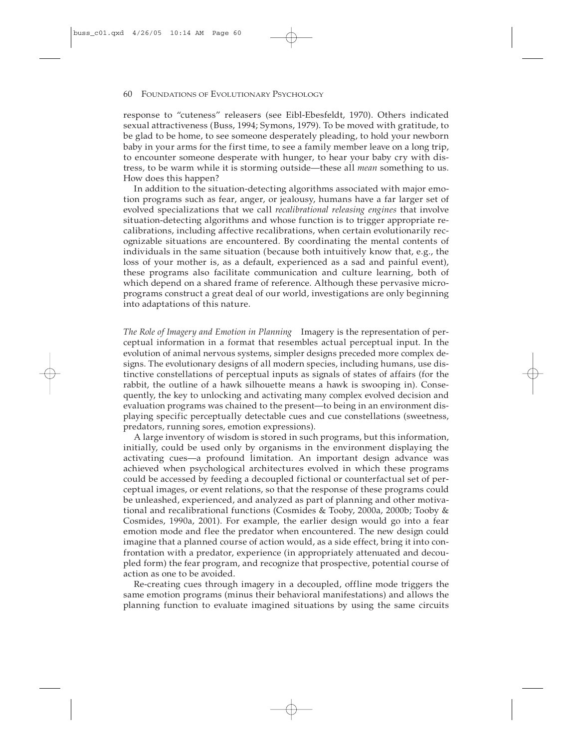response to "cuteness" releasers (see Eibl-Ebesfeldt, 1970). Others indicated sexual attractiveness (Buss, 1994; Symons, 1979). To be moved with gratitude, to be glad to be home, to see someone desperately pleading, to hold your newborn baby in your arms for the first time, to see a family member leave on a long trip, to encounter someone desperate with hunger, to hear your baby cry with distress, to be warm while it is storming outside—these all *mean* something to us. How does this happen?

In addition to the situation-detecting algorithms associated with major emotion programs such as fear, anger, or jealousy, humans have a far larger set of evolved specializations that we call *recalibrational releasing engines* that involve situation-detecting algorithms and whose function is to trigger appropriate recalibrations, including affective recalibrations, when certain evolutionarily recognizable situations are encountered. By coordinating the mental contents of individuals in the same situation (because both intuitively know that, e.g., the loss of your mother is, as a default, experienced as a sad and painful event), these programs also facilitate communication and culture learning, both of which depend on a shared frame of reference. Although these pervasive microprograms construct a great deal of our world, investigations are only beginning into adaptations of this nature.

*The Role of Imagery and Emotion in Planning* Imagery is the representation of perceptual information in a format that resembles actual perceptual input. In the evolution of animal nervous systems, simpler designs preceded more complex designs. The evolutionary designs of all modern species, including humans, use distinctive constellations of perceptual inputs as signals of states of affairs (for the rabbit, the outline of a hawk silhouette means a hawk is swooping in). Consequently, the key to unlocking and activating many complex evolved decision and evaluation programs was chained to the present—to being in an environment displaying specific perceptually detectable cues and cue constellations (sweetness, predators, running sores, emotion expressions).

A large inventory of wisdom is stored in such programs, but this information, initially, could be used only by organisms in the environment displaying the activating cues—a profound limitation. An important design advance was achieved when psychological architectures evolved in which these programs could be accessed by feeding a decoupled fictional or counterfactual set of perceptual images, or event relations, so that the response of these programs could be unleashed, experienced, and analyzed as part of planning and other motivational and recalibrational functions (Cosmides & Tooby, 2000a, 2000b; Tooby & Cosmides, 1990a, 2001). For example, the earlier design would go into a fear emotion mode and flee the predator when encountered. The new design could imagine that a planned course of action would, as a side effect, bring it into confrontation with a predator, experience (in appropriately attenuated and decoupled form) the fear program, and recognize that prospective, potential course of action as one to be avoided.

Re-creating cues through imagery in a decoupled, offline mode triggers the same emotion programs (minus their behavioral manifestations) and allows the planning function to evaluate imagined situations by using the same circuits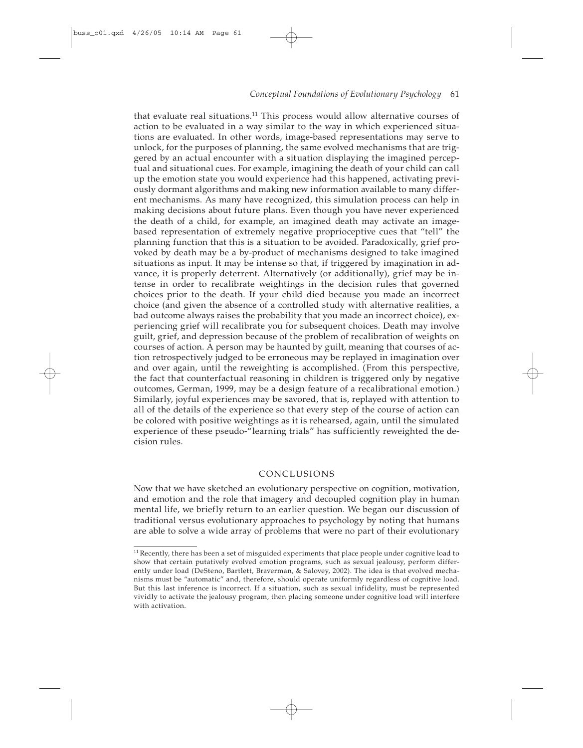that evaluate real situations.11 This process would allow alternative courses of action to be evaluated in a way similar to the way in which experienced situations are evaluated. In other words, image-based representations may serve to unlock, for the purposes of planning, the same evolved mechanisms that are triggered by an actual encounter with a situation displaying the imagined perceptual and situational cues. For example, imagining the death of your child can call up the emotion state you would experience had this happened, activating previously dormant algorithms and making new information available to many different mechanisms. As many have recognized, this simulation process can help in making decisions about future plans. Even though you have never experienced the death of a child, for example, an imagined death may activate an imagebased representation of extremely negative proprioceptive cues that "tell" the planning function that this is a situation to be avoided. Paradoxically, grief provoked by death may be a by-product of mechanisms designed to take imagined situations as input. It may be intense so that, if triggered by imagination in advance, it is properly deterrent. Alternatively (or additionally), grief may be intense in order to recalibrate weightings in the decision rules that governed choices prior to the death. If your child died because you made an incorrect choice (and given the absence of a controlled study with alternative realities, a bad outcome always raises the probability that you made an incorrect choice), experiencing grief will recalibrate you for subsequent choices. Death may involve guilt, grief, and depression because of the problem of recalibration of weights on courses of action. A person may be haunted by guilt, meaning that courses of action retrospectively judged to be erroneous may be replayed in imagination over and over again, until the reweighting is accomplished. (From this perspective, the fact that counterfactual reasoning in children is triggered only by negative outcomes, German, 1999, may be a design feature of a recalibrational emotion.) Similarly, joyful experiences may be savored, that is, replayed with attention to all of the details of the experience so that every step of the course of action can be colored with positive weightings as it is rehearsed, again, until the simulated experience of these pseudo-"learning trials" has sufficiently reweighted the decision rules.

#### CONCLUSIONS

Now that we have sketched an evolutionary perspective on cognition, motivation, and emotion and the role that imagery and decoupled cognition play in human mental life, we briefly return to an earlier question. We began our discussion of traditional versus evolutionary approaches to psychology by noting that humans are able to solve a wide array of problems that were no part of their evolutionary

 $^{11}$  Recently, there has been a set of misguided experiments that place people under cognitive load to show that certain putatively evolved emotion programs, such as sexual jealousy, perform differently under load (DeSteno, Bartlett, Braverman, & Salovey, 2002). The idea is that evolved mechanisms must be "automatic" and, therefore, should operate uniformly regardless of cognitive load. But this last inference is incorrect. If a situation, such as sexual infidelity, must be represented vividly to activate the jealousy program, then placing someone under cognitive load will interfere with activation.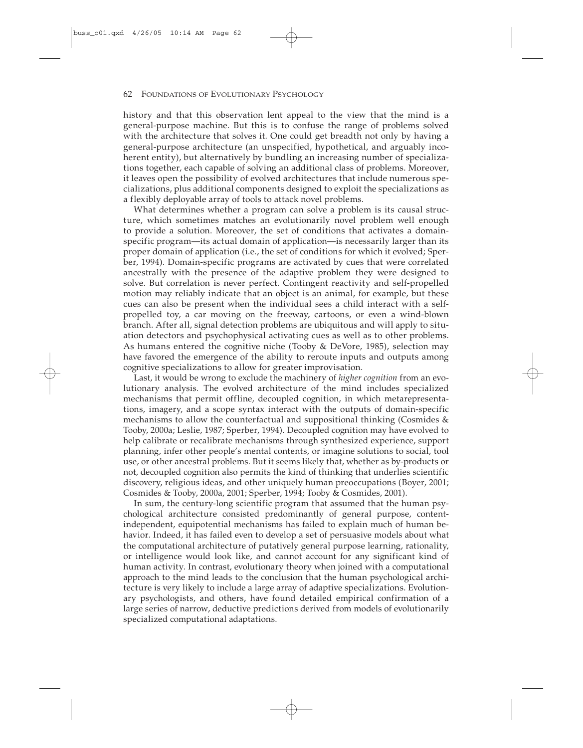history and that this observation lent appeal to the view that the mind is a general-purpose machine. But this is to confuse the range of problems solved with the architecture that solves it. One could get breadth not only by having a general-purpose architecture (an unspecified, hypothetical, and arguably incoherent entity), but alternatively by bundling an increasing number of specializations together, each capable of solving an additional class of problems. Moreover, it leaves open the possibility of evolved architectures that include numerous specializations, plus additional components designed to exploit the specializations as a flexibly deployable array of tools to attack novel problems.

What determines whether a program can solve a problem is its causal structure, which sometimes matches an evolutionarily novel problem well enough to provide a solution. Moreover, the set of conditions that activates a domainspecific program—its actual domain of application—is necessarily larger than its proper domain of application (i.e., the set of conditions for which it evolved; Sperber, 1994). Domain-specific programs are activated by cues that were correlated ancestrally with the presence of the adaptive problem they were designed to solve. But correlation is never perfect. Contingent reactivity and self-propelled motion may reliably indicate that an object is an animal, for example, but these cues can also be present when the individual sees a child interact with a selfpropelled toy, a car moving on the freeway, cartoons, or even a wind-blown branch. After all, signal detection problems are ubiquitous and will apply to situation detectors and psychophysical activating cues as well as to other problems. As humans entered the cognitive niche (Tooby & DeVore, 1985), selection may have favored the emergence of the ability to reroute inputs and outputs among cognitive specializations to allow for greater improvisation.

Last, it would be wrong to exclude the machinery of *higher cognition* from an evolutionary analysis. The evolved architecture of the mind includes specialized mechanisms that permit offline, decoupled cognition, in which metarepresentations, imagery, and a scope syntax interact with the outputs of domain-specific mechanisms to allow the counterfactual and suppositional thinking (Cosmides & Tooby, 2000a; Leslie, 1987; Sperber, 1994). Decoupled cognition may have evolved to help calibrate or recalibrate mechanisms through synthesized experience, support planning, infer other people's mental contents, or imagine solutions to social, tool use, or other ancestral problems. But it seems likely that, whether as by-products or not, decoupled cognition also permits the kind of thinking that underlies scientific discovery, religious ideas, and other uniquely human preoccupations (Boyer, 2001; Cosmides & Tooby, 2000a, 2001; Sperber, 1994; Tooby & Cosmides, 2001).

In sum, the century-long scientific program that assumed that the human psychological architecture consisted predominantly of general purpose, contentindependent, equipotential mechanisms has failed to explain much of human behavior. Indeed, it has failed even to develop a set of persuasive models about what the computational architecture of putatively general purpose learning, rationality, or intelligence would look like, and cannot account for any significant kind of human activity. In contrast, evolutionary theory when joined with a computational approach to the mind leads to the conclusion that the human psychological architecture is very likely to include a large array of adaptive specializations. Evolutionary psychologists, and others, have found detailed empirical confirmation of a large series of narrow, deductive predictions derived from models of evolutionarily specialized computational adaptations.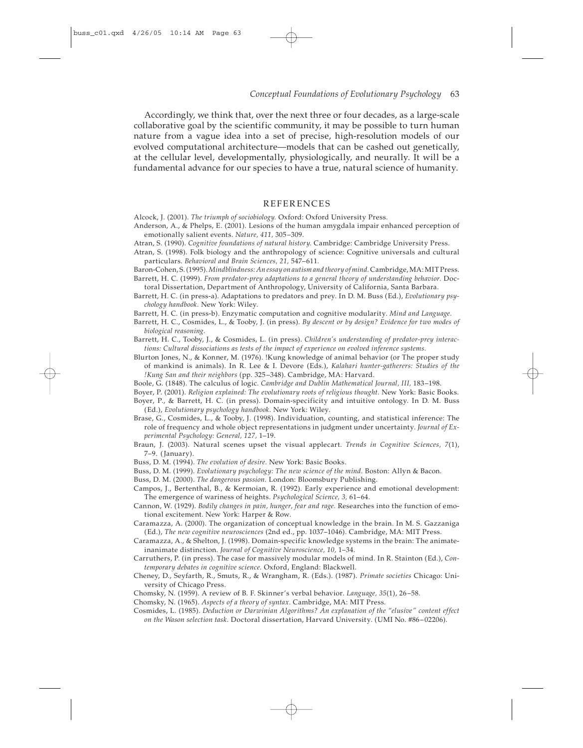Accordingly, we think that, over the next three or four decades, as a large-scale collaborative goal by the scientific community, it may be possible to turn human nature from a vague idea into a set of precise, high-resolution models of our evolved computational architecture—models that can be cashed out genetically, at the cellular level, developmentally, physiologically, and neurally. It will be a fundamental advance for our species to have a true, natural science of humanity.

#### **REFERENCES**

Alcock, J. (2001). *The triumph of sociobiology.* Oxford: Oxford University Press.

Anderson, A., & Phelps, E. (2001). Lesions of the human amygdala impair enhanced perception of emotionally salient events. *Nature, 411,* 305–309.

Atran, S. (1990). *Cognitive foundations of natural history.* Cambridge: Cambridge University Press.

Atran, S. (1998). Folk biology and the anthropology of science: Cognitive universals and cultural particulars. *Behavioral and Brain Sciences, 21,* 547–611.

Baron-Cohen, S. (1995). *Mindblindness: An essay on autism and theory of mind.* Cambridge, MA: MIT Press. Barrett, H. C. (1999). *From predator-prey adaptations to a general theory of understanding behavior.* Doctoral Dissertation, Department of Anthropology, University of California, Santa Barbara.

Barrett, H. C. (in press-a). Adaptations to predators and prey. In D. M. Buss (Ed.), *Evolutionary psychology handbook.* New York: Wiley.

Barrett, H. C. (in press-b). Enzymatic computation and cognitive modularity. *Mind and Language.*

Barrett, H. C., Cosmides, L., & Tooby, J. (in press). *By descent or by design? Evidence for two modes of biological reasoning.*

Barrett, H. C., Tooby, J., & Cosmides, L. (in press). *Children's understanding of predator-prey interactions: Cultural dissociations as tests of the impact of experience on evolved inference systems.*

Blurton Jones, N., & Konner, M. (1976). !Kung knowledge of animal behavior (or The proper study of mankind is animals). In R. Lee & I. Devore (Eds.), *Kalahari hunter-gatherers: Studies of the !Kung San and their neighbors* (pp. 325–348). Cambridge, MA: Harvard.

Boole, G. (1848). The calculus of logic. *Cambridge and Dublin Mathematical Journal, III,* 183–198.

Boyer, P. (2001). *Religion explained: The evolutionary roots of religious thought.* New York: Basic Books.

- Boyer, P., & Barrett, H. C. (in press). Domain-specificity and intuitive ontology. In D. M. Buss (Ed.), *Evolutionary psychology handbook.* New York: Wiley.
- Brase, G., Cosmides, L., & Tooby, J. (1998). Individuation, counting, and statistical inference: The role of frequency and whole object representations in judgment under uncertainty. *Journal of Experimental Psychology: General, 127,* 1–19.
- Braun, J. (2003). Natural scenes upset the visual applecart. *Trends in Cognitive Sciences, 7*(1), 7–9. ( January).
- Buss, D. M. (1994). *The evolution of desire.* New York: Basic Books.
- Buss, D. M. (1999). *Evolutionary psychology: The new science of the mind.* Boston: Allyn & Bacon.
- Buss, D. M. (2000). *The dangerous passion.* London: Bloomsbury Publishing.

Campos, J., Bertenthal, B., & Kermoian, R. (1992). Early experience and emotional development: The emergence of wariness of heights. *Psychological Science, 3,* 61–64.

Cannon, W. (1929). *Bodily changes in pain, hunger, fear and rage.* Researches into the function of emotional excitement. New York: Harper & Row.

Caramazza, A. (2000). The organization of conceptual knowledge in the brain. In M. S. Gazzaniga (Ed.), *The new cognitive neurosciences* (2nd ed., pp. 1037–1046). Cambridge, MA: MIT Press.

Caramazza, A., & Shelton, J. (1998). Domain-specific knowledge systems in the brain: The animateinanimate distinction. *Journal of Cognitive Neuroscience, 10,* 1–34.

Carruthers, P. (in press). The case for massively modular models of mind. In R. Stainton (Ed.), *Contemporary debates in cognitive science.* Oxford, England: Blackwell.

Cheney, D., Seyfarth, R., Smuts, R., & Wrangham, R. (Eds.). (1987). *Primate societies* Chicago: University of Chicago Press.

Chomsky, N. (1959). A review of B. F. Skinner's verbal behavior. *Language, 35*(1), 26–58.

Chomsky, N. (1965). *Aspects of a theory of syntax.* Cambridge, MA: MIT Press.

Cosmides, L. (1985). *Deduction or Darwinian Algorithms? An explanation of the "elusive" content effect on the Wason selection task.* Doctoral dissertation, Harvard University. (UMI No. #86–02206).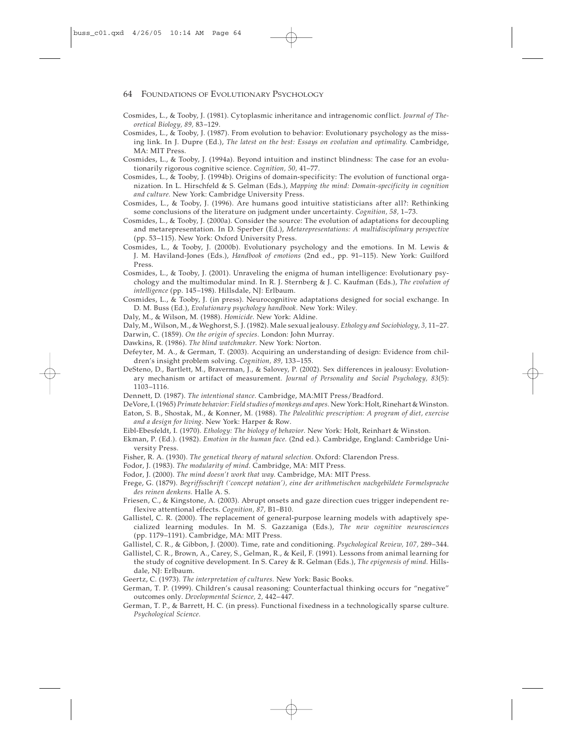- Cosmides, L., & Tooby, J. (1981). Cytoplasmic inheritance and intragenomic conflict. *Journal of Theoretical Biology, 89,* 83–129.
- Cosmides, L., & Tooby, J. (1987). From evolution to behavior: Evolutionary psychology as the missing link. In J. Dupre (Ed.), *The latest on the best: Essays on evolution and optimality.* Cambridge, MA: MIT Press.
- Cosmides, L., & Tooby, J. (1994a). Beyond intuition and instinct blindness: The case for an evolutionarily rigorous cognitive science. *Cognition, 50,* 41–77.
- Cosmides, L., & Tooby, J. (1994b). Origins of domain-specificity: The evolution of functional organization. In L. Hirschfeld & S. Gelman (Eds.), *Mapping the mind: Domain-specificity in cognition and culture.* New York: Cambridge University Press.
- Cosmides, L., & Tooby, J. (1996). Are humans good intuitive statisticians after all?: Rethinking some conclusions of the literature on judgment under uncertainty. *Cognition, 58,* 1–73.
- Cosmides, L., & Tooby, J. (2000a). Consider the source: The evolution of adaptations for decoupling and metarepresentation. In D. Sperber (Ed.), *Metarepresentations: A multidisciplinary perspective* (pp. 53–115). New York: Oxford University Press.
- Cosmides, L., & Tooby, J. (2000b). Evolutionary psychology and the emotions. In M. Lewis & J. M. Haviland-Jones (Eds.), *Handbook of emotions* (2nd ed., pp. 91–115). New York: Guilford Press.
- Cosmides, L., & Tooby, J. (2001). Unraveling the enigma of human intelligence: Evolutionary psychology and the multimodular mind. In R. J. Sternberg & J. C. Kaufman (Eds.), *The evolution of intelligence* (pp. 145–198). Hillsdale, NJ: Erlbaum.
- Cosmides, L., & Tooby, J. (in press). Neurocognitive adaptations designed for social exchange. In D. M. Buss (Ed.), *Evolutionary psychology handbook.* New York: Wiley.
- Daly, M., & Wilson, M. (1988). *Homicide.* New York: Aldine.

Daly, M., Wilson, M., & Weghorst, S. J. (1982). Male sexual jealousy. *Ethology and Sociobiology, 3,* 11–27. Darwin, C. (1859). *On the origin of species.* London: John Murray.

Dawkins, R. (1986). *The blind watchmaker.* New York: Norton.

- Defeyter, M. A., & German, T. (2003). Acquiring an understanding of design: Evidence from children's insight problem solving. *Cognition, 89,* 133–155.
- DeSteno, D., Bartlett, M., Braverman, J., & Salovey, P. (2002). Sex differences in jealousy: Evolutionary mechanism or artifact of measurement. *Journal of Personality and Social Psychology, 83*(5): 1103–1116.
- Dennett, D. (1987). *The intentional stance.* Cambridge, MA:MIT Press/Bradford.

DeVore, I. (1965) *Primate behavior: Field studies of monkeys and apes.* New York: Holt, Rinehart & Winston. Eaton, S. B., Shostak, M., & Konner, M. (1988). *The Paleolithic prescription: A program of diet, exercise and a design for living.* New York: Harper & Row.

- Eibl-Ebesfeldt, I. (1970). *Ethology: The biology of behavior.* New York: Holt, Reinhart & Winston.
- Ekman, P. (Ed.). (1982). *Emotion in the human face.* (2nd ed.). Cambridge, England: Cambridge University Press.
- Fisher, R. A. (1930). *The genetical theory of natural selection.* Oxford: Clarendon Press.
- Fodor, J. (1983). *The modularity of mind.* Cambridge, MA: MIT Press.
- Fodor, J. (2000). *The mind doesn't work that way.* Cambridge, MA: MIT Press.
- Frege, G. (1879). *Begriffsschrift ('concept notation'), eine der arithmetischen nachgebildete Formelsprache des reinen denkens.* Halle A. S.
- Friesen, C., & Kingstone, A. (2003). Abrupt onsets and gaze direction cues trigger independent reflexive attentional effects. *Cognition, 87,* B1–B10.
- Gallistel, C. R. (2000). The replacement of general-purpose learning models with adaptively specialized learning modules. In M. S. Gazzaniga (Eds.), *The new cognitive neurosciences* (pp. 1179–1191). Cambridge, MA: MIT Press.
- Gallistel, C. R., & Gibbon, J. (2000). Time, rate and conditioning. *Psychological Review, 107,* 289–344.
- Gallistel, C. R., Brown, A., Carey, S., Gelman, R., & Keil, F. (1991). Lessons from animal learning for the study of cognitive development. In S. Carey & R. Gelman (Eds.), *The epigenesis of mind.* Hillsdale, NJ: Erlbaum.

Geertz, C. (1973). *The interpretation of cultures.* New York: Basic Books.

- German, T. P. (1999). Children's causal reasoning: Counterfactual thinking occurs for "negative" outcomes only. *Developmental Science, 2,* 442–447.
- German, T. P., & Barrett, H. C. (in press). Functional fixedness in a technologically sparse culture. *Psychological Science.*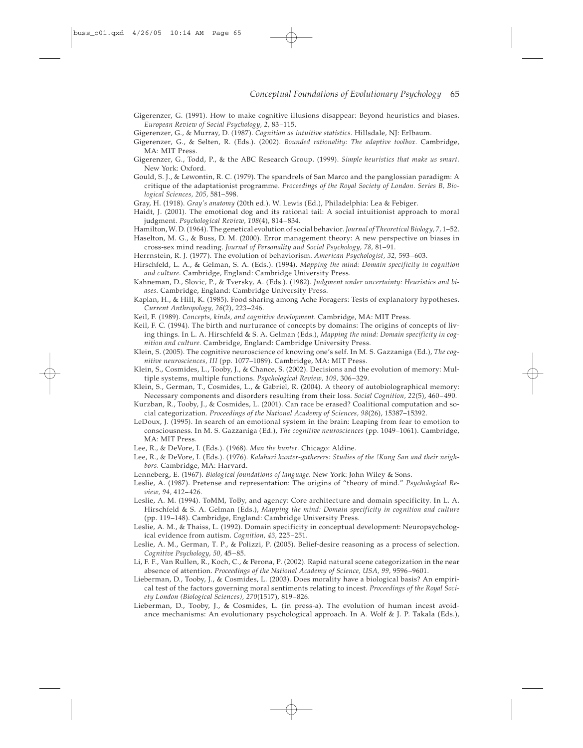- Gigerenzer, G. (1991). How to make cognitive illusions disappear: Beyond heuristics and biases. *European Review of Social Psychology, 2,* 83–115.
- Gigerenzer, G., & Murray, D. (1987). *Cognition as intuitive statistics.* Hillsdale, NJ: Erlbaum.
- Gigerenzer, G., & Selten, R. (Eds.). (2002). *Bounded rationality: The adaptive toolbox.* Cambridge, MA: MIT Press.
- Gigerenzer, G., Todd, P., & the ABC Research Group. (1999). *Simple heuristics that make us smart.* New York: Oxford.
- Gould, S. J., & Lewontin, R. C. (1979). The spandrels of San Marco and the panglossian paradigm: A critique of the adaptationist programme. *Proceedings of the Royal Society of London. Series B, Biological Sciences, 205,* 581–598.
- Gray, H. (1918). *Gray's anatomy* (20th ed.). W. Lewis (Ed.), Philadelphia: Lea & Febiger.
- Haidt, J. (2001). The emotional dog and its rational tail: A social intuitionist approach to moral judgment. *Psychological Review, 108*(4), 814–834.
- Hamilton, W. D. (1964). The genetical evolution of social behavior. *Journal of Theoretical Biology, 7,* 1–52.
- Haselton, M. G., & Buss, D. M. (2000). Error management theory: A new perspective on biases in cross-sex mind reading. *Journal of Personality and Social Psychology, 78,* 81–91.
- Herrnstein, R. J. (1977). The evolution of behaviorism. *American Psychologist, 32,* 593–603.
- Hirschfeld, L. A., & Gelman, S. A. (Eds.). (1994). *Mapping the mind: Domain specificity in cognition and culture.* Cambridge, England: Cambridge University Press.
- Kahneman, D., Slovic, P., & Tversky, A. (Eds.). (1982). *Judgment under uncertainty: Heuristics and biases.* Cambridge, England: Cambridge University Press.
- Kaplan, H., & Hill, K. (1985). Food sharing among Ache Foragers: Tests of explanatory hypotheses. *Current Anthropology, 26*(2), 223–246.
- Keil, F. (1989). *Concepts, kinds, and cognitive development.* Cambridge, MA: MIT Press.
- Keil, F. C. (1994). The birth and nurturance of concepts by domains: The origins of concepts of living things. In L. A. Hirschfeld & S. A. Gelman (Eds.), *Mapping the mind: Domain specificity in cognition and culture.* Cambridge, England: Cambridge University Press.
- Klein, S. (2005). The cognitive neuroscience of knowing one's self. In M. S. Gazzaniga (Ed.), *The cognitive neurosciences, III* (pp. 1077–1089). Cambridge, MA: MIT Press.
- Klein, S., Cosmides, L., Tooby, J., & Chance, S. (2002). Decisions and the evolution of memory: Multiple systems, multiple functions. *Psychological Review, 109,* 306–329.
- Klein, S., German, T., Cosmides, L., & Gabriel, R. (2004). A theory of autobiolographical memory: Necessary components and disorders resulting from their loss. *Social Cognition, 22*(5), 460–490.
- Kurzban, R., Tooby, J., & Cosmides, L. (2001). Can race be erased? Coalitional computation and social categorization. *Proceedings of the National Academy of Sciences, 98*(26), 15387–15392.
- LeDoux, J. (1995). In search of an emotional system in the brain: Leaping from fear to emotion to consciousness. In M. S. Gazzaniga (Ed.), *The cognitive neurosciences* (pp. 1049–1061). Cambridge, MA: MIT Press.
- Lee, R., & DeVore, I. (Eds.). (1968). *Man the hunter.* Chicago: Aldine.
- Lee, R., & DeVore, I. (Eds.). (1976). *Kalahari hunter-gatherers: Studies of the !Kung San and their neighbors.* Cambridge, MA: Harvard.
- Lenneberg, E. (1967). *Biological foundations of language.* New York: John Wiley & Sons.
- Leslie, A. (1987). Pretense and representation: The origins of "theory of mind." *Psychological Review, 94,* 412–426.
- Leslie, A. M. (1994). ToMM, ToBy, and agency: Core architecture and domain specificity. In L. A. Hirschfeld & S. A. Gelman (Eds.), *Mapping the mind: Domain specificity in cognition and culture* (pp. 119–148). Cambridge, England: Cambridge University Press.
- Leslie, A. M., & Thaiss, L. (1992). Domain specificity in conceptual development: Neuropsychological evidence from autism. *Cognition, 43,* 225–251.
- Leslie, A. M., German, T. P., & Polizzi, P. (2005). Belief-desire reasoning as a process of selection. *Cognitive Psychology, 50,* 45–85.
- Li, F. F., Van Rullen, R., Koch, C., & Perona, P. (2002). Rapid natural scene categorization in the near absence of attention. *Proceedings of the National Academy of Science, USA, 99,* 9596–9601.
- Lieberman, D., Tooby, J., & Cosmides, L. (2003). Does morality have a biological basis? An empirical test of the factors governing moral sentiments relating to incest. *Proceedings of the Royal Society London (Biological Sciences), 270*(1517), 819–826.
- Lieberman, D., Tooby, J., & Cosmides, L. (in press-a). The evolution of human incest avoidance mechanisms: An evolutionary psychological approach. In A. Wolf & J. P. Takala (Eds.),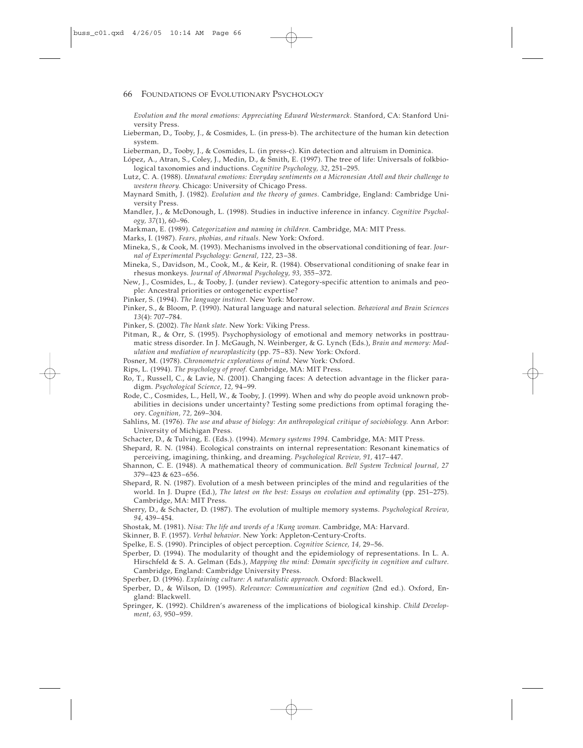*Evolution and the moral emotions: Appreciating Edward Westermarck.* Stanford, CA: Stanford University Press.

Lieberman, D., Tooby, J., & Cosmides, L. (in press-b). The architecture of the human kin detection system.

Lieberman, D., Tooby, J., & Cosmides, L. (in press-c). Kin detection and altruism in Dominica.

López, A., Atran, S., Coley, J., Medin, D., & Smith, E. (1997). The tree of life: Universals of folkbiological taxonomies and inductions. *Cognitive Psychology, 32,* 251–295.

- Lutz, C. A. (1988). *Unnatural emotions: Everyday sentiments on a Micronesian Atoll and their challenge to western theory.* Chicago: University of Chicago Press.
- Maynard Smith, J. (1982). *Evolution and the theory of games.* Cambridge, England: Cambridge University Press.
- Mandler, J., & McDonough, L. (1998). Studies in inductive inference in infancy. *Cognitive Psychology, 37*(1), 60–96.

Markman, E. (1989). *Categorization and naming in children.* Cambridge, MA: MIT Press.

- Marks, I. (1987). *Fears, phobias, and rituals.* New York: Oxford.
- Mineka, S., & Cook, M. (1993). Mechanisms involved in the observational conditioning of fear. *Journal of Experimental Psychology: General, 122,* 23–38.
- Mineka, S., Davidson, M., Cook, M., & Keir, R. (1984). Observational conditioning of snake fear in rhesus monkeys. *Journal of Abnormal Psychology, 93,* 355–372.
- New, J., Cosmides, L., & Tooby, J. (under review). Category-specific attention to animals and people: Ancestral priorities or ontogenetic expertise?
- Pinker, S. (1994). *The language instinct.* New York: Morrow.
- Pinker, S., & Bloom, P. (1990). Natural language and natural selection. *Behavioral and Brain Sciences 13*(4): 707–784.
- Pinker, S. (2002). *The blank slate.* New York: Viking Press.
- Pitman, R., & Orr, S. (1995). Psychophysiology of emotional and memory networks in posttraumatic stress disorder. In J. McGaugh, N. Weinberger, & G. Lynch (Eds.), *Brain and memory: Modulation and mediation of neuroplasticity* (pp. 75–83). New York: Oxford.
- Posner, M. (1978). *Chronometric explorations of mind.* New York: Oxford.
- Rips, L. (1994). *The psychology of proof.* Cambridge, MA: MIT Press.
- Ro, T., Russell, C., & Lavie, N. (2001). Changing faces: A detection advantage in the flicker paradigm. *Psychological Science, 12,* 94–99.
- Rode, C., Cosmides, L., Hell, W., & Tooby, J. (1999). When and why do people avoid unknown probabilities in decisions under uncertainty? Testing some predictions from optimal foraging theory. *Cognition, 72,* 269–304.
- Sahlins, M. (1976). *The use and abuse of biology: An anthropological critique of sociobiology.* Ann Arbor: University of Michigan Press.
- Schacter, D., & Tulving, E. (Eds.). (1994). *Memory systems 1994.* Cambridge, MA: MIT Press.
- Shepard, R. N. (1984). Ecological constraints on internal representation: Resonant kinematics of perceiving, imagining, thinking, and dreaming. *Psychological Review, 91,* 417–447.
- Shannon, C. E. (1948). A mathematical theory of communication. *Bell System Technical Journal, 27* 379–423 & 623–656.
- Shepard, R. N. (1987). Evolution of a mesh between principles of the mind and regularities of the world. In J. Dupre (Ed.), *The latest on the best: Essays on evolution and optimality* (pp. 251–275). Cambridge, MA: MIT Press.
- Sherry, D., & Schacter, D. (1987). The evolution of multiple memory systems. *Psychological Review, 94,* 439–454.
- Shostak, M. (1981). *Nisa: The life and words of a !Kung woman.* Cambridge, MA: Harvard.
- Skinner, B. F. (1957). *Verbal behavior.* New York: Appleton-Century-Crofts.
- Spelke, E. S. (1990). Principles of object perception. *Cognitive Science, 14,* 29–56.
- Sperber, D. (1994). The modularity of thought and the epidemiology of representations. In L. A. Hirschfeld & S. A. Gelman (Eds.), *Mapping the mind: Domain specificity in cognition and culture.* Cambridge, England: Cambridge University Press.
- Sperber, D. (1996). *Explaining culture: A naturalistic approach.* Oxford: Blackwell.
- Sperber, D., & Wilson, D. (1995). *Relevance: Communication and cognition* (2nd ed.). Oxford, England: Blackwell.
- Springer, K. (1992). Children's awareness of the implications of biological kinship. *Child Development, 63,* 950–959.